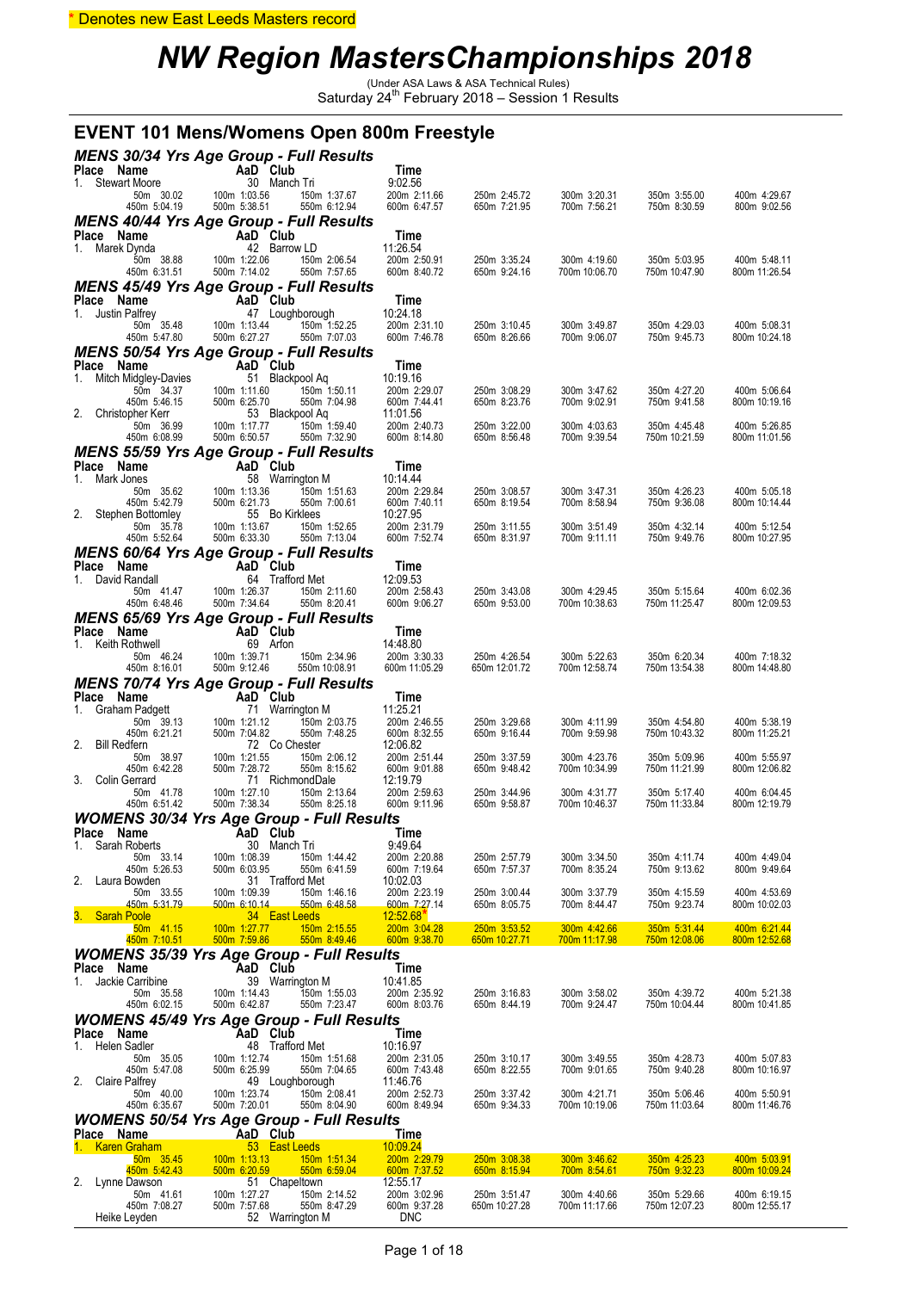#### \* Denotes new East Leeds Masters record

### *NW Region MastersChampionships 2018*

(Under ASA Laws & ASA Technical Rules) Saturday 24th February 2018 – Session 1 Results

|                                          | <b>EVENT 101 Mens/Womens Open 800m Freestyle</b>                                |                              |                               |                               |                               |                               |
|------------------------------------------|---------------------------------------------------------------------------------|------------------------------|-------------------------------|-------------------------------|-------------------------------|-------------------------------|
|                                          | <b>MENS 30/34 Yrs Age Group - Full Results</b>                                  |                              |                               |                               |                               |                               |
| Place Name<br>1. Stewart Moore           | AaD Club<br>30 Manch Tri                                                        | Time<br>9:02.56              |                               |                               |                               |                               |
| 50m 30.02<br>450m 5:04.19                | 150m 1:37.67<br>100m 1:03.56<br>500m 5:38.51<br>550m 6:12.94                    | 200m 2:11.66<br>600m 6:47.57 | 250m 2:45.72<br>650m 7:21.95  | 300m 3:20.31<br>700m 7:56.21  | 350m 3:55.00<br>750m 8:30.59  | 400m 4:29.67<br>800m 9:02.56  |
|                                          | <b>MENS 40/44 Yrs Age Group - Full Results</b>                                  |                              |                               |                               |                               |                               |
| Place Name<br>1. Marek Dynda             | AaD Club<br>42 Barrow LD                                                        | Time<br>11:26.54             |                               |                               |                               |                               |
| 50m 38.88<br>450m 6:31.51                | 100m 1:22.06<br>150m 2:06.54<br>500m 7:14.02<br>550m 7:57.65                    | 200m 2:50.91<br>600m 8:40.72 | 250m 3:35.24<br>650m 9:24.16  | 300m 4:19.60<br>700m 10:06.70 | 350m 5:03.95<br>750m 10:47.90 | 400m 5:48.11<br>800m 11:26.54 |
|                                          | <b>MENS 45/49 Yrs Age Group - Full Results</b>                                  |                              |                               |                               |                               |                               |
| Place Name<br>1. Justin Palfrey          | AaD Club<br>47 Loughborough                                                     | Time<br>10:24.18             |                               |                               |                               |                               |
| 50m 35.48<br>450m 5:47.80                | 100m 1:13.44<br>150m 1:52.25<br>500m 6:27.27<br>550m 7:07.03                    | 200m 2:31.10<br>600m 7:46.78 | 250m 3:10.45<br>650m 8:26.66  | 300m 3:49.87<br>700m 9:06.07  | 350m 4:29.03<br>750m 9:45.73  | 400m 5:08.31<br>800m 10:24.18 |
|                                          | <b>MENS 50/54 Yrs Age Group - Full Results</b>                                  |                              |                               |                               |                               |                               |
| Place Name<br>Mitch Midgley-Davies<br>1. | AaD Club<br>51 Blackpool Aq                                                     | Time<br>10:19.16             |                               |                               |                               |                               |
| 50m 34.37<br>450m 5:46.15                | 100m 1:11.60<br>150m 1:50.11<br>500m 6:25.70<br>550m 7:04.98                    | 200m 2:29.07<br>600m 7:44.41 | 250m 3:08.29<br>650m 8:23.76  | 300m 3:47.62<br>700m 9:02.91  | 350m 4:27.20<br>750m 9:41.58  | 400m 5:06.64<br>800m 10:19.16 |
| 2. Christopher Kerr                      | 53 Blackpool Aq                                                                 | 11:01.56                     |                               |                               |                               |                               |
| 50m 36.99<br>450m 6:08.99                | 100m 1:17.77<br>150m 1:59.40<br>500m 6:50.57<br>550m 7:32.90                    | 200m 2:40.73<br>600m 8:14.80 | 250m 3:22.00<br>650m 8:56.48  | 300m 4:03.63<br>700m 9:39.54  | 350m 4:45.48<br>750m 10:21.59 | 400m 5:26.85<br>800m 11:01.56 |
| Place Name                               | <b>MENS 55/59 Yrs Age Group - Full Results</b><br>AaD Club                      | Time                         |                               |                               |                               |                               |
| Mark Jones<br>1.                         | 58 Warrington M<br>100m 1:13.36                                                 | 10:14:44                     |                               |                               |                               | 400m 5:05.18                  |
| 50m 35.62<br>450m 5:42.79                | 150m 1:51.63<br>500m 6:21.73<br>550m 7:00.61                                    | 200m 2:29.84<br>600m 7:40.11 | 250m 3:08.57<br>650m 8:19.54  | 300m 3:47.31<br>700m 8:58.94  | 350m 4:26.23<br>750m 9:36.08  | 800m 10:14.44                 |
| 2. Stephen Bottomley<br>50m 35.78        | 55 Bo Kirklees<br>100m 1:13.67<br>150m 1:52.65                                  | 10:27.95<br>200m 2:31.79     | 250m 3:11.55                  | 300m 3:51.49                  | 350m 4:32.14                  | 400m 5:12.54                  |
| 450m 5:52.64                             | 500m 6:33.30<br>550m 7:13.04<br><b>MENS 60/64 Yrs Age Group - Full Results</b>  | 600m 7:52.74                 | 650m 8:31.97                  | 700m 9:11.11                  | 750m 9:49.76                  | 800m 10:27.95                 |
| Place Name                               | AaD Club                                                                        | Time                         |                               |                               |                               |                               |
| 1. David Randall<br>50m 41.47            | 64 Trafford Met<br>100m 1:26.37<br>150m 2:11.60                                 | 12:09.53<br>200m 2:58.43     | 250m 3:43.08                  | 300m 4:29.45                  | 350m 5:15.64                  | 400m 6:02.36                  |
| 450m 6:48.46                             | 500m 7:34.64<br>550m 8:20.41<br>MENS 65/69 Yrs Age Group - Full Results         | 600m 9:06.27                 | 650m 9:53.00                  | 700m 10:38.63                 | 750m 11:25.47                 | 800m 12:09.53                 |
| Place Name                               | AaD Club                                                                        | Time                         |                               |                               |                               |                               |
| 1. Keith Rothwell<br>50m 46.24           | 69 Arfon<br>100m 1:39.71<br>150m 2:34.96                                        | 14:48.80<br>200m 3:30.33     | 250m 4:26.54                  | 300m 5:22.63                  | 350m 6:20.34                  | 400m 7:18.32                  |
| 450m 8:16.01                             | 500m 9:12.46<br>550m 10:08.91<br><b>MENS 70/74 Yrs Age Group - Full Results</b> | 600m 11:05.29                | 650m 12:01.72                 | 700m 12:58.74                 | 750m 13:54.38                 | 800m 14:48.80                 |
| Place Name                               |                                                                                 |                              |                               |                               |                               |                               |
|                                          | AaD Club                                                                        | Time                         |                               |                               |                               |                               |
| Graham Padgett<br>1.<br>50m 39.13        | 71 Warrington M<br>100m 1:21.12<br>150m 2:03.75                                 | 11:25.21<br>200m 2:46.55     | 250m 3:29.68                  | 300m 4:11.99                  | 350m 4:54.80                  | 400m 5:38.19                  |
| 450m 6:21.21<br>2. Bill Redfern          | 500m 7:04.82<br>550m 7:48.25<br>72 Co Chester                                   | 600m 8:32.55<br>12:06.82     | 650m 9:16.44                  | 700m 9:59.98                  | 750m 10:43.32                 | 800m 11:25.21                 |
| 50m 38.97                                | 100m 1:21.55<br>150m 2:06.12                                                    | 200m 2:51.44                 | 250m 3:37.59<br>650m 9:48.42  | 300m 4:23.76                  | 350m 5:09.96                  | 400m 5:55.97                  |
| 450m 6:42.28<br>3. Colin Gerrard         | 500m 7:28.72<br>550m 8:15.62<br>71 RichmondDale                                 | 600m 9:01.88<br>12:19.79     |                               | 700m 10:34.99                 | 750m 11:21.99                 | 800m 12:06.82                 |
| 50m 41.78<br>450m 6:51.42                | 100m 1:27.10<br>150m 2:13.64<br>500m 7:38.34<br>550m 8:25.18                    | 200m 2:59.63<br>600m 9:11.96 | 250m 3:44.96<br>650m 9:58.87  | 300m 4:31.77<br>700m 10:46.37 | 350m 5:17.40<br>750m 11:33.84 | 400m 6:04.45<br>800m 12:19.79 |
| Place Name                               | <b>WOMENS 30/34 Yrs Age Group - Full Results</b><br>AaD Club                    | Time                         |                               |                               |                               |                               |
| Sarah Roberts<br>1.                      | 30 Manch Tri                                                                    | 9:49.64                      |                               |                               |                               |                               |
| 50m 33.14<br>450m 5:26.53                | 100m 1:08.39<br>150m 1:44.42<br>550m 6:41.59<br>500m 6:03.95                    | 200m 2:20.88<br>600m 7:19.64 | 250m 2:57.79<br>650m 7:57.37  | 300m 3:34.50<br>700m 8:35.24  | 350m 4:11.74<br>750m 9:13.62  | 400m 4:49.04<br>800m 9:49.64  |
| 2.<br>Laura Bowden<br>50m 33.55          | 31 Trafford Met<br>100m 1:09.39<br>150m 1:46.16                                 | 10:02.03<br>200m 2:23.19     | 250m 3:00.44                  | 300m 3:37.79                  | 350m 4:15.59                  | 400m 4:53.69                  |
| 450m 5:31.79<br><b>Sarah Poole</b><br>З. | 500m 6:10.14<br>550m 6:48.58<br>34 East Leeds                                   | 600m 7:27.14<br>12:52.68     | 650m 8:05.75                  | 700m 8:44.47                  | 750m 9:23.74                  | 800m 10:02.03                 |
| 50m 41.15<br>450m 7:10.51                | 100m 1:27.77<br>150m 2:15.55<br>500m 7:59.86<br>550m 8:49.46                    | 200m 3:04.28<br>600m 9:38.70 | 250m 3:53.52<br>650m 10:27.71 | 300m 4:42.66<br>700m 11:17.98 | 350m 5:31.44<br>750m 12:08.06 | 400m 6:21.44<br>800m 12:52.68 |
|                                          | <b>WOMENS 35/39 Yrs Age Group - Full Results</b>                                |                              |                               |                               |                               |                               |
| Place Name<br>Jackie Carribine<br>1.     | AaD Club<br>39 Warrington M                                                     | Time<br>10:41.85             |                               |                               |                               |                               |
| 50m 35.58<br>450m 6:02.15                | 100m 1:14.43<br>150m 1:55.03<br>500m 6:42.87<br>550m 7:23.47                    | 200m 2:35.92<br>600m 8:03.76 | 250m 3:16.83<br>650m 8:44.19  | 300m 3:58.02<br>700m 9:24.47  | 350m 4:39.72<br>750m 10:04.44 | 400m 5:21.38<br>800m 10:41.85 |
|                                          | <b>WOMENS 45/49 Yrs Age Group - Full Results</b>                                |                              |                               |                               |                               |                               |
| Place Name<br>Helen Sadler<br>1.         | AaD Club<br>48 Trafford Met                                                     | Time<br>10:16.97             |                               |                               |                               |                               |
| 50m 35.05<br>450m 5:47.08                | 100m 1:12.74<br>150m 1:51.68<br>500m 6:25.99<br>550m 7:04.65                    | 200m 2:31.05<br>600m 7:43.48 | 250m 3:10.17<br>650m 8:22.55  | 300m 3:49.55<br>700m 9:01.65  | 350m 4:28.73<br>750m 9:40.28  | 400m 5:07.83<br>800m 10:16.97 |
| 2.<br><b>Claire Palfrey</b><br>50m 40.00 | 49 Loughborough<br>100m 1:23.74<br>150m 2:08.41                                 | 11:46.76<br>200m 2:52.73     | 250m 3:37.42                  | 300m 4:21.71                  | 350m 5:06.46                  | 400m 5:50.91                  |
| 450m 6:35.67                             | 500m 7:20.01<br>550m 8:04.90                                                    | 600m 8:49.94                 | 650m 9:34.33                  | 700m 10:19.06                 | 750m 11:03.64                 | 800m 11:46.76                 |
| Place Name                               | <b>WOMENS 50/54 Yrs Age Group - Full Results</b><br>AaD Club                    | Time                         |                               |                               |                               |                               |
| <b>Karen Graham</b><br>1.<br>50m 35.45   | 53 East Leeds<br>100m 1:13.13<br>150m 1:51.34                                   | 10:09.24<br>200m 2:29.79     | 250m 3:08.38                  | 300m 3:46.62                  | 350m 4:25.23                  | 400m 5:03.91                  |
| 450m 5:42.43<br>2.<br>Lynne Dawson       | 550m 6:59.04<br>500m 6:20.59<br>51 Chapeltown                                   | 600m 7:37.52<br>12:55.17     | 650m 8:15.94                  | <u>700m 8:54.61</u>           | 750m 9:32.23                  | 800m 10:09.24                 |
| 50m 41.61<br>450m 7:08.27                | 100m 1:27.27<br>150m 2:14.52<br>550m 8:47.29<br>500m 7:57.68                    | 200m 3:02.96<br>600m 9:37.28 | 250m 3:51.47<br>650m 10:27.28 | 300m 4:40.66<br>700m 11:17.66 | 350m 5:29.66<br>750m 12:07.23 | 400m 6:19.15<br>800m 12:55.17 |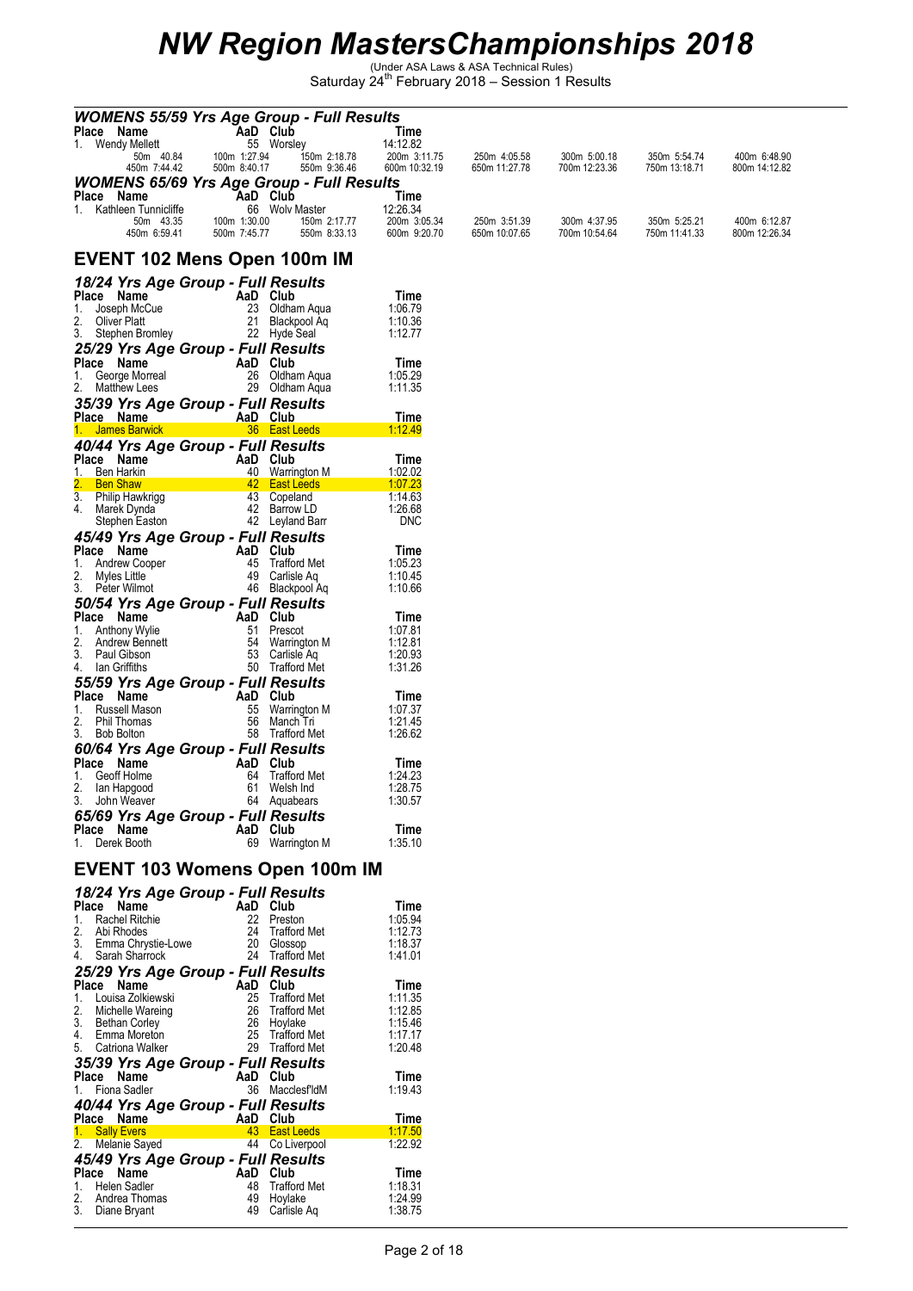| <b>WOMENS 55/59 Yrs Age Group - Full Results</b><br>Place Name<br>AaD Club           |                                    | Time                         |                               |                               |                               |                               |
|--------------------------------------------------------------------------------------|------------------------------------|------------------------------|-------------------------------|-------------------------------|-------------------------------|-------------------------------|
| 1. Wendy Mellett<br>100m 1:27.94<br>50m 40.84                                        | 55 Worsley<br>150m 2:18.78         | 14:12.82<br>200m 3:11.75     | 250m 4:05.58                  | 300m 5:00.18                  | 350m 5:54.74                  | 400m 6:48.90                  |
| 500m 8:40.17<br>450m 7:44.42<br><b>WOMENS 65/69 Yrs Age Group - Full Results</b>     | 550m 9:36.46                       | 600m 10:32.19                | 650m 11:27.78                 | 700m 12:23.36                 | 750m 13:18.71                 | 800m 14:12.82                 |
| Place<br>Name<br>AaD Club<br>1. Kathleen Tunnicliffe                                 | 66 Wolv Master                     | Time<br>12:26.34             |                               |                               |                               |                               |
| 50m 43.35<br>100m 1:30.00<br>450m 6:59.41<br>500m 7:45.77                            | 150m 2:17.77<br>550m 8:33.13       | 200m 3:05.34<br>600m 9:20.70 | 250m 3:51.39<br>650m 10:07.65 | 300m 4:37.95<br>700m 10:54.64 | 350m 5:25.21<br>750m 11:41.33 | 400m 6:12.87<br>800m 12:26.34 |
| EVENT 102 Mens Open 100m IM                                                          |                                    |                              |                               |                               |                               |                               |
| 18/24 Yrs Age Group - Full Results<br>Place Name<br>AaD Club                         |                                    | Time                         |                               |                               |                               |                               |
| 23<br>Joseph McCue<br>1.<br>2.<br>21<br>Oliver Platt                                 | Oldham Aqua<br>Blackpool Aq        | 1:06.79<br>1:10.36           |                               |                               |                               |                               |
| 3.<br>Stephen Bromley<br>25/29 Yrs Age Group - Full Results                          | 22 Hyde Seal                       | 1:12.77                      |                               |                               |                               |                               |
| Place Name<br>AaD Club<br>1.<br>26<br>George Morreal                                 | Oldham Aqua                        | Time<br>1:05.29              |                               |                               |                               |                               |
| 2.<br><b>Matthew Lees</b><br>29                                                      | Oldham Aqua                        | 1:11.35                      |                               |                               |                               |                               |
| 35/39 Yrs Age Group - Full Results<br>AaD Club<br>Place Name<br><b>James Barwick</b> | 36 East Leeds                      | Time                         |                               |                               |                               |                               |
| 40/44 Yrs Age Group - Full Results                                                   |                                    | <u>1:12.49</u>               |                               |                               |                               |                               |
| Place Name<br>AaD<br>1.<br>Ben Harkin<br>40                                          | Club<br><b>Warrington M</b>        | Time<br>1:02.02              |                               |                               |                               |                               |
| <b>Ben Shaw</b><br>3.<br>43<br>Philip Hawkrigg                                       | 42 East Leeds<br>Copeland          | 1:07.23<br>1:14.63           |                               |                               |                               |                               |
| 4.<br>Marek Dynda<br>Stephen Easton                                                  | 42 Barrow LD<br>42 Leyland Barr    | 1:26.68<br><b>DNC</b>        |                               |                               |                               |                               |
| 45/49 Yrs Age Group - Full Results<br>Place Name<br>AaD                              | Club                               | Time                         |                               |                               |                               |                               |
| 45<br><b>Andrew Cooper</b><br>1.<br>2.<br>Myles Little<br>49                         | <b>Trafford Met</b><br>Carlisle Aq | 1:05.23<br>1:10.45           |                               |                               |                               |                               |
| 3.<br>Peter Wilmot<br>50/54 Yrs Age Group - Full Results                             | 46 Blackpool Aq                    | 1:10.66                      |                               |                               |                               |                               |
| Place Name<br>AaD Club<br>51<br>Anthony Wylie<br>1.                                  | Prescot                            | Time<br>1:07.81              |                               |                               |                               |                               |
| 2.<br>54<br>Andrew Bennett<br>3.<br>53<br>Paul Gibson                                | Warrington M<br>Carlisle Ag        | 1:12.81<br>1:20.93           |                               |                               |                               |                               |
| lan Griffiths<br>50<br>4.<br>55/59 Yrs Age Group - Full Results                      | <b>Trafford Met</b>                | 1:31.26                      |                               |                               |                               |                               |
| Place Name<br>AaD<br>Russell Mason<br>55<br>1.                                       | Club<br><b>Warrington M</b>        | Time<br>1:07.37              |                               |                               |                               |                               |
| 2.<br>Phil Thomas<br>56<br>58<br>3.<br>Bob Bolton                                    | Manch Tri<br><b>Trafford Met</b>   | 1:21.45<br>1:26.62           |                               |                               |                               |                               |
| <b>60/64 Yrs Age Group - Full Results</b><br>Place Name<br>AaD                       | Club                               | Time                         |                               |                               |                               |                               |
| Geoff Holme<br>64<br>1.<br>61<br>lan Hapgood                                         | <b>Trafford Met</b><br>Welsh Ind   | 1:24.23<br>1:28.75           |                               |                               |                               |                               |
| 3.<br>John Weaver<br>65/69 Yrs Age Group - Full Results                              | 64 Aquabears                       | 1:30.57                      |                               |                               |                               |                               |
| Place Name<br>AaD Club<br>1. Derek Booth                                             | 69 Warrington M                    | Time<br>1:35.10              |                               |                               |                               |                               |
| <b>EVENT 103 Womens Open 100m IM</b>                                                 |                                    |                              |                               |                               |                               |                               |
| 18/24 Yrs Age Group - Full Results<br>Place Name<br>AaD Club                         |                                    | Time                         |                               |                               |                               |                               |
| Rachel Ritchie<br>1.<br>2.<br>24<br>Abi Rhodes                                       | 22 Preston<br>Trafford Met         | 1:05.94<br>1:12.73           |                               |                               |                               |                               |
| 3.<br>20<br>Emma Chrystie-Lowe<br>4.<br>Sarah Sharrock                               | Glossop<br>24 Trafford Met         | 1:18.37<br>1:41.01           |                               |                               |                               |                               |
| 25/29 Yrs Age Group - Full Results<br>AaD Club<br>Place Name                         |                                    | Time                         |                               |                               |                               |                               |
| Louisa Zolkiewski<br>25<br>1.<br>2.<br>Michelle Wareing                              | Trafford Met<br>26 Trafford Met    | 1:11.35<br>1:12.85           |                               |                               |                               |                               |
| 3.<br>26<br>Bethan Corley<br>4.<br>Emma Moreton                                      | Hoylake<br>25 Trafford Met         | 1:15.46<br>1:17.17           |                               |                               |                               |                               |
| 5.<br>Catriona Walker<br>35/39 Yrs Age Group - Full Results                          | 29 Trafford Met                    | 1:20.48                      |                               |                               |                               |                               |
| Place Name<br>AaD Club<br>1. Fiona Sadler                                            | 36 MacclesfldM                     | Time<br>1:19.43              |                               |                               |                               |                               |
| 40/44 Yrs Age Group - Full Results                                                   |                                    |                              |                               |                               |                               |                               |
| Place Name<br>AaD Club<br>1. Sally Evers                                             | 43 East Leeds                      | Time<br><u>1:17.50</u>       |                               |                               |                               |                               |
| 2.<br>Melanie Sayed<br>45/49 Yrs Age Group - Full Results                            | 44 Co Liverpool                    | 1:22.92                      |                               |                               |                               |                               |
| Place Name<br>AaD Club<br>Helen Sadler<br>1.<br>48                                   | Trafford Met                       | Time<br>1:18.31              |                               |                               |                               |                               |
| 2.<br>Andrea Thomas<br>3.<br>Diane Bryant                                            | 49 Hoylake<br>49 Carlisle Aq       | 1:24.99<br>1:38.75           |                               |                               |                               |                               |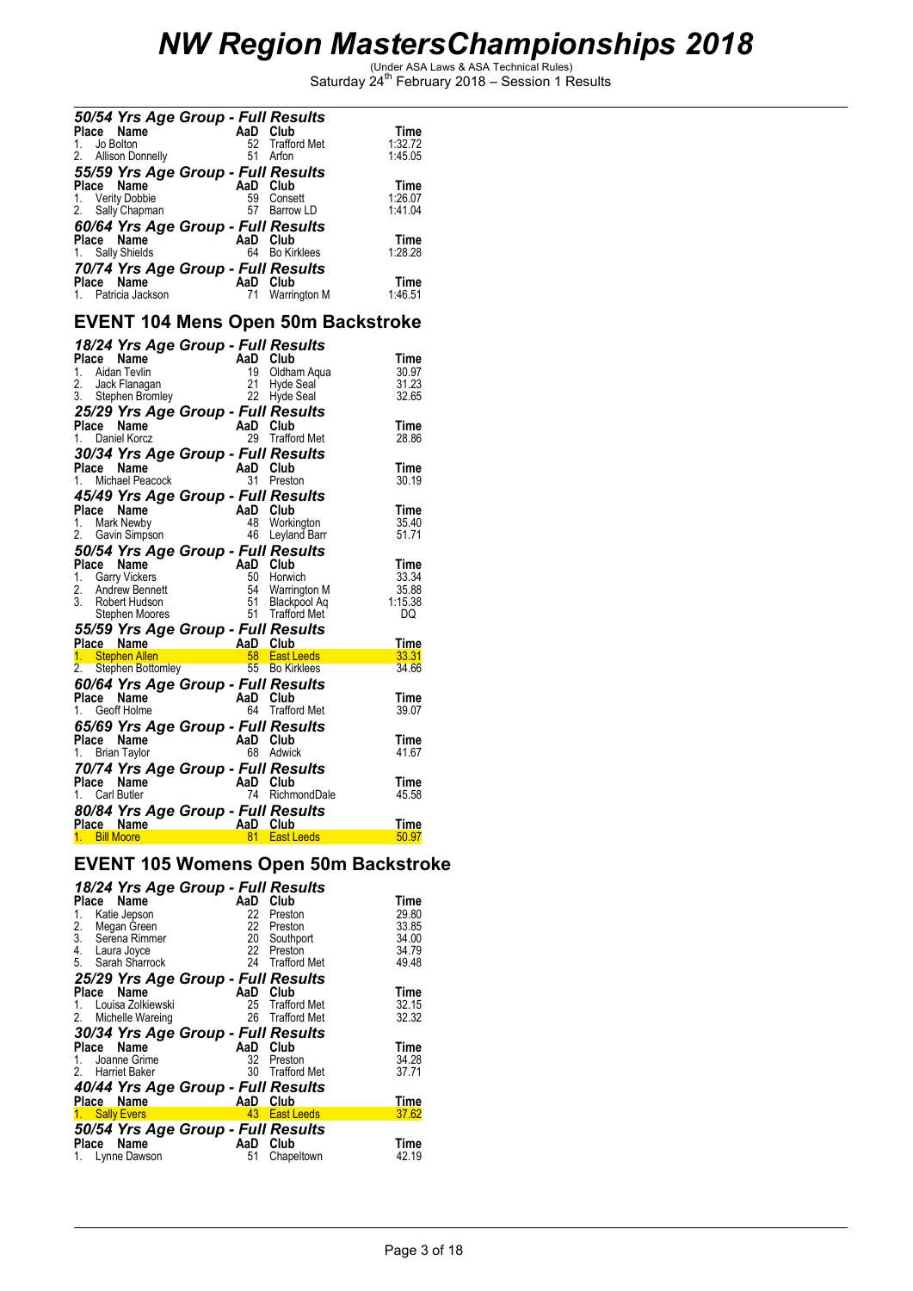|                 | 50/54 Yrs Age Group - Full Results |          |                                                                                                                                                                                                                                          |               |
|-----------------|------------------------------------|----------|------------------------------------------------------------------------------------------------------------------------------------------------------------------------------------------------------------------------------------------|---------------|
| Place Name      |                                    | AaD Club |                                                                                                                                                                                                                                          | Time          |
| 1.              | Jo Bolton                          | 52       | <b>Trafford Met</b>                                                                                                                                                                                                                      | 1:32.72       |
| 2.              | <b>Allison Donnelly</b>            | 51       | Arfon                                                                                                                                                                                                                                    | 1:45.05       |
|                 |                                    |          |                                                                                                                                                                                                                                          |               |
|                 | 55/59 Yrs Age Group - Full Results |          |                                                                                                                                                                                                                                          |               |
| Place Name      |                                    | AaD Club |                                                                                                                                                                                                                                          | Time          |
|                 | 1. Verity Dobbie                   | 59       | Consett                                                                                                                                                                                                                                  | 1:26.07       |
| 2.              | Sally Chapman                      |          | 57 Barrow LD                                                                                                                                                                                                                             | 1:41.04       |
|                 | 60/64 Yrs Age Group - Full Results |          |                                                                                                                                                                                                                                          |               |
| Place Name      |                                    | AaD Club |                                                                                                                                                                                                                                          | Time          |
|                 | 1. Sally Shields                   | 64       | <b>Bo Kirklees</b>                                                                                                                                                                                                                       | 1:28.28       |
|                 |                                    |          |                                                                                                                                                                                                                                          |               |
|                 | 70/74 Yrs Age Group - Full Results |          |                                                                                                                                                                                                                                          |               |
| Place Name      |                                    | AaD Club |                                                                                                                                                                                                                                          | Time          |
|                 | 1. Patricia Jackson                | 71       | Warrington M                                                                                                                                                                                                                             | 1:46.51       |
|                 |                                    |          |                                                                                                                                                                                                                                          |               |
|                 |                                    |          | <b>EVENT 104 Mens Open 50m Backstroke</b>                                                                                                                                                                                                |               |
|                 | 18/24 Yrs Age Group - Full Results |          |                                                                                                                                                                                                                                          |               |
| Place           | Name                               | AaD Club |                                                                                                                                                                                                                                          | Time          |
| 1.              | Aidan Tevlin                       | 19       | Oldham Aqua                                                                                                                                                                                                                              | 30.97         |
| 2.              | Jack Flanagan                      | 21       | <b>Hyde Seal</b>                                                                                                                                                                                                                         | 31.23         |
| 3.              | Stephen Bromley                    | 22       | Hyde Seal                                                                                                                                                                                                                                | 32.65         |
|                 |                                    |          |                                                                                                                                                                                                                                          |               |
|                 | 25/29 Yrs Age Group - Full Results |          |                                                                                                                                                                                                                                          |               |
| Place Name      |                                    | AaD Club |                                                                                                                                                                                                                                          | Time          |
| 1.              | Daniel Korcz                       |          | 29 Trafford Met                                                                                                                                                                                                                          | 28.86         |
|                 | 30/34 Yrs Age Group - Full Results |          |                                                                                                                                                                                                                                          |               |
| Place           | Name                               | AaD Club |                                                                                                                                                                                                                                          | Time          |
|                 | 1. Michael Peacock                 | 31       | Preston                                                                                                                                                                                                                                  | 30.19         |
|                 |                                    |          |                                                                                                                                                                                                                                          |               |
|                 | 45/49 Yrs Age Group - Full Results |          |                                                                                                                                                                                                                                          |               |
| Place Name      |                                    | AaD Club |                                                                                                                                                                                                                                          | Time          |
| 1.              | Mark Newby                         | 48       | Workington                                                                                                                                                                                                                               | 35.40         |
| 2.              | Gavin Simpson                      |          | 46 Leyland Barr                                                                                                                                                                                                                          | 51.71         |
|                 | 50/54 Yrs Age Group - Full Results |          |                                                                                                                                                                                                                                          |               |
| Place Name      |                                    | AaD Club |                                                                                                                                                                                                                                          | Time          |
| 1.              | <b>Garry Vickers</b>               | 50       | Horwich                                                                                                                                                                                                                                  | 33.34         |
| 2.              | <b>Andrew Bennett</b>              | 54       | Warrington M                                                                                                                                                                                                                             | 35.88         |
| 3.              | Robert Hudson                      | 51       | Blackpool Aq                                                                                                                                                                                                                             | 1:15.38       |
|                 | Stephen Moores                     |          | 51 Trafford Met                                                                                                                                                                                                                          | DQ            |
|                 |                                    |          |                                                                                                                                                                                                                                          |               |
|                 | 55/59 Yrs Age Group - Full Results |          |                                                                                                                                                                                                                                          |               |
| Place Name      | 1. Stephen Allen                   |          | <b>AaD Club</b><br>and the booking the same of the same of the same of the same of the same of the same of the same of the same o<br>and the same of the same of the same of the same of the same of the same of the same of the same of | Time<br>33.31 |
| 2.              | Stephen Bottomley                  |          |                                                                                                                                                                                                                                          | 34.66         |
|                 |                                    |          |                                                                                                                                                                                                                                          |               |
|                 | 60/64 Yrs Age Group - Full Results |          |                                                                                                                                                                                                                                          |               |
| Place Name      |                                    | AaD Club |                                                                                                                                                                                                                                          | Time          |
| 1.              | Geoff Holme                        | 64       | <b>Trafford Met</b>                                                                                                                                                                                                                      | 39.07         |
|                 | 65/69 Yrs Age Group - Full Results |          |                                                                                                                                                                                                                                          |               |
| Place Name      |                                    | AaD Club |                                                                                                                                                                                                                                          | Time          |
| 1. Brian Taylor |                                    |          | 68 Adwick                                                                                                                                                                                                                                | 41.67         |
|                 |                                    |          |                                                                                                                                                                                                                                          |               |
|                 | 70/74 Yrs Age Group - Full Results |          |                                                                                                                                                                                                                                          |               |
| Place Name      |                                    | AaD Club |                                                                                                                                                                                                                                          | Time          |
| 1. Carl Butler  |                                    | 74       | RichmondDale                                                                                                                                                                                                                             | 45.58         |
|                 | 80/84 Yrs Age Group - Full Results |          |                                                                                                                                                                                                                                          |               |
| Place Name      |                                    | AaD      | Club                                                                                                                                                                                                                                     | Time          |
| 1. Bill Moore   |                                    | 81       | <b>East Leeds</b>                                                                                                                                                                                                                        | 50.97         |
|                 |                                    |          |                                                                                                                                                                                                                                          |               |

### **EVENT 105 Womens Open 50m Backstroke**

|                                                  |                 | 18/24 Yrs Age Group - Full Results |       |
|--------------------------------------------------|-----------------|------------------------------------|-------|
| Name<br>Place                                    | AaD             | Club                               | Time  |
| Katie Jepson<br>1.                               | 22              | Preston                            | 29.80 |
| $\frac{2}{3}$ .<br>Megan Green                   |                 | 22 Preston                         | 33.85 |
| Serena Rimmer                                    | 20 <sub>2</sub> | Southport                          | 34.00 |
| 4. Laura Joyce                                   |                 | 22 Preston                         | 34.79 |
| 5. Sarah Sharrock                                |                 | 24 Trafford Met                    | 49.48 |
| 25/29 Yrs Age Group - Full Results               |                 |                                    |       |
| Place Name                                       | AaD             | Club                               | Time  |
| Louisa Zolkiewski                                |                 | 25 Trafford Met                    | 32.15 |
| 2.<br>Michelle Wareing                           |                 | 26 Trafford Met                    | 32.32 |
| 30/34 Yrs Age Group - Full Results               |                 |                                    |       |
| Place Name                                       | AaD             | Club                               | Time  |
|                                                  |                 |                                    |       |
| 1. Joanne Grime                                  | 32              | Preston                            | 34.28 |
| 2. Harriet Baker                                 |                 | 30 Trafford Met                    | 37.71 |
|                                                  |                 |                                    |       |
| 40/44 Yrs Age Group - Full Results<br>Place Name | AaD             | Club                               | Time  |
| <b>Sally Evers</b>                               |                 | 43 East Leeds                      | 37.62 |
|                                                  |                 |                                    |       |
| 50/54 Yrs Age Group - Full Results<br>Place Name | AaD             | Club                               | Time  |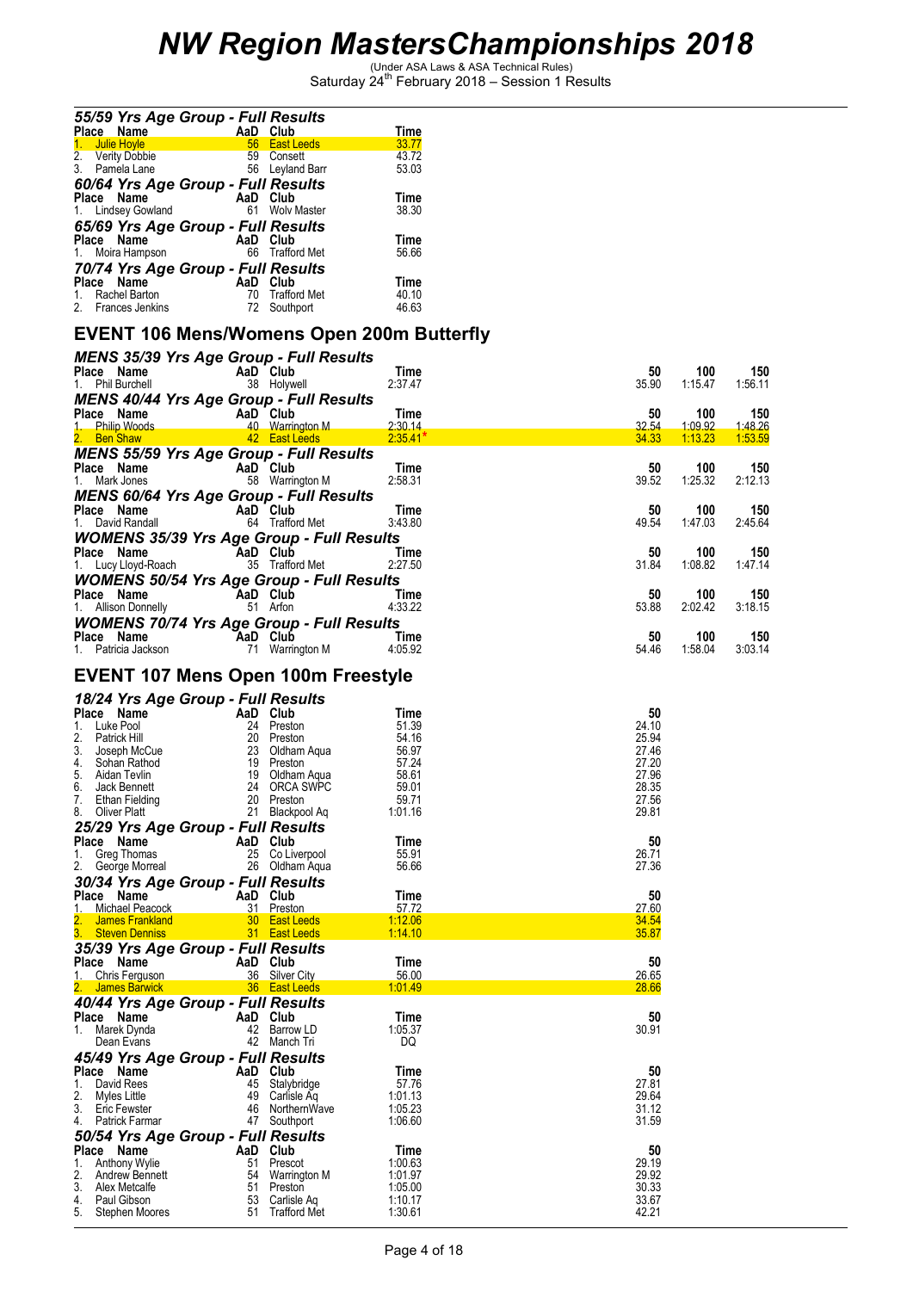| 55/59 Yrs Age Group - Full Results<br>Place Name<br>AaD Club              | Time           |
|---------------------------------------------------------------------------|----------------|
| <b>East Leeds</b><br>Julie Hoyle<br>56 <sup>°</sup><br>1.                 | 33.77          |
| 2. Verity Dobbie<br>3. Pamela Lane<br>59<br>Consett<br>56<br>Leyland Barr | 43.72<br>53.03 |
| 60/64 Yrs Age Group - Full Results                                        |                |
| AaD Club<br>Place Name                                                    | <b>Time</b>    |
| 61<br><b>Wolv Master</b><br>1. Lindsey Gowland                            | 38.30          |
| 65/69 Yrs Age Group - Full Results                                        |                |
| Place Name<br>AaD Club                                                    | <b>Time</b>    |
| 66 Trafford Met<br>1. Moira Hampson                                       | 56.66          |
| 70/74 Yrs Age Group - Full Results                                        |                |
| Club<br>AaD<br>Place Name                                                 | <b>Time</b>    |
| 70<br><b>Trafford Met</b><br>Rachel Barton<br>1.                          | 40.10          |
| 2. Frances Jenkins<br>Southport<br>72.                                    | 46.63          |

### **EVENT 106 Mens/Womens Open 200m Butterfly**

| <b>MENS 35/39 Yrs Age Group - Full Results</b>                                                                                                                                                                                                 |          |                                |                    |                |                 |                |
|------------------------------------------------------------------------------------------------------------------------------------------------------------------------------------------------------------------------------------------------|----------|--------------------------------|--------------------|----------------|-----------------|----------------|
| Place Name                                                                                                                                                                                                                                     |          | <b>AaD Club</b><br>38 Holywell | Time               | 50             | 100             | 150            |
| 1. Phil Burchell                                                                                                                                                                                                                               |          |                                | 2:37.47            | 35.90          | 1:15.47         | 1:56.11        |
| <b>MENS 40/44 Yrs Age Group - Full Results</b>                                                                                                                                                                                                 |          |                                |                    |                |                 |                |
| riace Name<br>1. Philip Woods 40 Month                                                                                                                                                                                                         |          |                                | Time               | 50             | 100             | 150            |
|                                                                                                                                                                                                                                                |          | AaD Club<br>40 Warrington M    | 2:30.14            | 32.54          | <u>1:09.92 </u> | <u>1:48.26</u> |
| 2. Ben Shaw                                                                                                                                                                                                                                    |          | $42$ East Leeds                | $2:35.41*$         | 34.33          | 1:13.23         | 1:53.59        |
| <b>MENS 55/59 Yrs Age Group - Full Results</b>                                                                                                                                                                                                 |          |                                |                    |                |                 |                |
|                                                                                                                                                                                                                                                | AaD Club |                                | Time               | 50             | 100             | 150            |
| <b>riace Name</b><br>1. Mark Jones                                                                                                                                                                                                             |          | 58 Warrington M                | 2:58.31            | 39.52          | 1:25.32         | 2:12.13        |
| <b>MENS 60/64 Yrs Age Group - Full Results</b>                                                                                                                                                                                                 |          |                                |                    |                |                 |                |
| <b>Place Name</b><br>1. David Randall                                                                                                                                                                                                          | AaD Club |                                | Time               | 50             | 100             | 150            |
|                                                                                                                                                                                                                                                |          | 64 Trafford Met                | 3:43.80            | 49.54          | 1:47.03         | 2:45.64        |
| <b>WOMENS 35/39 Yrs Age Group - Full Results</b>                                                                                                                                                                                               |          |                                |                    |                |                 |                |
| <b>Place Name CAaD Club</b><br>1. Lucy Lloyd-Roach 35 Trafford Met 2:27.50                                                                                                                                                                     |          |                                |                    | 50             | 100             | 150            |
|                                                                                                                                                                                                                                                |          |                                |                    | 31.84          | 1:08.82         | 1:47.14        |
| <b>WOMENS 50/54 Yrs Age Group - Full Results</b>                                                                                                                                                                                               |          |                                |                    |                |                 |                |
| <b>Place Name</b><br>1. Allison Donnelly<br>1. Allison Donnelly<br>51 Arfon                                                                                                                                                                    |          | $Time$<br>$4:33.22$            |                    | 50             | 100             | 150            |
|                                                                                                                                                                                                                                                |          |                                | 4:33.22            | 53.88          | 2:02.42         | 3:18.15        |
| <b>WOMENS 70/74 Yrs Age Group - Full Results</b>                                                                                                                                                                                               |          |                                |                    |                |                 |                |
| <b>Place Name</b><br>1. Patricia Jackson <b>71</b> Warrington M                                                                                                                                                                                |          |                                | <b>Time</b>        | 50             | 100             | 150            |
|                                                                                                                                                                                                                                                |          |                                | 4:05.92            | 54.46          | 1:58.04         | 3:03.14        |
|                                                                                                                                                                                                                                                |          |                                |                    |                |                 |                |
| EVENT 107 Mens Open 100m Freestyle                                                                                                                                                                                                             |          |                                |                    |                |                 |                |
| 18/24 Yrs Age Group - Full Results                                                                                                                                                                                                             |          |                                |                    |                |                 |                |
| 18/24 YFS Age Group - Function and Club<br>1. Luke Pool 24 Preston 51.39<br>20 Preston 54.16<br>2. Patrick Hill<br>2. Detrick Hill<br>3. Joseph McCue 23 Oldham Aqua 56.97<br>4. Sohan Rathod 19 Preston 57.24<br>5. Aidan Tevlin<br>6. Jack B |          |                                |                    | 50             |                 |                |
|                                                                                                                                                                                                                                                |          |                                |                    | 24.10          |                 |                |
|                                                                                                                                                                                                                                                |          |                                |                    | 25.94          |                 |                |
|                                                                                                                                                                                                                                                |          |                                |                    | 27.46          |                 |                |
|                                                                                                                                                                                                                                                |          |                                |                    | 27.20          |                 |                |
|                                                                                                                                                                                                                                                |          |                                |                    | 27.96          |                 |                |
|                                                                                                                                                                                                                                                |          |                                |                    | 28.35          |                 |                |
|                                                                                                                                                                                                                                                |          |                                |                    | 27.56          |                 |                |
|                                                                                                                                                                                                                                                |          |                                |                    | 29.81          |                 |                |
|                                                                                                                                                                                                                                                |          |                                |                    |                |                 |                |
|                                                                                                                                                                                                                                                |          |                                | Time               | 50             |                 |                |
| <b>25/29 Yrs Age Group - Full Results<br/>Place Name AaD Club<br/>1. Greg Thomas 25 Co Liverpool<br/>2. George Morreal 26 Oldham Aqua<br/>2. George Morreal 26 Oldham Aqua</b>                                                                 |          |                                | 55.91<br>56.66     | 26.71<br>27.36 |                 |                |
|                                                                                                                                                                                                                                                |          |                                |                    |                |                 |                |
| 30/34 Yrs Age Group - Full Results<br>Place Name                                                                                                                                                                                               |          |                                | Time               | 50             |                 |                |
| AaD Club<br>1. Michael Peacock                                                                                                                                                                                                                 |          |                                | 57.72              | 27.60          |                 |                |
| $\overline{\mathbf{2}}$ .                                                                                                                                                                                                                      |          |                                |                    | 34.54          |                 |                |
| 3.                                                                                                                                                                                                                                             |          |                                |                    | 35.87          |                 |                |
| 35/39 Yrs Age Group - Full Results                                                                                                                                                                                                             |          |                                |                    |                |                 |                |
| Place Name<br>$\overline{A}$ a Club                                                                                                                                                                                                            |          |                                | Time               | 50             |                 |                |
| 1. Chris Ferguson                                                                                                                                                                                                                              |          | 36 Silver City                 | 56.00              | 26.65          |                 |                |
| 2. James Barwick 36 East Leeds                                                                                                                                                                                                                 |          |                                | 1:01.49            | 28.66          |                 |                |
| 40/44 Yrs Age Group - Full Results                                                                                                                                                                                                             |          |                                |                    |                |                 |                |
| Place Name                                                                                                                                                                                                                                     | AaD Club |                                | Time               | 50             |                 |                |
| an Si<br>1. Marek Dynda                                                                                                                                                                                                                        |          | 42 Barrow LD                   | 1:05.37            | 30.91          |                 |                |
| Dean Evans                                                                                                                                                                                                                                     |          | 42 Manch Tri                   | DQ                 |                |                 |                |
| 45/49 Yrs Age Group - Full Results                                                                                                                                                                                                             |          |                                |                    |                |                 |                |
| Place Name                                                                                                                                                                                                                                     |          | AaD Club                       | Time               | 50             |                 |                |
| 1.<br>David Rees                                                                                                                                                                                                                               | 45       | Stalybridge                    | 57.76              | 27.81          |                 |                |
| 2.<br>Myles Little                                                                                                                                                                                                                             | 49       | Carlisle Aq                    | 1:01.13            | 29.64          |                 |                |
| 3.<br>Eric Fewster                                                                                                                                                                                                                             | 46       | NorthernWave                   | 1:05.23            | 31.12          |                 |                |
| Patrick Farmar<br>4.                                                                                                                                                                                                                           |          | 47 Southport                   | 1:06.60            | 31.59          |                 |                |
| 50/54 Yrs Age Group - Full Results                                                                                                                                                                                                             |          |                                |                    |                |                 |                |
| Place Name                                                                                                                                                                                                                                     | AaD      | Club                           | Time               | 50             |                 |                |
| Anthony Wylie<br>1.<br>2.<br>Andrew Bennett                                                                                                                                                                                                    | 51<br>54 | Prescot<br>Warrington M        | 1:00.63<br>1:01.97 | 29.19<br>29.92 |                 |                |
| 3.<br>Alex Metcalfe                                                                                                                                                                                                                            | 51       | Preston                        | 1:05.00            | 30.33          |                 |                |
| 4.<br>Paul Gibson                                                                                                                                                                                                                              | 53       | Carlisle Aq                    | 1:10.17            | 33.67          |                 |                |
| 5.<br>Stephen Moores                                                                                                                                                                                                                           | 51       | <b>Trafford Met</b>            | 1:30.61            | 42.21          |                 |                |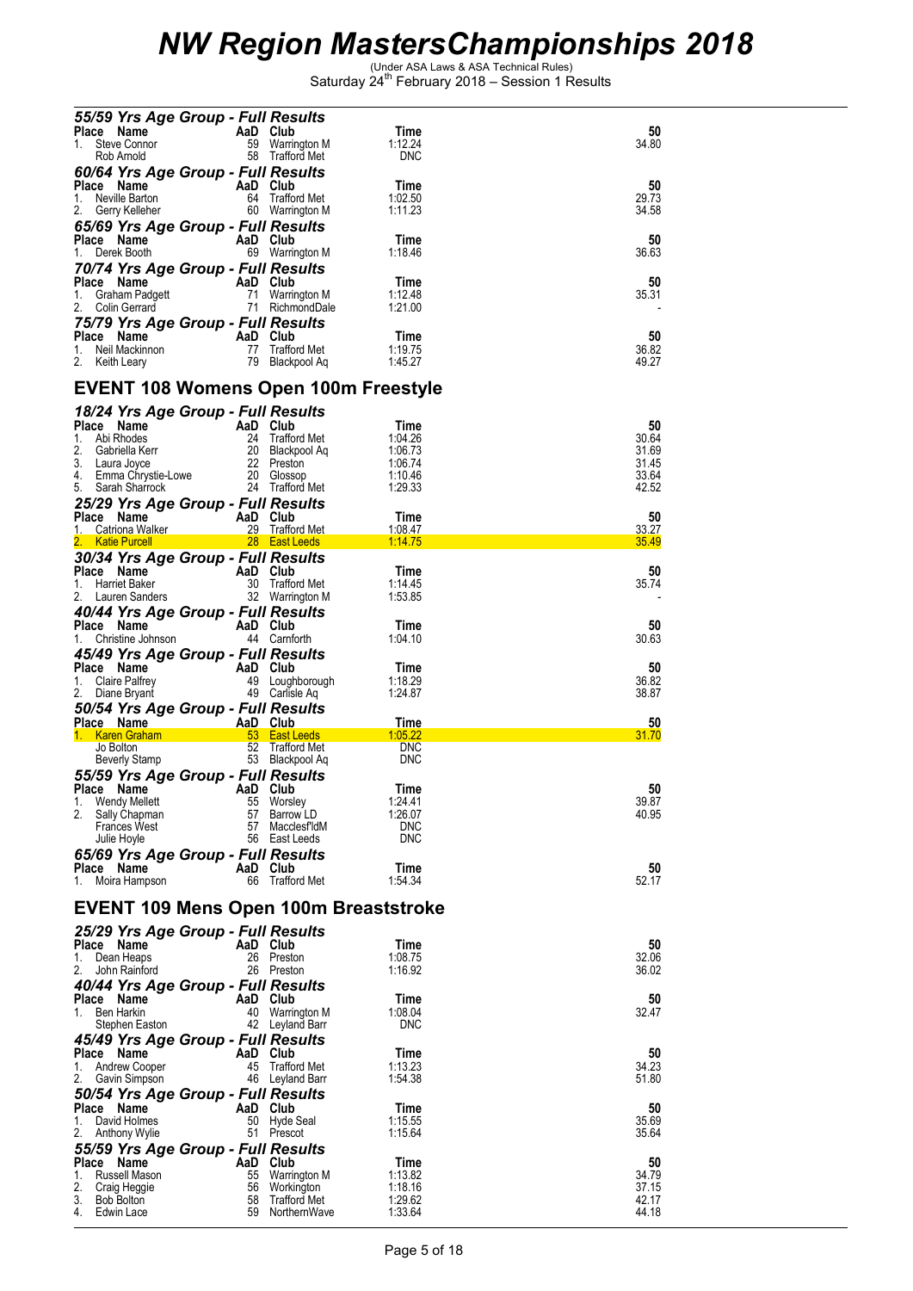| 55/59 Yrs Age Group - Full Results                        |                                                              |                                              |                    |                |
|-----------------------------------------------------------|--------------------------------------------------------------|----------------------------------------------|--------------------|----------------|
| Place Name                                                | AaD Club                                                     |                                              | Time               | 50             |
| $1_{\ldots}$<br>Steve Connor                              |                                                              | 59 Warrington M                              | 1:12.24            | 34.80          |
| Rob Arnold                                                |                                                              | 58 Trafford Met                              | DNC                |                |
| 60/64 Yrs Age Group - Full Results                        |                                                              |                                              |                    |                |
| Place Name                                                | AaD Club                                                     |                                              | Time               | 50             |
| 1.<br>Neville Barton                                      |                                                              | 64 Trafford Met                              | 1:02.50            | 29.73          |
| 2. Gerry Kelleher                                         |                                                              | 60 Warrington M                              | 1:11.23            | 34.58          |
| 65/69 Yrs Age Group - Full Results                        |                                                              |                                              |                    |                |
| Place Name                                                | AaD Club                                                     |                                              | Time               | 50             |
| 1.<br>Derek Booth                                         | The Contract of                                              | 69 Warrington M                              | 1:18.46            | 36.63          |
|                                                           |                                                              |                                              |                    |                |
| 70/74 Yrs Age Group - Full Results                        |                                                              | AaD Club<br>71 Warrington M<br>71 Pichmann M |                    |                |
| Place Name                                                |                                                              |                                              | Time               | 50             |
| 1.<br>Graham Padgett                                      |                                                              |                                              | 1:12.48            | 35.31          |
| 2.<br>Colin Gerrard                                       |                                                              | 71 RichmondDale                              | 1:21.00            |                |
| 75/79 Yrs Age Group - Full Results                        |                                                              |                                              |                    |                |
| Place Name                                                | AaD Club                                                     |                                              | Time               | 50             |
| Neil Mackinnon<br>1.                                      |                                                              | 77 Trafford Met                              | 1:19.75            | 36.82          |
| 2. Keith Leary                                            |                                                              | 79 Blackpool Aq                              | 1:45.27            | 49.27          |
|                                                           |                                                              |                                              |                    |                |
|                                                           |                                                              | EVENT 108 Womens Open 100m Freestyle         |                    |                |
|                                                           |                                                              |                                              |                    |                |
| 18/24 Yrs Age Group - Full Results                        |                                                              |                                              |                    |                |
| Place Name<br>$1_{\ldots}$<br>Abi Rhodes                  | AaD Club<br>24 Trafford Met<br>20 Blackpool Aq<br>22 Preston |                                              | Time<br>1:04.26    | 50             |
| 2.                                                        |                                                              |                                              | 1:06.73            | 30.64<br>31.69 |
| Gabriella Kerr<br>3. Laura Joyce                          |                                                              |                                              | 1:06.74            | 31.45          |
|                                                           |                                                              | 20 Glossop                                   | 1:10.46            | 33.64          |
| 4. Emma Chrystie-Lowe<br>5. Sarah Sharrock                |                                                              | 24 Trafford Met                              | 1:29.33            | 42.52          |
| 5. Sarah Sharrock                                         |                                                              |                                              |                    |                |
| 25/29 Yrs Age Group - Full Results                        |                                                              |                                              |                    |                |
| Place Name                                                | <b>AaD</b> Club                                              |                                              | Time               | 50             |
| 1. Catriona Walker                                        |                                                              | 29 Trafford Met                              | 1:08.47            | 33.27          |
|                                                           |                                                              | 2. Katie Purcell 28 East Leeds 1:14.75       |                    | 35.49          |
| 30/34 Yrs Age Group - Full Results                        |                                                              |                                              |                    |                |
| Place Name                                                | AaD Club                                                     |                                              | Time               | 50             |
| 1.<br>Harriet Baker                                       |                                                              | 30 Trafford Met                              | 1:14.45            | 35.74          |
| 2.<br>Lauren Sanders                                      |                                                              | 32 Warrington M                              | 1:53.85            |                |
| 40/44 Yrs Age Group - Full Results                        |                                                              |                                              |                    |                |
| Place Name                                                | AaD Club                                                     |                                              | Time               | 50             |
| Christine Johnson<br>1.                                   |                                                              | 44 Carnforth                                 | 1:04.10            | 30.63          |
|                                                           |                                                              |                                              |                    |                |
| 45/49 Yrs Age Group - Full Results                        |                                                              |                                              |                    |                |
|                                                           |                                                              |                                              |                    |                |
| Place Name                                                |                                                              |                                              | Time               | 50             |
| 1.<br>Claire Palfrey                                      |                                                              |                                              | 1:18.29            | 36.82          |
| 2. Diane Bryant                                           | AaD Club<br>49 Loughborough<br>49 Carlisle Aa                |                                              | 1:24.87            | 38.87          |
| 50/54 Yrs Age Group - Full Results                        |                                                              |                                              |                    |                |
| Place Name                                                | AaD Club                                                     |                                              | Time               | 50             |
| 1. Karen Graham                                           | <b>1988</b> 53 East Leeds                                    |                                              | 1:05.22            | 31.70          |
| Jo Bolton                                                 |                                                              | 52 Trafford Met                              | <b>DNC</b>         |                |
| Beverly Stamp                                             |                                                              | 53 Blackpool Aq                              | <b>DNC</b>         |                |
|                                                           |                                                              |                                              |                    |                |
| 55/59 Yrs Age Group - Full Results<br>Place Name AaD Club |                                                              |                                              | Time               | 50             |
| 1.<br><b>Wendy Mellett</b>                                | 55                                                           | Worsley                                      | 1:24.41            | 39.87          |
| 2.<br>Sally Chapman                                       | 57                                                           | Barrow LD                                    | 1:26.07            | 40.95          |
| <b>Frances West</b>                                       | 57                                                           | MacclesfldM                                  | <b>DNC</b>         |                |
| Julie Hoyle                                               |                                                              | 56 East Leeds                                | <b>DNC</b>         |                |
|                                                           |                                                              |                                              |                    |                |
| 65/69 Yrs Age Group - Full Results                        |                                                              |                                              | Time               |                |
| Place Name<br>1.<br>Moira Hampson                         | AaD Club<br>66                                               | Trafford Met                                 | 1:54.34            | 50<br>52.17    |
|                                                           |                                                              |                                              |                    |                |
|                                                           |                                                              |                                              |                    |                |
|                                                           |                                                              | EVENT 109 Mens Open 100m Breaststroke        |                    |                |
|                                                           |                                                              |                                              |                    |                |
| 25/29 Yrs Age Group - Full Results<br>Place Name          | AaD Club                                                     |                                              | Time               | 50             |
| 1.                                                        | 26                                                           | Preston                                      |                    |                |
| Dean Heaps<br>2.<br>John Rainford                         |                                                              | 26 Preston                                   | 1:08.75<br>1:16.92 | 32.06<br>36.02 |
|                                                           |                                                              |                                              |                    |                |
| 40/44 Yrs Age Group - Full Results                        |                                                              |                                              |                    |                |
| Place<br>Name                                             | AaD                                                          | Club                                         | Time               | 50             |
| Ben Harkin<br>1.                                          | 40                                                           | Warrington M                                 | 1:08.04            | 32.47          |
| Stephen Easton                                            |                                                              | 42 Leyland Barr                              | <b>DNC</b>         |                |
| 45/49 Yrs Age Group - Full Results                        |                                                              |                                              |                    |                |
| Place<br>Name                                             | AaD                                                          | Club                                         | Time               | 50             |
| Andrew Cooper<br>1.                                       | 45                                                           | Trafford Met                                 | 1:13.23            | 34.23          |
| 2.<br>Gavin Simpson                                       |                                                              | 46 Leyland Barr                              | 1:54.38            | 51.80          |
| 50/54 Yrs Age Group - Full Results                        |                                                              |                                              |                    |                |
| Place Name                                                | AaD                                                          | Club                                         | Time               | 50             |
| David Holmes<br>1.                                        | 50                                                           | Hyde Seal                                    | 1:15.55            | 35.69          |
| 2.<br>Anthony Wylie                                       |                                                              | 51 Prescot                                   | 1:15.64            | 35.64          |
|                                                           |                                                              |                                              |                    |                |
| 55/59 Yrs Age Group - Full Results<br>Place Name          | AaD                                                          | <b>Club</b>                                  | Time               | 50             |
| 1.<br>Russell Mason                                       | 55                                                           | Warrington M                                 | 1:13.82            | 34.79          |
| 2.                                                        | 56                                                           |                                              | 1:18.16            | 37.15          |
| Craig Heggie<br>3.<br><b>Bob Bolton</b>                   | 58                                                           | Workington<br><b>Trafford Met</b>            | 1:29.62            | 42.17          |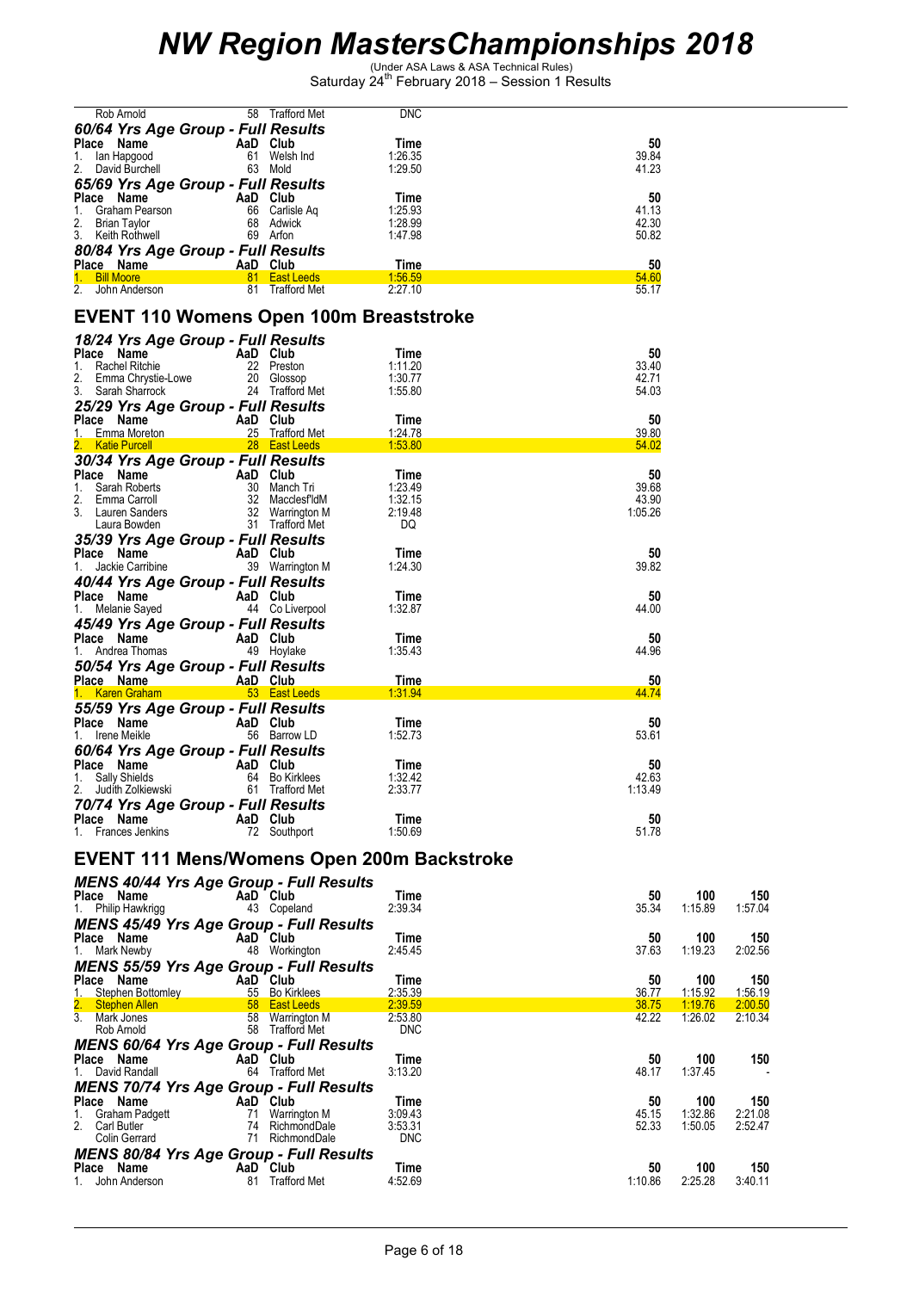| Rob Arnold                         | 58                      | <b>DNC</b><br><b>Trafford Met</b> |       |
|------------------------------------|-------------------------|-----------------------------------|-------|
| 60/64 Yrs Age Group - Full Results |                         |                                   |       |
| <b>Place</b><br>Name               | Club<br>AaD             | Time                              | 50    |
| lan Hapgood<br>1.                  | Welsh Ind<br>61         | 1:26.35                           | 39.84 |
| David Burchell<br>2.               | 63<br>Mold              | 1:29.50                           | 41.23 |
| 65/69 Yrs Age Group - Full Results |                         |                                   |       |
| Place<br>Name                      | Club<br>AaD             | Time                              | 50    |
| Graham Pearson                     | 66<br>Carlisle Ag       | 1:25.93                           | 41.13 |
| <b>Brian Taylor</b><br>2.          | Adwick<br>68            | 1:28.99                           | 42.30 |
| 3.<br>Keith Rothwell               | Arfon<br>69             | 1:47.98                           | 50.82 |
| 80/84 Yrs Age Group - Full Results |                         |                                   |       |
| Place Name                         | Club<br>AaD             | Time                              | 50    |
| <b>Bill Moore</b>                  | 81<br><b>East Leeds</b> | 1:56.59                           | 54.60 |
| 2.<br>John Anderson                | 81                      | <b>Trafford Met</b><br>2:27.10    | 55.17 |

### **EVENT 110 Womens Open 100m Breaststroke**

| 18/24 Yrs Age Group - Full Results    |                               |                    |                |
|---------------------------------------|-------------------------------|--------------------|----------------|
| Place Name                            | AaD Club                      | Time               | 50             |
| <b>Rachel Ritchie</b><br>1.           | 22 Preston                    | 1:11.20            | 33.40          |
| 2.<br>Emma Chrystie-Lowe              | 20 Glossop<br>24 Trafford Met | 1:30.77<br>1:55.80 | 42.71<br>54.03 |
| Sarah Sharrock                        |                               |                    |                |
| 25/29 Yrs Age Group - Full Results    |                               |                    |                |
| Place Name<br>Emma Moreton<br>$1_{-}$ | AaD Club<br>25 Trafford Met   | Time<br>1:24.78    | 50<br>39.80    |
| <b>Katie Purcell</b>                  | 28 East Leeds                 | 1:53.80            | 54.02          |
| 30/34 Yrs Age Group - Full Results    |                               |                    |                |
| Place Name                            | AaD Club                      | Time               | 50             |
| $1_{\cdot}$<br>Sarah Roberts          | 30 Manch Tri                  | 1:23.49            | 39.68          |
| 2.<br>Emma Carroll                    | 32 MacclesfldM                | 1:32.15            | 43.90          |
| 3.<br>Lauren Sanders                  | 32 Warrington M               | 2:19.48            | 1:05.26        |
| Laura Bowden                          | 31 Trafford Met               | DQ                 |                |
| 35/39 Yrs Age Group - Full Results    |                               |                    |                |
| Place<br>Name                         | AaD Club                      | Time               | 50             |
| Jackie Carribine<br>1.                | 39 Warrington M               | 1:24.30            | 39.82          |
| 40/44 Yrs Age Group - Full Results    |                               |                    |                |
| Place Name                            | AaD Club                      | Time               | 50             |
| Melanie Sayed                         | 44 Co Liverpool               | 1:32.87            | 44.00          |
| 45/49 Yrs Age Group - Full Results    |                               |                    |                |
| Place Name                            | AaD Club                      | Time               | 50             |
| Andrea Thomas                         | 49 Hoylake                    | 1:35.43            | 44.96          |
| 50/54 Yrs Age Group - Full Results    |                               |                    |                |
| Place Name                            | AaD Club                      | Time               | 50             |
| 1. Karen Graham                       | 53 East Leeds                 | 1:31.94            | 44.74          |
| 55/59 Yrs Age Group - Full Results    |                               |                    |                |
| Place Name                            | AaD Club                      | Time               | 50             |
| Irene Meikle<br>1.                    | 56 Barrow LD                  | 1:52.73            | 53.61          |
| 60/64 Yrs Age Group - Full Results    |                               |                    |                |
| Place Name                            | AaD Club                      | Time               | 50             |
| 1.<br>Sally Shields                   | 64 Bo Kirklees                | 1:32.42            | 42.63          |
| 2. Judith Zolkiewski                  | 61 Trafford Met               | 2:33.77            | 1:13.49        |
| 70/74 Yrs Age Group - Full Results    |                               |                    |                |
| Place<br>Name                         | AaD Club                      | Time               | 50             |
| Frances Jenkins                       | 72<br>Southport               | 1:50.69            | 51.78          |

#### **EVENT 111 Mens/Womens Open 200m Backstroke**

| <b>MENS 40/44 Yrs Age Group - Full Results</b>               |    |                     |            |       |         |         |
|--------------------------------------------------------------|----|---------------------|------------|-------|---------|---------|
| Place Name                                                   |    | AaD Club            | Time       | 50    | 100     | 150     |
| 1. Philip Hawkrigg                                           |    | 43 Copeland         | 2:39.34    | 35.34 | 1:15.89 | 1:57.04 |
| <b>MENS 45/49 Yrs Age Group - Full Results</b>               |    |                     |            |       |         |         |
| Place Name                                                   |    | AaD Club            | Time       | 50    | 100     | 150     |
| 1. Mark Newby                                                | 48 | Workington          | 2:45.45    | 37.63 | 1:19.23 | 2:02.56 |
| <b>MENS 55/59 Yrs Age Group - Full Results</b>               |    |                     |            |       |         |         |
| Place Name                                                   |    | AaD Club            | Time       | 50    | 100     | 150     |
|                                                              |    | 55 Bo Kirklees      | 2:35.39    | 36.77 | 1:15.92 | 1:56.19 |
| 1. Stephen Bottomley<br>2. Stephen Allen                     |    | 58 East Leeds       | 2:39.59    | 38.75 | 1:19.76 | 2:00.50 |
| $\overline{3}$ .<br>Mark Jones                               |    | 58 Warrington M     | 2:53.80    | 42.22 | 1:26.02 | 2:10.34 |
| Rob Arnold                                                   |    | 58 Trafford Met     | <b>DNC</b> |       |         |         |
|                                                              |    |                     |            |       |         |         |
| <b>MENS 60/64 Yrs Age Group - Full Results</b>               |    |                     |            |       |         |         |
| Place Name                                                   |    | AaD Club            | Time       | 50    | 100     |         |
| 1. David Randall                                             | 64 | <b>Trafford Met</b> | 3:13.20    | 48.17 | 1:37.45 | 150     |
|                                                              |    |                     |            |       |         |         |
| <b>MENS 70/74 Yrs Age Group - Full Results</b><br>Place Name |    | AaD Club            | Time       | 50    | 100     | 150     |
| Graham Padgett<br>1.                                         | 71 | Warrington M        | 3:09.43    | 45.15 | 1:32.86 | 2:21.08 |
| 2.<br>Carl Butler                                            | 74 | RichmondDale        | 3:53.31    | 52.33 | 1:50.05 | 2:52.47 |
| Colin Gerrard                                                | 71 | RichmondDale        | <b>DNC</b> |       |         |         |
|                                                              |    |                     |            |       |         |         |
| <b>MENS 80/84 Yrs Age Group - Full Results</b><br>Place Name |    | AaD Club            | Time       | 50    | 100     | 150     |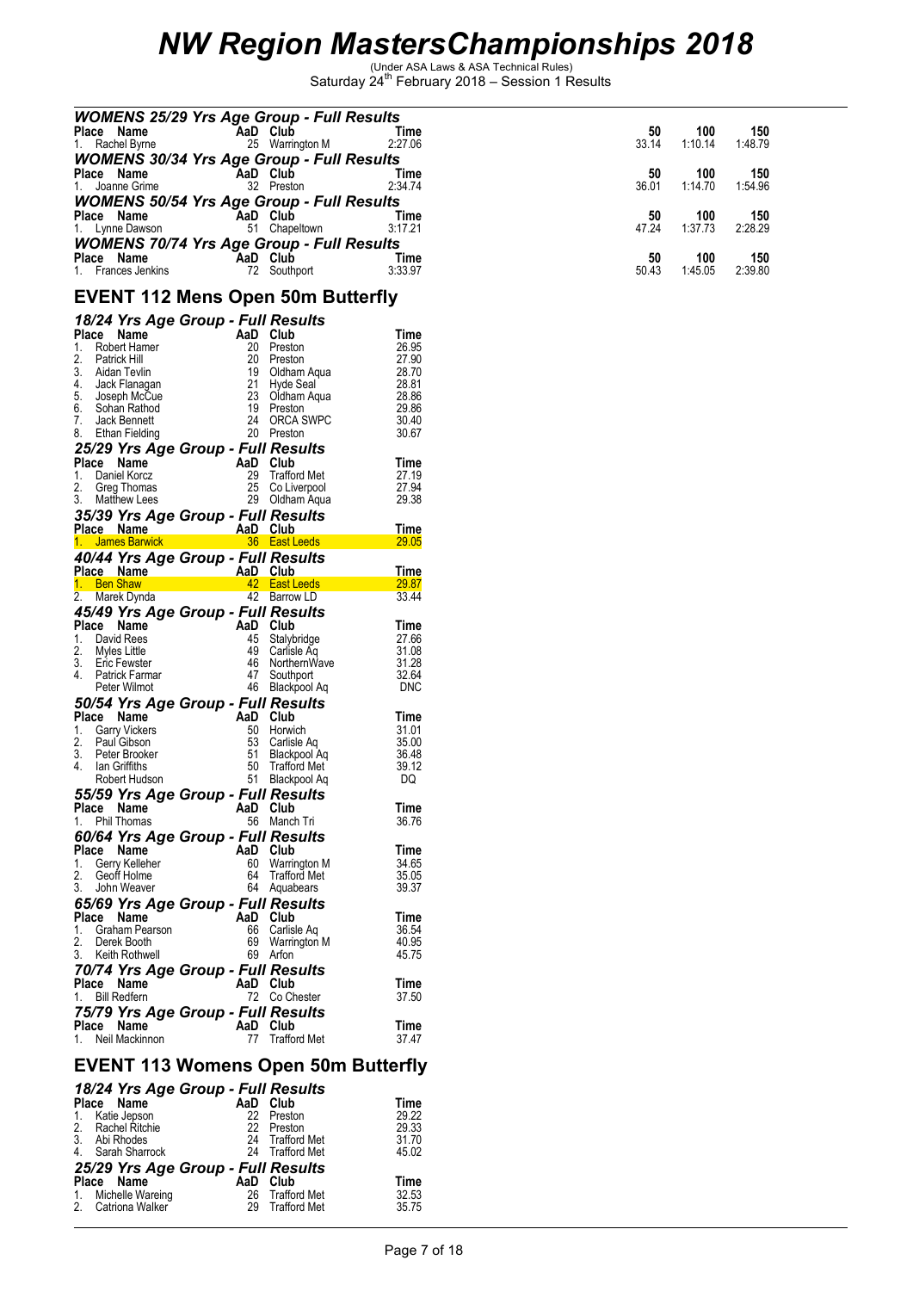| <b>WOMENS 25/29 Yrs Age Group - Full Results</b><br>Place<br>Name |    | AaD Club      | Time    | 50    | 100     | 150     |
|-------------------------------------------------------------------|----|---------------|---------|-------|---------|---------|
| 1. Rachel Byrne                                                   | 25 | Warrington M  | 2:27.06 | 33.14 | 1:10.14 | 1:48.79 |
| <b>WOMENS 30/34 Yrs Age Group - Full Results</b>                  |    |               |         |       |         |         |
| Place Name                                                        |    | AaD Club      | Time    | 50    | 100     | 150     |
| 1. Joanne Grime                                                   |    | 32 Preston    | 2:34.74 | 36.01 | 1:14.70 | 1:54.96 |
| <b>WOMENS 50/54 Yrs Age Group - Full Results</b>                  |    |               |         |       |         |         |
| Place Name                                                        |    | AaD Club      | Time    | 50    | 100     | 150     |
| 1. Lynne Dawson                                                   |    | 51 Chapeltown | 3:17.21 | 47.24 | 1:37.73 | 2:28.29 |
| <b>WOMENS 70/74 Yrs Age Group - Full Results</b>                  |    |               |         |       |         |         |
| Place Name                                                        |    | AaD Club      | Time    | 50    | 100     | 150     |
| 1. Frances Jenkins                                                | 72 | Southport     | 3:33.97 | 50.43 | 1:45.05 | 2:39.80 |
|                                                                   |    |               |         |       |         |         |

### **EVENT 112 Mens Open 50m Butterfly**

| Place<br>1.<br>2.<br>3.<br>4.<br>5.<br>6.<br>7.<br>8. | 18/24 Yrs Age Group - Full Results<br>Name<br><b>Robert Hamer</b><br>Patrick Hill<br>Aidan Tevlin<br>Jack Flanagan<br>Joseph McCue<br>Sohan Rathod<br>Jack Bennett<br>Ethan Fielding |                    | AaD<br>20<br>20<br>19<br>21<br>23<br>19<br>24<br>20 | Club<br>Preston<br>Preston<br>Oldham Aqua<br>Hyde Seal<br>Oldham Aqua<br>Preston<br>ORCA SWPC<br>Preston | Time<br>26.95<br>27.90<br>28.70<br>28.81<br>28.86<br>29.86<br>30.40<br>30.67 |
|-------------------------------------------------------|--------------------------------------------------------------------------------------------------------------------------------------------------------------------------------------|--------------------|-----------------------------------------------------|----------------------------------------------------------------------------------------------------------|------------------------------------------------------------------------------|
| Place<br>1.<br>2.<br>3.                               | 25/29 Yrs Age Group - Full Results<br>Name<br>Daniel Korcz<br>Greg Thomas<br><b>Matthew Lees</b><br>35/39 Yrs Age Group - Full Results                                               |                    | AaD<br>29<br>25<br>29                               | Club<br><b>Trafford Met</b><br>Co Liverpool<br>Oldham Aqua                                               | Time<br>27.19<br>27.94<br>29.38                                              |
|                                                       | Place Name                                                                                                                                                                           | erang<br>Kabupatèn | AaD Club                                            |                                                                                                          | Time                                                                         |
|                                                       | 1. James Barwick                                                                                                                                                                     |                    |                                                     | 36 East Leeds                                                                                            | 29.05                                                                        |
|                                                       | 40/44 Yrs Age Group - Full Results<br>Place Name                                                                                                                                     |                    | AaD                                                 | Club                                                                                                     | <b>Time</b>                                                                  |
|                                                       | 1. Ben Shaw                                                                                                                                                                          |                    | 42                                                  | <b>East Leeds</b>                                                                                        | 29.87                                                                        |
| 2.                                                    | Marek Dynda                                                                                                                                                                          |                    |                                                     | 42 Barrow LD                                                                                             | 33.44                                                                        |
|                                                       | 45/49 Yrs Age Group - Full Results                                                                                                                                                   |                    |                                                     |                                                                                                          |                                                                              |
|                                                       | Place Name                                                                                                                                                                           |                    | AaD Club                                            |                                                                                                          | Time                                                                         |
| 1.                                                    | David Rees                                                                                                                                                                           |                    | 45<br>49                                            | Stalybridge                                                                                              | 27.66                                                                        |
| 2.<br>3.                                              | Myles Little<br><b>Eric Fewster</b>                                                                                                                                                  |                    | 46                                                  | Carlisle Ag<br>NorthernWave                                                                              | 31.08<br>31.28                                                               |
| 4.                                                    | Patrick Farmar                                                                                                                                                                       |                    | 47                                                  | Southport                                                                                                | 32.64                                                                        |
|                                                       | Peter Wilmot                                                                                                                                                                         |                    | 46                                                  | Blackpool Ag                                                                                             | DNC                                                                          |
|                                                       | 50/54 Yrs Age Group - Full Results                                                                                                                                                   |                    |                                                     |                                                                                                          |                                                                              |
|                                                       | Place Name                                                                                                                                                                           |                    | AaD                                                 | Club                                                                                                     | Time                                                                         |
| 1.                                                    | <b>Garry Vickers</b>                                                                                                                                                                 |                    | 50                                                  | Horwich                                                                                                  | 31.01                                                                        |
| 2.                                                    | Paul Gibson                                                                                                                                                                          |                    | 53                                                  | Carlisle Aq                                                                                              | 35.00                                                                        |
| 3.<br>4.                                              | Peter Brooker<br>lan Griffiths                                                                                                                                                       |                    | 51<br>50                                            | Blackpool Aq<br><b>Trafford Met</b>                                                                      | 36.48<br>39.12                                                               |
|                                                       | Robert Hudson                                                                                                                                                                        |                    | 51                                                  | Blackpool Aq                                                                                             | DQ                                                                           |
|                                                       | 55/59 Yrs Age Group - Full Results                                                                                                                                                   |                    |                                                     |                                                                                                          |                                                                              |
|                                                       | Place Name                                                                                                                                                                           |                    | AaD                                                 | Club                                                                                                     | Time                                                                         |
| 1.                                                    | Phil Thomas                                                                                                                                                                          |                    | 56                                                  | Manch Tri                                                                                                | 36.76                                                                        |
|                                                       | 60/64 Yrs Age Group - Full Results                                                                                                                                                   |                    |                                                     |                                                                                                          |                                                                              |
| Place                                                 | Name                                                                                                                                                                                 |                    | AaD                                                 | Club                                                                                                     | Time                                                                         |
| 1.                                                    | Gerry Kelleher                                                                                                                                                                       |                    | 60                                                  | Warrington M                                                                                             | 34.65                                                                        |
| 2.<br>3.                                              | Geoff Holme                                                                                                                                                                          |                    | 64                                                  | <b>Trafford Met</b>                                                                                      | 35.05                                                                        |
|                                                       | John Weaver                                                                                                                                                                          |                    | 64                                                  | Aquabears                                                                                                | 39.37                                                                        |
|                                                       | 65/69 Yrs Age Group - Full Results                                                                                                                                                   |                    | AaD                                                 |                                                                                                          |                                                                              |
| Place<br>1.                                           | Name<br>Graham Pearson                                                                                                                                                               |                    | 66                                                  | Club<br>Carlisle Aq                                                                                      | Time<br>36.54                                                                |
| 2.                                                    | Derek Booth                                                                                                                                                                          |                    | 69                                                  | Warrington M                                                                                             | 40.95                                                                        |
| 3.                                                    | Keith Rothwell                                                                                                                                                                       |                    | 69                                                  | Arton                                                                                                    | 45.75                                                                        |
|                                                       | 70/74 Yrs Age Group - Full Results                                                                                                                                                   |                    |                                                     |                                                                                                          |                                                                              |
|                                                       | Place Name                                                                                                                                                                           |                    | AaD                                                 | Club                                                                                                     | Time                                                                         |
| 1.                                                    | <b>Bill Redfern</b>                                                                                                                                                                  |                    | 72                                                  | Co Chester                                                                                               | 37.50                                                                        |
|                                                       | 75/79 Yrs Age Group - Full Results                                                                                                                                                   |                    |                                                     |                                                                                                          |                                                                              |
|                                                       | Place Name                                                                                                                                                                           |                    | AaD                                                 | Club                                                                                                     | Time                                                                         |
| 1.                                                    | Neil Mackinnon                                                                                                                                                                       |                    | 77                                                  | Trafford Met                                                                                             | 37.47                                                                        |
|                                                       |                                                                                                                                                                                      |                    |                                                     |                                                                                                          |                                                                              |

### **EVENT 113 Womens Open 50m Butterfly**

|                     | 18/24 Yrs Age Group - Full Results |                 |             |
|---------------------|------------------------------------|-----------------|-------------|
| Place Name          | AaD                                | Club            | <b>Time</b> |
| 1. Katie Jepson     |                                    | 22 Preston      | 29.22       |
| 2. Rachel Ritchie   |                                    | 22 Preston      | 29.33       |
| 3. Abi Rhodes       |                                    | 24 Trafford Met | 31.70       |
| 4. Sarah Sharrock   |                                    | 24 Trafford Met | 45.02       |
|                     | 25/29 Yrs Age Group - Full Results |                 |             |
| Place Name          | AaD Club                           |                 | <b>Time</b> |
| 1. Michelle Wareing |                                    | 26 Trafford Met | 32.53       |
| 2. Catriona Walker  |                                    | 29 Trafford Met | 35.75       |
|                     |                                    |                 |             |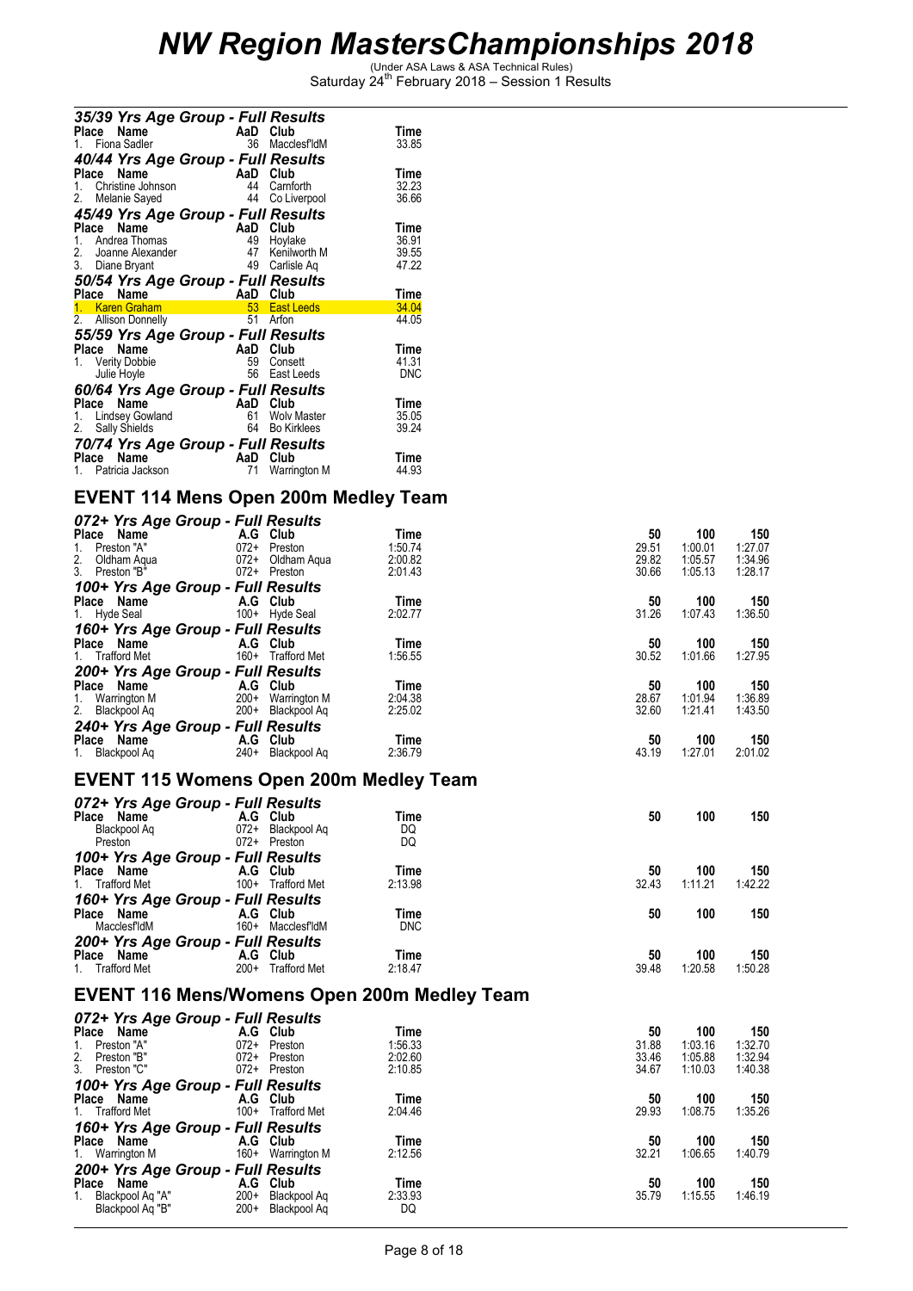| 35/39 Yrs Age Group - Full Results<br>Name<br>Place<br>1. Fiona Sadler | AaD Club<br>36 | MacclesfldM        | Time<br>33.85 |
|------------------------------------------------------------------------|----------------|--------------------|---------------|
| 40/44 Yrs Age Group - Full Results                                     |                |                    |               |
| Place<br>Name                                                          | AaD            | Club               | Time          |
| 1. Christine Johnson                                                   | 44             | Carnforth          | 32.23         |
| 2. Melanie Sayed                                                       | 44             | Co Liverpool       | 36.66         |
| 45/49 Yrs Age Group - Full Results                                     |                |                    |               |
| Name<br>Place                                                          | AaD            | Club               | Time          |
| 1. Andrea Thomas                                                       | 49             | Hoylake            | 36.91         |
| 2. Joanne Alexander                                                    | 47             | Kenilworth M       | 39.55         |
| 3. Diane Bryant                                                        |                | 49 Carlisle Aq     | 47.22         |
| 50/54 Yrs Age Group - Full Results                                     |                |                    |               |
| Place Name                                                             | AaD            | Club               | Time          |
| 1. Karen Graham                                                        |                | 53 East Leeds      | 34.04         |
| 2. Allison Donnelly                                                    | 51             | Arfon              | 44.05         |
| 55/59 Yrs Age Group - Full Results                                     |                |                    |               |
| Name<br>Place                                                          | AaD            | Club               | Time          |
| 1. Verity Dobbie                                                       |                | 59 Consett         | 41.31         |
| Julie Hoyle                                                            | 56             | East Leeds         | DNC           |
|                                                                        |                |                    |               |
| 60/64 Yrs Age Group - Full Results                                     |                |                    |               |
| Place<br>Name                                                          | AaD Club       |                    | Time          |
| 1. Lindsey Gowland                                                     |                | 61 Wolv Master     | 35.05         |
| 2. Sally Shields                                                       | 64             | <b>Bo Kirklees</b> | 39.24         |
| 70/74 Yrs Age Group - Full Results                                     |                |                    |               |
| Name<br>Place                                                          | AaD Club       |                    | Time          |
| 1. Patricia Jackson                                                    | 71             | Warrington M       | 44.93         |

### **EVENT 114 Mens Open 200m Medley Team**

|    |                               | 072+ Yrs Age Group - Full Results |                                               |            |                                                    |       |         |                    |
|----|-------------------------------|-----------------------------------|-----------------------------------------------|------------|----------------------------------------------------|-------|---------|--------------------|
|    | Place Name                    |                                   | A.G Club                                      | Time       |                                                    | 50    | 100     | 150                |
|    | 1. Preston "A"                |                                   | 072+ Preston                                  | 1:50.74    |                                                    | 29.51 | 1:00.01 | 1:27.07            |
| 2. | Oldham Aqua                   |                                   | 072+ Oldham Aqua                              | 2:00.82    |                                                    | 29.82 | 1:05.57 | 1:34.96            |
|    | 3. Preston "B"                |                                   | 072+ Preston                                  | 2:01.43    |                                                    | 30.66 | 1:05.13 | 1:28.17            |
|    |                               | 100+ Yrs Age Group - Full Results |                                               |            |                                                    |       |         |                    |
|    | Place Name                    |                                   | A.G Club                                      | Time       |                                                    | 50    | 100     | 150                |
|    | 1. Hyde Seal                  |                                   | 100+ Hyde Seal                                | 2:02.77    |                                                    | 31.26 | 1:07.43 | 1:36.50            |
|    |                               | 160+ Yrs Age Group - Full Results |                                               |            |                                                    |       |         |                    |
|    | Place Name                    |                                   | A.G Club                                      | Time       |                                                    | 50    | 100     | 150                |
|    | 1. Trafford Met               |                                   | 160+ Trafford Met                             | 1:56.55    |                                                    | 30.52 | 1:01.66 | 1:27.95            |
|    |                               | 200+ Yrs Age Group - Full Results |                                               |            |                                                    |       |         |                    |
|    | Place Name                    |                                   | A.G Club                                      | Time       |                                                    | 50    | 100     | 150                |
|    | 1. Warrington M               |                                   | 200+ Warrington M                             | 2:04.38    |                                                    | 28.67 | 1:01.94 | 1:36.89            |
|    | 2. Blackpool Aq               |                                   | 200+ Blackpool Aq                             | 2:25.02    |                                                    | 32.60 | 1:21.41 | 1:43.50            |
|    |                               | 240+ Yrs Age Group - Full Results |                                               |            |                                                    |       |         |                    |
|    | Place Name                    |                                   | A.G Club                                      | Time       |                                                    | 50    | 100     | 150                |
|    | 1. Blackpool Aq               |                                   | 240+ Blackpool Ag                             | 2:36.79    |                                                    | 43.19 | 1:27.01 | 2:01.02            |
|    |                               |                                   |                                               |            |                                                    |       |         |                    |
|    |                               |                                   | <b>EVENT 115 Womens Open 200m Medley Team</b> |            |                                                    |       |         |                    |
|    |                               | 072+ Yrs Age Group - Full Results |                                               |            |                                                    |       |         |                    |
|    | $072 + 113 - 3$<br>Place Name |                                   | A.G Club                                      | Time       |                                                    | 50    | 100     | 150                |
|    |                               |                                   | 072+ Blackpool Aq                             | DO.        |                                                    |       |         |                    |
|    | Preston                       |                                   | 072+ Preston                                  | DQ         |                                                    |       |         |                    |
|    |                               | 100+ Yrs Age Group - Full Results |                                               |            |                                                    |       |         |                    |
|    |                               | Place Name A.G Club               |                                               | Time       |                                                    | 50    | 100     | 150                |
|    | 1. Trafford Met               |                                   | 100+ Trafford Met                             | 2:13.98    |                                                    | 32.43 | 1:11.21 | 1:42.22            |
|    |                               | 160+ Yrs Age Group - Full Results |                                               |            |                                                    |       |         |                    |
|    | Place Name                    |                                   | A.G Club                                      | Time       |                                                    | 50    | 100     | 150                |
|    | MacclesfldM                   |                                   | 160+ MacclesfldM                              | <b>DNC</b> |                                                    |       |         |                    |
|    |                               | 200+ Yrs Age Group - Full Results |                                               |            |                                                    |       |         |                    |
|    | Place Name                    |                                   | A.G Club                                      | Time       |                                                    | 50    | 100     | 150                |
|    | 1. Trafford Met               |                                   | 200+ Trafford Met                             | 2:18.47    |                                                    | 39.48 | 1:20.58 | 1:50.28            |
|    |                               |                                   |                                               |            | <b>EVENT 116 Mens/Womens Open 200m Medley Team</b> |       |         |                    |
|    |                               |                                   |                                               |            |                                                    |       |         |                    |
|    |                               | 072+ Yrs Age Group - Full Results |                                               |            |                                                    |       |         |                    |
|    | Place Name                    |                                   | A.G Club                                      | Time       |                                                    | 50    | 100     | 150                |
| 1. | Preston "A"                   |                                   | 072+ Preston                                  | 1:56.33    |                                                    | 31.88 | 1:03.16 | 1:32.70            |
|    | 2. Preston "B"                |                                   | 072+ Preston                                  | 2:02.60    |                                                    | 33.46 | 1:05.88 | 1:32.94<br>1:40.38 |
|    | 3. Preston "C"                |                                   | 072+ Preston                                  | 2:10.85    |                                                    | 34.67 | 1:10.03 |                    |
|    |                               | 100+ Yrs Age Group - Full Results |                                               |            |                                                    |       |         |                    |
|    | Place Name                    |                                   | A.G Club                                      | Time       |                                                    | 50    | 100     | 150                |
|    | 1. Trafford Met               |                                   | 100+ Trafford Met                             | 2:04.46    |                                                    | 29.93 | 1:08.75 | 1:35.26            |
|    |                               | 160+ Yrs Age Group - Full Results |                                               |            |                                                    |       |         |                    |
|    | Place Name                    |                                   | A.G Club                                      | Time       |                                                    | 50    | 100     | 150                |
|    | 1. Warrington M               |                                   | 160+ Warrington M                             | 2:12.56    |                                                    | 32.21 | 1:06.65 | 1:40.79            |
|    |                               | 200+ Yrs Age Group - Full Results |                                               |            |                                                    |       |         |                    |
|    | Place Name                    |                                   | A.G Club                                      | Time       |                                                    | 50    | 100     | 150                |
|    | 1. Blackpool Aq "A"           |                                   | 200+ Blackpool Aq                             | 2:33.93    |                                                    | 35.79 | 1:15.55 | 1:46.19            |
|    | Blackpool Aq "B"              |                                   | 200+ Blackpool Aq                             | DQ         |                                                    |       |         |                    |
|    |                               |                                   |                                               |            |                                                    |       |         |                    |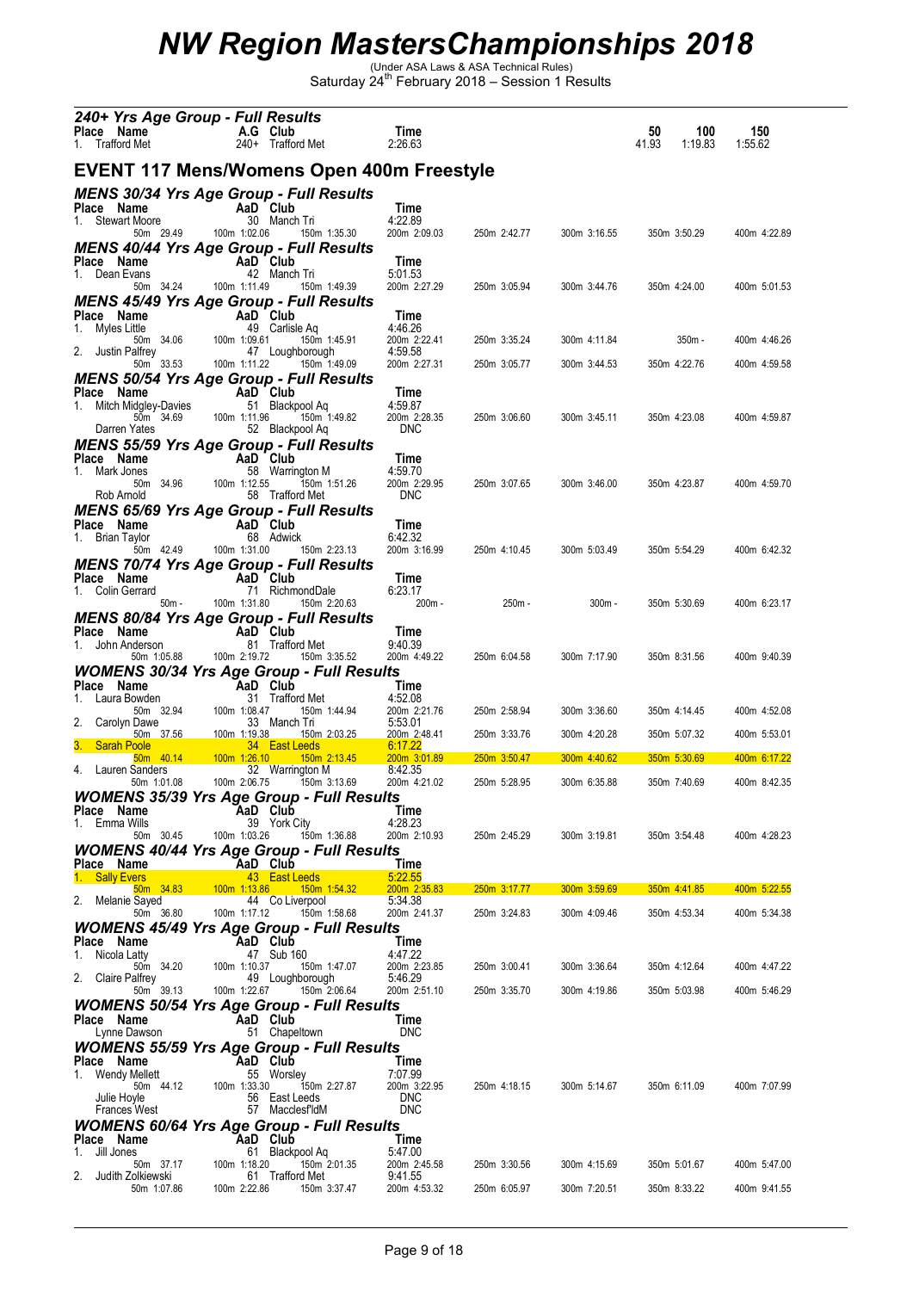| Place Name                              | 240+ Yrs Age Group - Full Results<br>A.G Club                                    | Time                       |              |              | 50<br>100        | 150          |
|-----------------------------------------|----------------------------------------------------------------------------------|----------------------------|--------------|--------------|------------------|--------------|
| 1. Trafford Met                         | 240+ Trafford Met                                                                | 2:26.63                    |              |              | 41.93<br>1:19.83 | 1:55.62      |
|                                         | EVENT 117 Mens/Womens Open 400m Freestyle                                        |                            |              |              |                  |              |
| Place Name                              | <b>MENS 30/34 Yrs Age Group - Full Results</b><br>AaD Club                       | Time                       |              |              |                  |              |
| 1. Stewart Moore<br>50m 29.49           | 30 Manch Tri<br>100m 1:02.06<br>150m 1:35.30                                     | 4:22.89<br>200m 2:09.03    | 250m 2:42.77 | 300m 3:16.55 | 350m 3:50.29     | 400m 4:22.89 |
|                                         | <b>MENS 40/44 Yrs Age Group - Full Results</b><br>AaD Club                       | Time                       |              |              |                  |              |
| Place Name<br>1. Dean Evans             | 42 Manch Tri                                                                     | 5:01.53                    |              |              |                  |              |
| 50m 34.24                               | 100m 1:11.49<br>150m 1:49.39<br>MENS 45/49 Yrs Age Group - Full Results          | 200m 2:27.29               | 250m 3:05.94 | 300m 3:44.76 | 350m 4:24.00     | 400m 5:01.53 |
| Place Name<br>1. Myles Little           | AaD Club<br>49 Carlisle Ag                                                       | Time<br>4:46.26            |              |              |                  |              |
| 50m 34.06<br>2. Justin Palfrey          | 100m 1:09.61<br>150m 1:45.91<br>47 Loughborough                                  | 200m 2:22.41<br>4:59.58    | 250m 3:35.24 | 300m 4:11.84 | 350m -           | 400m 4:46.26 |
| 50m 33.53                               | 150m 1:49.09<br>100m 1:11.22                                                     | 200m 2:27.31               | 250m 3:05.77 | 300m 3:44.53 | 350m 4:22.76     | 400m 4:59.58 |
| Place Name                              | <b>MENS 50/54 Yrs Age Group - Full Results</b><br>AaD Club                       | Time                       |              |              |                  |              |
| 1.<br>Mitch Midgley-Davies<br>50m 34.69 | 51 Blackpool Aq<br>100m 1:11.96<br>150m 1:49.82                                  | 4:59.87<br>200m 2:28.35    | 250m 3:06.60 | 300m 3:45.11 | 350m 4:23.08     | 400m 4:59.87 |
| Darren Yates                            | 52 Blackpool Aq<br><b>MENS 55/59 Yrs Age Group - Full Results</b>                | <b>DNC</b>                 |              |              |                  |              |
| Place Name<br>1. Mark Jones             | AaD Club<br>58 Warrington M                                                      | Time<br>4:59.70            |              |              |                  |              |
| 50m 34.96<br>Rob Arnold                 | 100m 1:12.55<br>150m 1:51.26<br>58 Trafford Met                                  | 200m 2:29.95<br><b>DNC</b> | 250m 3:07.65 | 300m 3:46.00 | 350m 4:23.87     | 400m 4:59.70 |
|                                         | <b>MENS 65/69 Yrs Age Group - Full Results</b>                                   |                            |              |              |                  |              |
| Place Name<br>1. Brian Taylor           | AaD Club<br>68 Adwick                                                            | Time<br>6:42.32            |              |              |                  |              |
| 50m 42.49                               | 100m 1:31.00<br>150m 2:23.13<br><b>MENS 70/74 Yrs Age Group - Full Results</b>   | 200m 3:16.99               | 250m 4:10.45 | 300m 5:03.49 | 350m 5:54.29     | 400m 6:42.32 |
| Place Name                              | AaD Club                                                                         | Time                       |              |              |                  |              |
| 1. Colin Gerrard<br>$50m -$             | 71 RichmondDale<br>100m 1:31.80<br>150m 2:20.63                                  | 6:23.17<br>200m -          | 250m -       | $300m -$     | 350m 5:30.69     | 400m 6:23.17 |
| Place Name                              | <b>MENS 80/84 Yrs Age Group - Full Results</b><br>AaD Club                       | Time                       |              |              |                  |              |
| 1.<br>John Anderson<br>50m 1:05.88      | 81 Trafford Met<br>100m 2:19.72<br>150m 3:35.52                                  | 9:40.39<br>200m 4:49.22    | 250m 6:04.58 | 300m 7:17.90 | 350m 8:31.56     | 400m 9:40.39 |
|                                         | <b>WOMENS 30/34 Yrs Age Group - Full Results</b>                                 |                            |              |              |                  |              |
| Place Name<br>Laura Bowden<br>1.        | AaD Club<br>31 Trafford Met                                                      | Time<br>4:52.08            |              |              |                  |              |
| 50m 32.94<br>2.<br>Carolyn Dawe         | 100m 1:08.47<br>150m 1:44.94<br>33 Manch Tri                                     | 200m 2:21.76<br>5:53.01    | 250m 2:58.94 | 300m 3:36.60 | 350m 4:14.45     | 400m 4:52.08 |
| 50m 37.56<br>3.<br><b>Sarah Poole</b>   | <u>100m 1:19.38</u><br>150m 2:03.25<br>34 East Leeds                             | 200m 2:48.41<br>6:17.22    | 250m 3:33.76 | 300m 4:20.28 | 350m 5:07.32     | 400m 5:53.01 |
| 50m 40.14<br>4. Lauren Sanders          | 100m 1:26.10<br>$150m$ 2:13.45<br>32 Warrington M                                | 200m 3:01.89<br>8:42.35    | 250m 3:50.47 | 300m 4:40.62 | 350m 5:30.69     | 400m 6:17.22 |
| 50m 1:01.08                             | 100m 2:06.75<br>150m 3:13.69<br><b>WOMENS 35/39 Yrs Age Group - Full Results</b> | 200m 4:21.02               | 250m 5:28.95 | 300m 6:35.88 | 350m 7:40.69     | 400m 8:42.35 |
| Place Name<br>Emma Wills<br>1.          | AaD Club<br>39 York City                                                         | Time<br>4:28.23            |              |              |                  |              |
| 50m 30.45                               | 100m 1:03.26<br>150m 1:36.88<br>WOMENS 40/44 Yrs Age Group - Full Results        | 200m 2:10.93               | 250m 2:45.29 | 300m 3:19.81 | 350m 3:54.48     | 400m 4:28.23 |
| Place Name                              | AaD Club                                                                         | Time                       |              |              |                  |              |
| 1.<br><b>Sally Evers</b><br>50m 34.83   | 43 East Leeds<br>$100m$ 1:13.86<br>150m 1:54.32                                  | 5:22.55<br>200m 2:35.83    | 250m 3:17.77 | 300m 3:59.69 | 350m 4:41.85     | 400m 5:22.55 |
| 2.<br>Melanie Sayed<br>50m 36.80        | 44 Co Liverpool<br>100m 1:17.12<br>150m 1:58.68                                  | 5:34.38<br>200m 2:41.37    | 250m 3:24.83 | 300m 4:09.46 | 350m 4:53.34     | 400m 5:34.38 |
| Place Name                              | <b>WOMENS 45/49 Yrs Age Group - Full Results</b><br>AaD Club                     | Time                       |              |              |                  |              |
| 1. Nicola Latty<br>50m 34.20            | 47 Sub 160<br>100m 1:10.37<br>150m 1:47.07                                       | 4:47.22<br>200m 2:23.85    | 250m 3:00.41 | 300m 3:36.64 | 350m 4:12.64     | 400m 4:47.22 |
| 2.<br>Claire Palfrey<br>50m 39.13       | 49 Loughborough<br>100m 1:22.67<br>150m 2:06.64                                  | 5:46.29<br>200m 2:51.10    | 250m 3:35.70 | 300m 4:19.86 | 350m 5:03.98     | 400m 5:46.29 |
| Place Name                              | <b>WOMENS 50/54 Yrs Age Group - Full Results</b><br>AaD Club                     | Time                       |              |              |                  |              |
| Lynne Dawson                            | 51 Chapeltown                                                                    | <b>DNC</b>                 |              |              |                  |              |
| Place Name                              | <i><b>WOMENS 55/59 Yrs Age Group - Full Results</b></i><br>AaD Club              | Time                       |              |              |                  |              |
| 1. Wendy Mellett<br>50m 44.12           | 55 Worsley<br>100m 1:33.30<br>150m 2:27.87                                       | 7:07.99<br>200m 3:22.95    | 250m 4:18.15 | 300m 5:14.67 | 350m 6:11.09     | 400m 7:07.99 |
| Julie Hoyle<br><b>Frances West</b>      | 56 East Leeds<br>57 MacclesfldM                                                  | <b>DNC</b><br><b>DNC</b>   |              |              |                  |              |
|                                         | <i><b>WOMENS 60/64 Yrs Age Group - Full Results</b></i>                          |                            |              |              |                  |              |
| Place Name<br>Jill Jones<br>1.          | AaD Club<br>61 Blackpool Aq                                                      | Time<br>5:47.00            |              |              |                  |              |
| 50m 37.17<br>2.<br>Judith Zolkiewski    | 100m 1:18.20<br>150m 2:01.35<br>61 Trafford Met                                  | 200m 2:45.58<br>9:41.55    | 250m 3:30.56 | 300m 4:15.69 | 350m 5:01.67     | 400m 5:47.00 |
| 50m 1:07.86                             | 100m 2:22.86<br>150m 3:37.47                                                     | 200m 4:53.32               | 250m 6:05.97 | 300m 7:20.51 | 350m 8:33.22     | 400m 9:41.55 |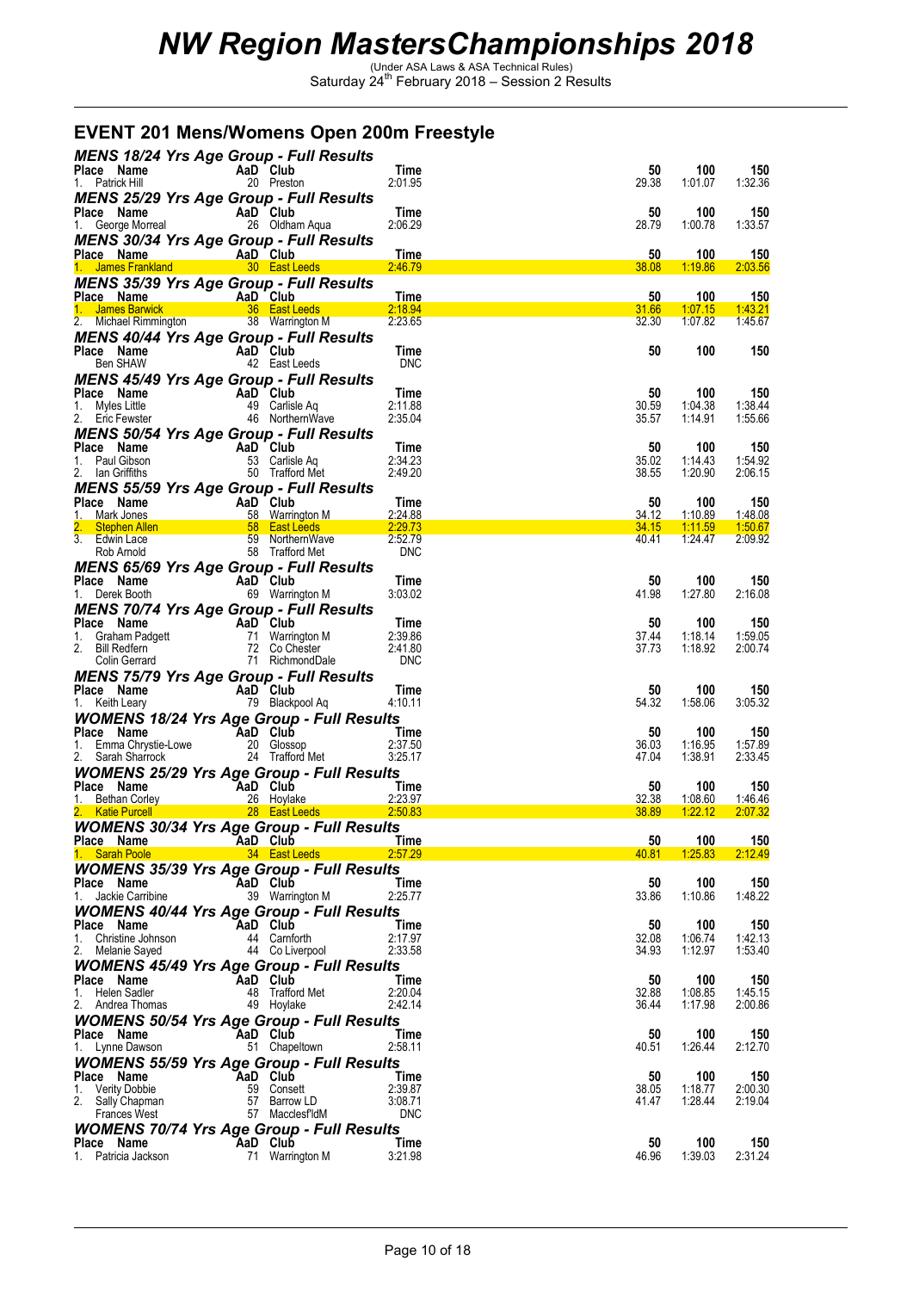|                                                                                                                                             | EVENT 201 Mens/Womens Open 200m Freestyle                                                                                                                                                                                                                    |                       |                |                    |                    |
|---------------------------------------------------------------------------------------------------------------------------------------------|--------------------------------------------------------------------------------------------------------------------------------------------------------------------------------------------------------------------------------------------------------------|-----------------------|----------------|--------------------|--------------------|
|                                                                                                                                             | <b>MENS 18/24 Yrs Age Group - Full Results</b>                                                                                                                                                                                                               |                       |                | 100                |                    |
| Place Name<br>1. Patrick Hill                                                                                                               | AaD Club<br>20 Preston                                                                                                                                                                                                                                       | Time<br>2:01.95       | 50<br>29.38    | 1:01.07            | 150<br>1:32.36     |
|                                                                                                                                             | <b>MENS 25/29 Yrs Age Group - Full Results</b>                                                                                                                                                                                                               | Time                  | 50             | 100                | 150                |
| Place Name<br>1. George Morreal <b>AaD</b> Club<br>26 Oldha                                                                                 | 26 Oldham Aqua<br>MENS 30/34 Yrs Age Group - Full Results                                                                                                                                                                                                    | 2:06.29               | 28.79          | 1:00.78            | 1:33.57            |
| Place Name                                                                                                                                  | AaD Club                                                                                                                                                                                                                                                     | Time                  | 50             | 100                | 150                |
|                                                                                                                                             | 1. James Frankland 1. 30 East Leeds<br><b>MENS 35/39 Yrs Age Group - Full Results</b>                                                                                                                                                                        | 2:46.79               | 38.08          | 1:19.86            | 2:03.56            |
|                                                                                                                                             |                                                                                                                                                                                                                                                              | Time<br>2:18.94       | 50<br>31.66    | 100<br>1:07.15     | 150<br>1:43.21     |
| 2. Michael Rimmington 38 Warrington M                                                                                                       |                                                                                                                                                                                                                                                              | 2:23.65               | 32.30          | 1:07.82            | 1:45.67            |
| <b>Ce Name</b><br><b>Ben SHAW</b><br><b>AaD</b><br><b>AaD</b><br><b>AaD</b><br><b>Club</b><br><b>AaD</b><br><b>East I</b><br>Place Name     | <b>MENS 40/44 Yrs Age Group - Full Results</b>                                                                                                                                                                                                               | Time                  | 50             | 100                | 150                |
|                                                                                                                                             | 42 East Leeds<br><b>MENS 45/49 Yrs Age Group - Full Results</b>                                                                                                                                                                                              | <b>DNC</b>            |                |                    |                    |
| Place Name<br>1. Myles Little                                                                                                               | <b>AaD Club</b><br>49 Carlisle Aq<br>46 NorthernWave                                                                                                                                                                                                         | Time<br>2:11.88       | 50<br>30.59    | 100<br>1:04.38     | 150<br>1:38.44     |
| 2. Eric Fewster                                                                                                                             |                                                                                                                                                                                                                                                              | 2:35.04               | 35.57          | 1:14.91            | 1:55.66            |
|                                                                                                                                             | <b>MENS 50/54 Yrs Age Group - Full Results</b><br>AaD Club                                                                                                                                                                                                   | Time                  | 50             | 100                | 150                |
| <b>Place Name A</b><br>1. Paul Gibson<br>2. Ian Griffiths<br>2. Ian Griffiths                                                               | 53 Carlisle Aq<br>50 Trafford Met                                                                                                                                                                                                                            | 2:34.23<br>2:49.20    | 35.02<br>38.55 | 1:14.43<br>1:20.90 | 1:54.92<br>2:06.15 |
|                                                                                                                                             | <b>MENS 55/59 Yrs Age Group - Full Results</b>                                                                                                                                                                                                               |                       |                |                    |                    |
| Place Name<br>1. Mark Jones                                                                                                                 |                                                                                                                                                                                                                                                              |                       | 50<br>34.12    | 100<br>1:10.89     | 150<br>1:48.08     |
| 2.<br>3. Edwin Lace                                                                                                                         | Ce Name<br>Mark Jones<br>Mark Jones<br>Stephen Allen<br>Stephen Allen<br>Stephen Allen<br>Stephen Allen<br>Stephen Allen<br>Stephen Allen<br>Stephen Allen<br>Stephen Allen<br>Stephen Allen<br>Stephen Allen<br>Stephen Allen<br>Stephen Allen<br>Stephen A |                       | 34.15<br>40.41 | 1:11.59<br>1:24.47 | 1:50.67<br>2:09.92 |
| Rob Arnold                                                                                                                                  | 58 Trafford Met<br><b>MENS 65/69 Yrs Age Group - Full Results</b>                                                                                                                                                                                            | <b>DNC</b>            |                |                    |                    |
| Place Name<br>1. Derek Booth                                                                                                                | AaD Club<br>69 Warrington M                                                                                                                                                                                                                                  | Time<br>3:03.02       | 50<br>41.98    | 100<br>1:27.80     | 150<br>2:16.08     |
|                                                                                                                                             | <b>MENS 70/74 Yrs Age Group - Full Results</b>                                                                                                                                                                                                               |                       |                |                    |                    |
|                                                                                                                                             | 71 Warrington M<br>72 Co Chester                                                                                                                                                                                                                             | Time<br>2:39.86       | 50<br>37.44    | 100<br>1:18.14     | 150<br>1:59.05     |
| 1. Graham Padgett<br>1. Graham Padgett<br>2. Bill Redfern 17 Warring<br>2. Bill Redfern 17 Co Che<br>Colin Gerrard 11 Richard<br>11 Richard | - ou Chester<br>71 RichmondDale<br><b>roun - F</b>                                                                                                                                                                                                           | 2:41.80<br><b>DNC</b> | 37.73          | 1:18.92            | 2:00.74            |
| Place Name                                                                                                                                  | <b>MENS 75/79 Yrs Age Group - Full Results</b><br>AaD Club                                                                                                                                                                                                   | Time                  | 50             | 100                | 150                |
| 1. Keith Leary                                                                                                                              | 79 Blackpool Aq                                                                                                                                                                                                                                              | 4:10.11               | 54.32          | 1:58.06            | 3:05.32            |
| Place Name                                                                                                                                  | <b>WOMENS 18/24 Yrs Age Group - Full Results</b><br>AaD Club                                                                                                                                                                                                 | Time                  | 50             | 100                | 150                |
| Place<br>1. Emma Chrystie-Lowe<br>2. Sarah Sharrock                                                                                         | 20 Glossop<br>24 Trafford Met                                                                                                                                                                                                                                | 2:37.50<br>3:25.17    | 36.03<br>47.04 | 1:16.95<br>1:38.91 | 1:57.89<br>2:33.45 |
| Place Name                                                                                                                                  | <b>WOMENS 25/29 Yrs Age Group - Full Results</b>                                                                                                                                                                                                             |                       | 50             |                    | 150                |
| 1. Bethan Corley                                                                                                                            | MaD Club<br>26 Hoylake                                                                                                                                                                                                                                       | Time<br>2:23.97       | 32.38          | 100<br>1:08.60     | 1:46.46            |
|                                                                                                                                             | 2. Katie Purcell 28 East Leeds<br><b>WOMENS 30/34 Yrs Age Group - Full Results</b>                                                                                                                                                                           | 2.50.83               | 38.89          | <u>1:22.12  </u>   | 2.07.32            |
| Place Name<br>1. Sarah Poole 34 East Leeds                                                                                                  | <b>Exalt Club</b>                                                                                                                                                                                                                                            | Time<br>2:57.29       | 50<br>40.81    | 100<br>1.25.83     | 150<br>2:12.49     |
|                                                                                                                                             | <b>WOMENS 35/39 Yrs Age Group - Full Results</b><br>AaD Club                                                                                                                                                                                                 | Time                  | 50             |                    |                    |
| Place Name<br>1. Jackie Carribine                                                                                                           | 39 Warrington M                                                                                                                                                                                                                                              | 2:25.77               | 33.86          | 100<br>1:10.86     | 150<br>1:48.22     |
| Place Name                                                                                                                                  | <b>WOMENS 40/44 Yrs Age Group - Full Results</b><br><b>Exalter</b> Club                                                                                                                                                                                      | Time                  | 50             | 100                | 150                |
| 1. Christine Johnson<br>2. Melanie Sayed                                                                                                    | 44 Carnforth<br>44 Co Liverpool                                                                                                                                                                                                                              | 2:17.97<br>2:33.58    | 32.08<br>34.93 | 1:06.74<br>1:12.97 | 1:42.13<br>1:53.40 |
|                                                                                                                                             | <b>WOMENS 45/49 Yrs Age Group - Full Results</b>                                                                                                                                                                                                             |                       |                |                    |                    |
| Place Name<br>1. Helen Sadler                                                                                                               | AaD Club<br>48 Trafford Met                                                                                                                                                                                                                                  | Time<br>2:20.04       | 50<br>32.88    | 100<br>1:08.85     | 150<br>1:45.15     |
| 2. Andrea Thomas                                                                                                                            | 49 Hoylake<br><b>WOMENS 50/54 Yrs Age Group - Full Results</b>                                                                                                                                                                                               | 2:42.14               | 36.44          | 1:17.98            | 2:00.86            |
| Place Name<br>1. Lynne Dawson                                                                                                               | AaD Club<br>51 Chapeltown                                                                                                                                                                                                                                    | Time<br>2:58.11       | 50<br>40.51    | 100<br>1:26.44     | 150<br>2:12.70     |
|                                                                                                                                             | <b>WOMENS 55/59 Yrs Age Group - Full Results</b>                                                                                                                                                                                                             |                       |                |                    |                    |
| Place Name<br><b>Verity Dobbie</b><br>1.                                                                                                    | AaD Club<br>59 Consett                                                                                                                                                                                                                                       | Time<br>2:39.87       | 50<br>38.05    | 100<br>1:18.77     | 150<br>2:00.30     |
| 2.<br>Sally Chapman<br>Frances West                                                                                                         | 57 Barrow LD<br>57 MacclesfldM                                                                                                                                                                                                                               | 3:08.71<br><b>DNC</b> | 41.47          | 1:28.44            | 2:19.04            |
|                                                                                                                                             | <b>WOMENS 70/74 Yrs Age Group - Full Results</b>                                                                                                                                                                                                             |                       |                |                    |                    |
| Place Name<br>1. Patricia Jackson                                                                                                           | <b>Example 2</b> AaD Club<br>71 Warrington M                                                                                                                                                                                                                 | Time<br>3:21.98       | 50<br>46.96    | 100<br>1:39.03     | 150<br>2:31.24     |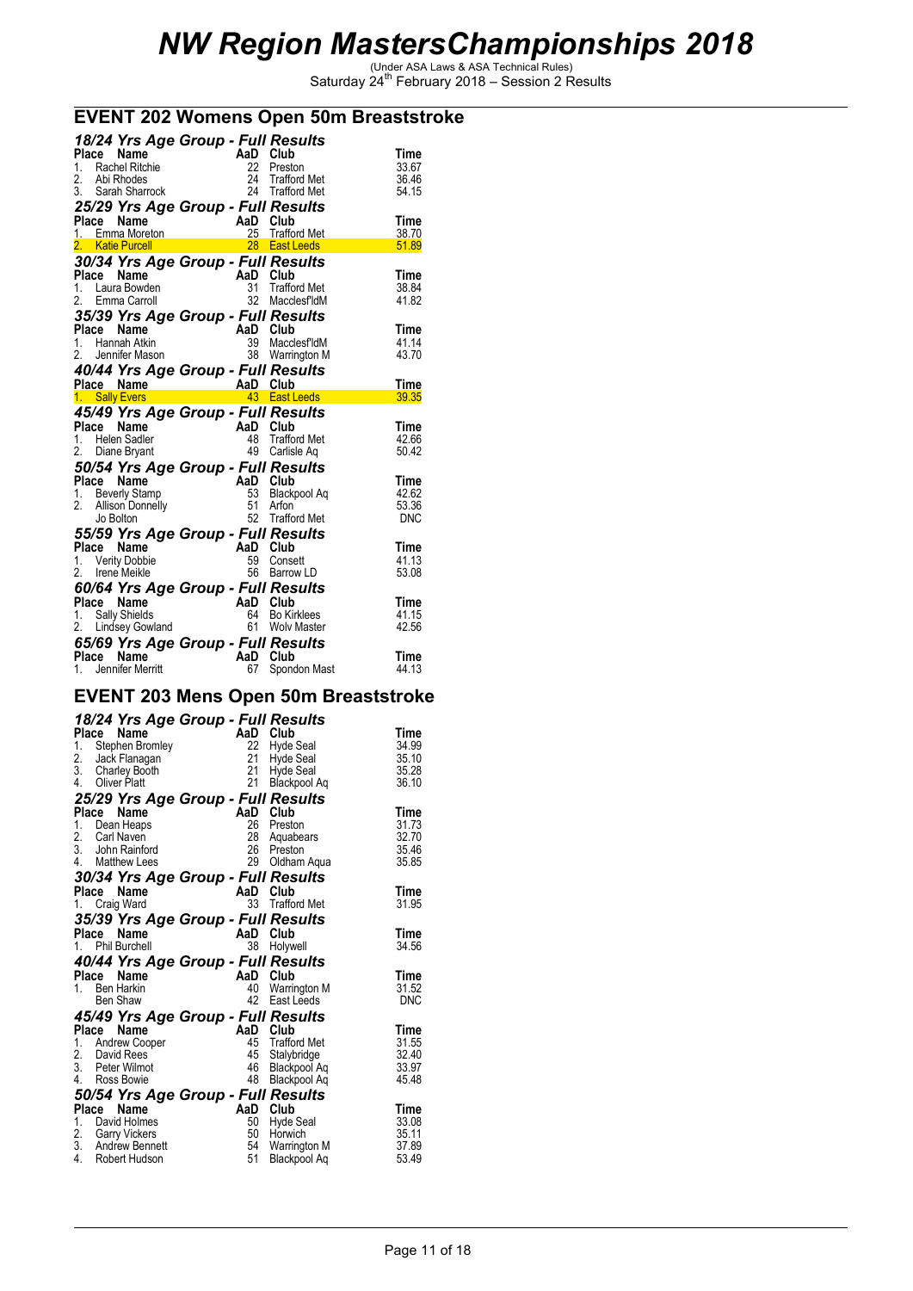### **EVENT 202 Womens Open 50m Breaststroke**

|       |       |                                      | 18/24 Yrs Age Group - Full Results                                                                                              |                     |               |
|-------|-------|--------------------------------------|---------------------------------------------------------------------------------------------------------------------------------|---------------------|---------------|
|       | Place | Name                                 |                                                                                                                                 |                     | Time          |
|       |       | 1. Rachel Ritchie                    |                                                                                                                                 |                     | 33.67         |
| 2.    |       | Abi Rhodes                           |                                                                                                                                 |                     | 36.46         |
|       |       | 3. Sarah Sharrock                    |                                                                                                                                 |                     | 54.15         |
|       |       |                                      | Aap<br>22 Preston<br>24 Trafford Met<br>24 Trafford Met<br>27 Posults<br>25/29 Yrs Age Group - Full Results                     |                     |               |
|       |       | Place Name                           |                                                                                                                                 | AaD Club            | Time          |
|       |       | <b>Place Name</b><br>1. Emma Moreton |                                                                                                                                 | 25 Trafford Met     | 38.70         |
|       |       | 2. Katie Purcell                     |                                                                                                                                 | 28 East Leeds       | 51.89         |
|       |       |                                      |                                                                                                                                 |                     |               |
|       |       |                                      | 30/34 Yrs Age Group - Full Results                                                                                              |                     |               |
| Place |       | Name                                 |                                                                                                                                 |                     | Time          |
|       |       | 1. Laura Bowden                      |                                                                                                                                 | <b>Trafford Met</b> | 38.84         |
|       |       | 2. Emma Carroll                      | AaD Club<br>$31$ Traffo                                                                                                         | 32 MacclesfldM      | 41.82         |
|       |       |                                      | 35/39 Yrs Age Group - Full Results                                                                                              |                     |               |
|       | Place | Name                                 |                                                                                                                                 | AaD Club            | Time          |
|       |       | 1. Hannah Atkin                      |                                                                                                                                 | 39 MacclesfldM      | 41.14         |
|       |       | 2. Jennifer Mason                    |                                                                                                                                 | 38 Warrington M     | 43.70         |
|       |       |                                      | 40/44 Yrs Age Group - Full Results                                                                                              |                     |               |
|       |       |                                      |                                                                                                                                 |                     | Time          |
|       |       | 1. Sally Evers                       | Place Name (AaD Club)<br>1 Sally Evers (AaC Club)                                                                               | 43 East Leeds       | 39.35         |
|       |       |                                      |                                                                                                                                 |                     |               |
|       |       |                                      |                                                                                                                                 |                     |               |
|       |       |                                      | 45/49 Yrs Age Group - Full Results                                                                                              |                     |               |
|       |       | Place Name                           |                                                                                                                                 | AaD Club            | Time          |
|       |       | 1. Helen Sadler                      |                                                                                                                                 | 48 Trafford Met     | 42.66         |
|       |       | 2. Diane Bryant                      | $J^{\circ}$ $\sim$ $\sim$ $\sim$ A<br>49                                                                                        | Carlisle Aq         | 50.42         |
|       |       |                                      | 50/54 Yrs Age Group - Full Results                                                                                              |                     |               |
|       |       |                                      |                                                                                                                                 |                     | Time          |
|       |       |                                      |                                                                                                                                 | 53 Blackpool Aq     | 42.62         |
|       |       |                                      |                                                                                                                                 |                     | 53.36         |
|       |       |                                      |                                                                                                                                 | 52 Trafford Met     | <b>DNC</b>    |
|       |       |                                      | 1. In the Map 1. In the Map 1. Beverly Stamp<br>1. Beverly Stamp 53 Black<br>2. Allison Donnelly 51 Arton<br>Jo Bolton 51 Arton |                     |               |
|       |       | Place Name                           | 55/59 Yrs Age Group - Full Results                                                                                              | AaD Club            | Time          |
|       |       | 1. Verity Dobbie                     | 59                                                                                                                              | Consett             | 41.13         |
|       |       |                                      |                                                                                                                                 |                     | 53.08         |
|       |       | 2. Irene Meikle                      |                                                                                                                                 | 56 Barrow LD        |               |
|       |       |                                      | 60/64 Yrs Age Group - Full Results                                                                                              |                     |               |
|       |       | Place Name                           |                                                                                                                                 | AaD Club            | Time          |
|       |       | 1. Sally Shields                     |                                                                                                                                 |                     | 41.15         |
|       |       | 2. Lindsey Gowland                   | AaD Club<br>64 Bo Kirklees<br>61 Wolv Master                                                                                    |                     | 42.56         |
|       |       |                                      | 65/69 Yrs Age Group - Full Results                                                                                              |                     |               |
| Place |       | Name<br>1. Jennifer Merritt          | AaD Club<br>67                                                                                                                  | Spondon Mast        | Time<br>44.13 |

#### **EVENT 203 Mens Open 50m Breaststroke**

### *18/24 Yrs Age Group - Full Results*

| 1.<br>2.<br>3.<br>4.<br>Place<br>1. | Place Name<br>Stephen Bromley<br>Jack Flanagan<br>Charley Booth<br>Oliver Platt<br>Name<br>Dean Heaps<br>2. Carl Naven<br>3. John Rainford | 22<br>21<br>21<br>21<br>25/29 Yrs Age Group - Full Results<br>AaD<br>26<br>28<br>26 | AaD Club<br>Hyde Seal<br>Hyde Seal<br>Hyde Seal<br>Blackpool Aq<br>Club<br>Preston<br>Aquabears<br>Preston | Time<br>34.99<br>35.10<br>35.28<br>36.10<br>Time<br>31.73<br>32.70<br>35.46 |
|-------------------------------------|--------------------------------------------------------------------------------------------------------------------------------------------|-------------------------------------------------------------------------------------|------------------------------------------------------------------------------------------------------------|-----------------------------------------------------------------------------|
| Place<br>1.                         | 4. Matthew Lees<br>Name<br>Craig Ward                                                                                                      | 29<br>30/34 Yrs Age Group - Full Results<br>AaD<br>33                               | Oldham Aqua<br>Club<br><b>Trafford Met</b>                                                                 | 35.85<br>Time<br>31.95                                                      |
| Place                               | <b>Name</b><br>1. Phil Burchell                                                                                                            | 35/39 Yrs Age Group - Full Results<br>AaD<br>38                                     | Club<br>Holywell                                                                                           | Time<br>34.56                                                               |
| Place<br>1.                         | Name<br>Ben Harkin<br>Ben Shaw                                                                                                             | 40/44 Yrs Age Group - Full Results<br>40<br>42                                      | AaD Club<br><b>Warrington M</b><br>East Leeds                                                              | Time<br>31.52<br>DNC                                                        |
| Place                               | Name<br>1. Andrew Cooper<br>2. David Rees<br>3. Peter Wilmot<br>4. Ross Bowie                                                              | 45/49 Yrs Age Group - Full Results                                                  | AaD Club<br>45 Trafford Met<br>45 Stalybridge<br>46 Blackpool Aq<br>48 Blackpool Aq                        | Time<br>31.55<br>32.40<br>33.97<br>45.48                                    |
| 4.                                  | Place Name<br>1. David Holmes<br>2. Garry Vickers<br>3. Andrew Bennett<br>Robert Hudson                                                    | 50/54 Yrs Age Group - Full Results<br>50<br>50<br>54<br>51                          | AaD Club<br><b>Hyde Seal</b><br>Horwich<br>Warrington M<br>Blackpool Aq                                    | Time<br>33.08<br>35.11<br>37.89<br>53.49                                    |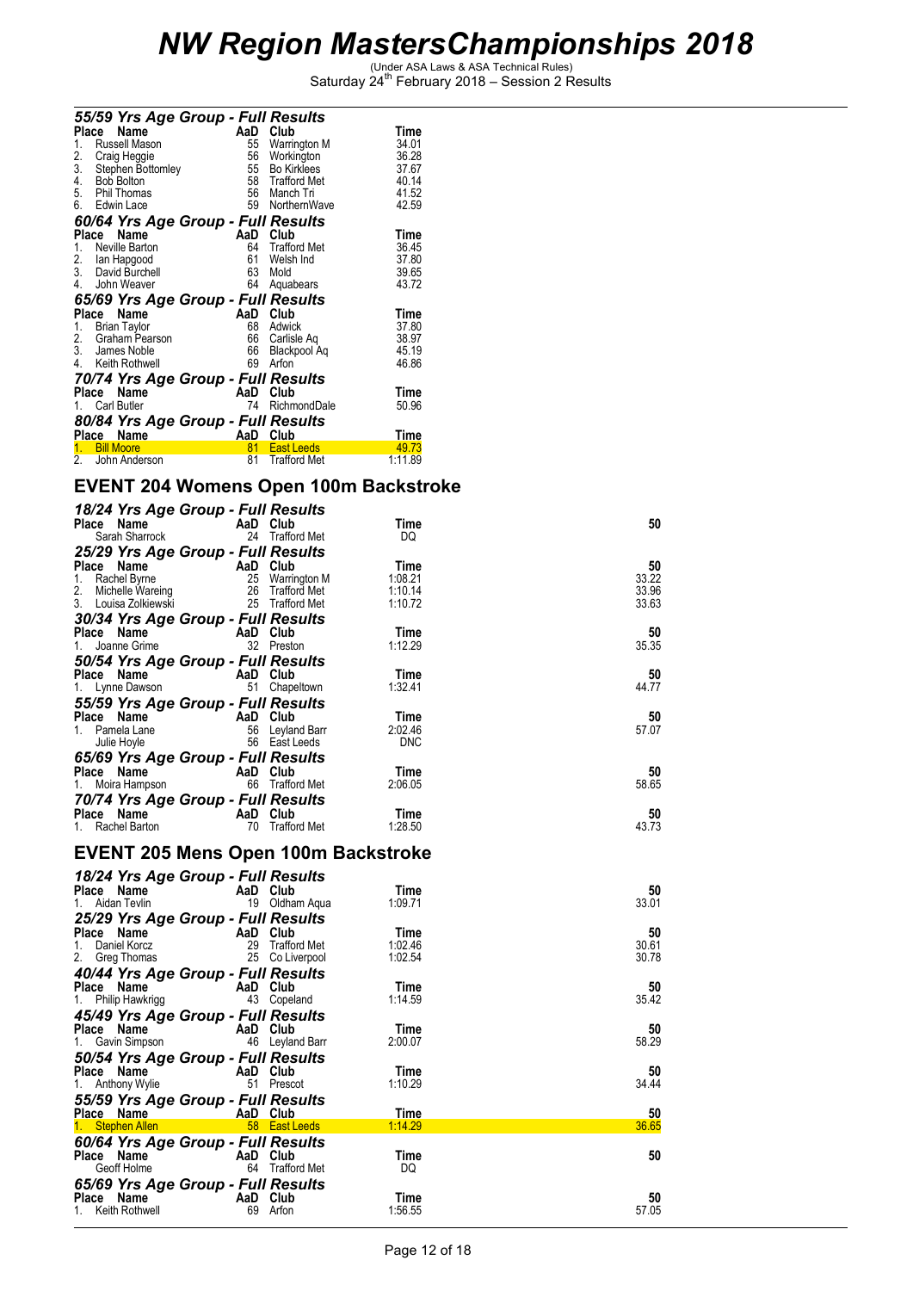|                 | 55/59 Yrs Age Group - Full Results  |          |                     |             |
|-----------------|-------------------------------------|----------|---------------------|-------------|
| <b>Place</b>    | Name                                | AaD      | Club                | Time        |
| 1.              | Russell Mason                       | 55       | Warrington M        | 34.01       |
| $\frac{2}{3}$ . | Craig Heggie                        | 56       | Workington          | 36.28       |
|                 | Stephen Bottomley                   | 55       | <b>Bo Kirklees</b>  | 37.67       |
| 4.              | <b>Bob Bolton</b>                   | 58       | <b>Trafford Met</b> | 40.14       |
|                 | 5. Phil Thomas                      |          | 56 Manch Tri        | 41.52       |
|                 | 6. Edwin Lace                       | 59       | NorthernWave        | 42.59       |
|                 | 60/64 Yrs Age Group - Full Results  |          |                     |             |
|                 | Place<br>Name                       | AaD      | Club                | Time        |
| 1.              | Neville Barton                      | 64       | <b>Trafford Met</b> | 36.45       |
|                 |                                     | 61       | Welsh Ind           | 37.80       |
|                 | 2. Ian Hapgood<br>3. David Burchell | 63       | Mold                | 39.65       |
| 4.              | John Weaver                         | 64       | Aquabears           | 43.72       |
|                 | 65/69 Yrs Age Group - Full Results  |          |                     |             |
|                 | Place<br>Name                       | AaD      | Club                | Time        |
| 1.              | <b>Brian Taylor</b>                 | 68       | Adwick              | 37.80       |
| 2.              | Graham Pearson                      | 66       | Carlisle Aq         | 38.97       |
|                 | 3. James Noble                      | 66       | Blackpool Aq        | 45.19       |
|                 | 4. Keith Rothwell                   | 69       | Arfon               | 46.86       |
|                 | 70/74 Yrs Age Group - Full Results  |          |                     |             |
| Place           | Name                                | AaD      | Club                | Time        |
| 1.              | <b>Carl Butler</b>                  | 74       | RichmondDale        | 50.96       |
|                 | 80/84 Yrs Age Group - Full Results  |          |                     |             |
|                 | Place Name                          | AaD Club |                     | <u>Time</u> |
| 1.              | <b>Bill Moore</b>                   | 81       | <b>East Leeds</b>   | 49.73       |
| 2.              | John Anderson                       | 81       | <b>Trafford Met</b> | 1:11.89     |

### **EVENT 204 Womens Open 100m Backstroke**

| 18/24 Yrs Age Group - Full Results<br>Place Name | AaD Club                  |                     | Time       | 50    |
|--------------------------------------------------|---------------------------|---------------------|------------|-------|
| Sarah Sharrock                                   | 24                        | <b>Trafford Met</b> | DQ         |       |
| 25/29 Yrs Age Group - Full Results               |                           |                     |            |       |
| Place Name                                       | <b>Example 2</b> AaD Club |                     | Time       | 50    |
| 1. Rachel Byrne                                  | 25                        | Warrington M        | 1:08.21    | 33.22 |
| 2. Michelle Wareing<br>3. Louisa Zolkiewski      | 26                        | Trafford Met        | 1:10.14    | 33.96 |
|                                                  | 25                        | <b>Trafford Met</b> | 1:10.72    | 33.63 |
| 30/34 Yrs Age Group - Full Results               |                           |                     |            |       |
| Place Name                                       | AaD Club                  |                     | Time       | 50    |
| Joanne Grime<br>1.                               |                           | 32 Preston          | 1:12.29    | 35.35 |
| 50/54 Yrs Age Group - Full Results               |                           |                     |            |       |
| Place Name                                       | AaD Club                  |                     | Time       | 50    |
| 1. Lynne Dawson                                  | 51                        | Chapeltown          | 1:32.41    | 44.77 |
| 55/59 Yrs Age Group - Full Results               |                           |                     |            |       |
| Place Name                                       | <b>Example 2</b>          | Club                | Time       | 50    |
| 1. Pamela Lane                                   |                           | 56 Leyland Barr     | 2:02.46    | 57.07 |
| Julie Hoyle                                      |                           | 56 East Leeds       | <b>DNC</b> |       |
| 65/69 Yrs Age Group - Full Results               |                           |                     |            |       |
| Place Name                                       | AaD Club                  |                     | Time       | 50    |
| 1. Moira Hampson                                 | 66                        | Trafford Met        | 2:06.05    | 58.65 |
| 70/74 Yrs Age Group - Full Results               |                           |                     |            |       |
| Place Name                                       | AaD                       | Club                | Time       | 50    |
| 1. Rachel Barton                                 | 70                        | <b>Trafford Met</b> | 1:28.50    | 43.73 |

### **EVENT 205 Mens Open 100m Backstroke**

| 18/24 Yrs Age Group - Full Results                                                                             |          |                 |         |       |
|----------------------------------------------------------------------------------------------------------------|----------|-----------------|---------|-------|
| <b>Place Name</b><br>1. Aidan Tevlin 19 Oldha                                                                  |          |                 | Time    | 50    |
|                                                                                                                |          | 19 Oldham Aqua  | 1:09.71 | 33.01 |
| 25/29 Yrs Age Group - Full Results                                                                             |          |                 |         |       |
| Place Name AaD Club                                                                                            |          |                 | Time    | 50    |
| 1.<br>Daniel Korcz                                                                                             |          | 29 Trafford Met | 1:02.46 | 30.61 |
| 2. Greg Thomas                                                                                                 |          | 25 Co Liverpool | 1:02.54 | 30.78 |
| 40/44 Yrs Age Group - Full Results                                                                             |          |                 |         |       |
| Place Name AaD Club                                                                                            |          |                 | Time    | 50    |
| 1. Philip Hawkrigg                                                                                             |          | 43 Copeland     | 1:14.59 | 35.42 |
| 45/49 Yrs Age Group - Full Results                                                                             |          |                 |         |       |
| Place Name AaD Club                                                                                            |          |                 | Time    | 50    |
| 1. Gavin Simpson                                                                                               |          | 46 Leyland Barr | 2:00.07 | 58.29 |
| 50/54 Yrs Age Group - Full Results                                                                             |          |                 |         |       |
| Place Name AaD Club                                                                                            |          |                 | Time    | 50    |
| 1. Anthony Wylie                                                                                               |          | 51 Prescot      | 1:10.29 | 34.44 |
| 55/59 Yrs Age Group - Full Results                                                                             |          |                 |         |       |
| Place Name                                                                                                     | AaD Club |                 | Time    | 50    |
| 1. Stephen Allen and the state of the state of the state of the state of the state of the state of the state o |          | 58 East Leeds   | 1:14.29 | 36.65 |
| 60/64 Yrs Age Group - Full Results                                                                             |          |                 |         |       |
| Place Name AaD Club                                                                                            |          |                 | Time    | 50    |
| Geoff Holme                                                                                                    |          | 64 Trafford Met | DQ      |       |
| 65/69 Yrs Age Group - Full Results                                                                             |          |                 |         |       |
| Place Name AaD Club                                                                                            |          |                 | Time    | 50    |
| 1. Keith Rothwell                                                                                              |          | 69 Arfon        | 1:56.55 | 57.05 |
|                                                                                                                |          |                 |         |       |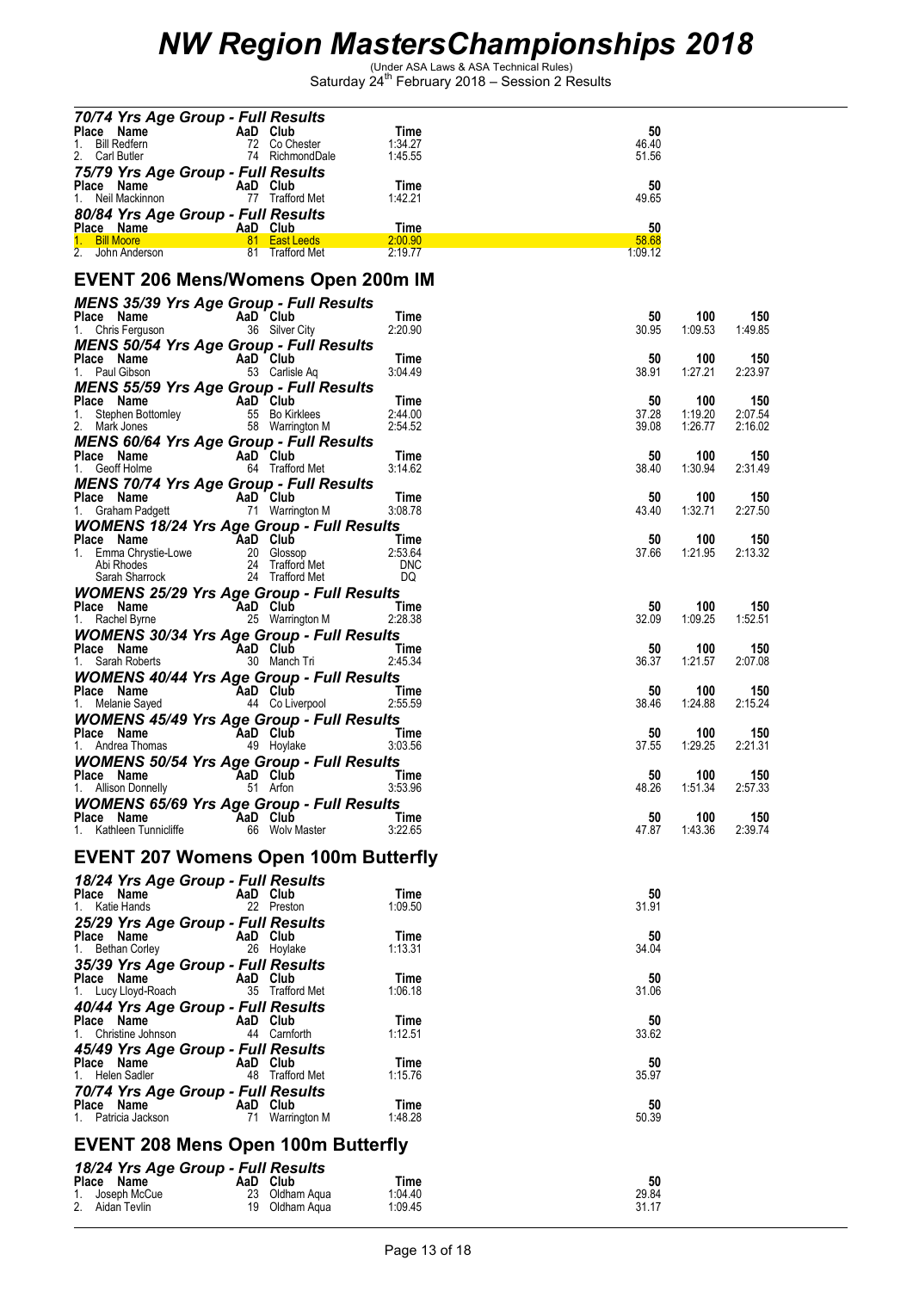| 70/74 Yrs Age Group - Full Results                                                                                             |                                                                                                                                                                                                                                     |                 |                |                    |                |
|--------------------------------------------------------------------------------------------------------------------------------|-------------------------------------------------------------------------------------------------------------------------------------------------------------------------------------------------------------------------------------|-----------------|----------------|--------------------|----------------|
|                                                                                                                                |                                                                                                                                                                                                                                     | Time<br>1:34.27 | 50<br>46.40    |                    |                |
| <b>Place Name AaD Club</b><br>1. Bill Redfern 72 Co Chester<br>2. Carl Butler 74 RichmondDale                                  |                                                                                                                                                                                                                                     | 1:45.55         | 51.56          |                    |                |
| 75/79 Yrs Age Group - Full Results                                                                                             |                                                                                                                                                                                                                                     |                 |                |                    |                |
| Place Name                                                                                                                     | n <b>AaD Club</b><br>n 77 Trafford Met                                                                                                                                                                                              | Time            | 50             |                    |                |
| 1. Neil Mackinnon                                                                                                              |                                                                                                                                                                                                                                     | 1:42.21         | 49.65          |                    |                |
| 80/84 Yrs Age Group - Full Results                                                                                             |                                                                                                                                                                                                                                     | Time            | 50             |                    |                |
| Place Name AaD Club<br>1. Bill Moore 81 East Leeds                                                                             |                                                                                                                                                                                                                                     | 2:00.90         | 58.68          |                    |                |
| 2. John Anderson 81 Trafford Met                                                                                               |                                                                                                                                                                                                                                     | 2:19.77         | 1:09.12        |                    |                |
|                                                                                                                                |                                                                                                                                                                                                                                     |                 |                |                    |                |
| <b>EVENT 206 Mens/Womens Open 200m IM</b>                                                                                      |                                                                                                                                                                                                                                     |                 |                |                    |                |
| <b>MENS 35/39 Yrs Age Group - Full Results</b>                                                                                 |                                                                                                                                                                                                                                     |                 |                |                    |                |
| <b>Place Name</b><br>1. Chris Ferguson <b>1. Chris Ferguson</b> 36 Silver City                                                 |                                                                                                                                                                                                                                     | Time<br>2:20.90 | 50<br>30.95    | 100                | 150            |
| <b>MENS 50/54 Yrs Age Group - Full Results</b>                                                                                 |                                                                                                                                                                                                                                     |                 |                | 1.09.53            | 1:49.85        |
|                                                                                                                                |                                                                                                                                                                                                                                     | Time            | 50             | 100                | 150            |
| <b>Place Name</b><br>1. Paul Gibson <b>Carlist Carlist Control</b><br>53 Carliste Aq                                           |                                                                                                                                                                                                                                     | 3:04.49         | 38.91          | 1:27.21            | 2:23.97        |
| <b>MENS 55/59 Yrs Age Group - Full Results</b>                                                                                 |                                                                                                                                                                                                                                     |                 |                |                    |                |
| <b>Place Name</b><br>1. Stephen Bottomley<br>2. Mark Jones<br>2. Mark Jones<br>58 Warrington M                                 |                                                                                                                                                                                                                                     | Time<br>2:44.00 | 50             | 100                | 150<br>2:07.54 |
|                                                                                                                                |                                                                                                                                                                                                                                     | 2:54.52         | 37.28<br>39.08 | 1:19.20<br>1:26.77 | 2:16.02        |
|                                                                                                                                |                                                                                                                                                                                                                                     |                 |                |                    |                |
| <b>MENS 60/64 Yrs Age Group - Full Results<br/>Place Name AaD Club<br/>1. Geoff Holme 64 Trafford Met</b>                      |                                                                                                                                                                                                                                     | Time            | 50             | 100                | 150            |
|                                                                                                                                |                                                                                                                                                                                                                                     | 3:14.62         | 38.40          | 1:30.94            | 2:31.49        |
| MENS 70/74 Yrs Age Group - Full Results                                                                                        |                                                                                                                                                                                                                                     | Time            | 50             | 100                | 150            |
| <b>Place Name</b><br>1. Graham Padgett <b>AD</b> 71 Warrington M                                                               |                                                                                                                                                                                                                                     | 3:08.78         | 43.40          | 1:32.71            | 2:27.50        |
| <b>WOMENS 18/24 Yrs Age Group - Full Results</b>                                                                               |                                                                                                                                                                                                                                     |                 |                |                    |                |
| Place Name AaD Club<br>1. Emma Chrystie-Lowe 20 Glossop<br>Abi Rhodes 24 Trafford Met DNC<br>Sarah Sharrock 24 Trafford Met DQ |                                                                                                                                                                                                                                     |                 | 50             | 100                | 150            |
|                                                                                                                                |                                                                                                                                                                                                                                     |                 | 37.66          | 1:21.95            | 2:13.32        |
|                                                                                                                                |                                                                                                                                                                                                                                     |                 |                |                    |                |
| <b>WOMENS 25/29 Yrs Age Group - Full Results</b>                                                                               |                                                                                                                                                                                                                                     |                 |                |                    |                |
| <b>Place Name</b><br>1. Rachel Byrne <b>1. AaD Club</b><br>25 Warrington M                                                     | <b>Example 1</b> Time                                                                                                                                                                                                               |                 | 50             | 100                | 150            |
|                                                                                                                                |                                                                                                                                                                                                                                     | 2:28.38         | 32.09          | 1:09.25            | 1:52.51        |
| <b>WOMENS 30/34 Yrs Age Group - Full Results</b>                                                                               |                                                                                                                                                                                                                                     |                 | 50             | 100                | 150            |
| <b>Place Name</b><br>1. Sarah Roberts <b>1. Sarah Roberts</b> 1. Sarah Roberts                                                 | <u>and the state of</u> the state of the state of the state of the state of the state of the state of the state of the state of the state of the state of the state of the state of the state of the state of the state of the stat | 2:45.34         | 36.37          | 1:21.57            | 2:07.08        |
|                                                                                                                                |                                                                                                                                                                                                                                     |                 |                |                    |                |
| <b>WOMENS 40/44 Yrs Age Group - Full Results<br/>Place Name AaD Club T<br/>1. Melanie Sayed 44 Co Liverpool 2:5</b>            |                                                                                                                                                                                                                                     | Time            | 50             | 100                | 150            |
|                                                                                                                                |                                                                                                                                                                                                                                     | 2:55.59         | 38.46          | 1:24.88            | 2:15.24        |
| <b>WOMENS 45/49 Yrs Age Group - Full Results</b>                                                                               |                                                                                                                                                                                                                                     |                 |                |                    |                |
| <b>Place Name CAaD Club Time</b><br>1. Andrea Thomas <b>AaD Club</b> 49 Hoylake 3:03.56                                        |                                                                                                                                                                                                                                     |                 | 50<br>37.55    | 100<br>1:29.25     | 150<br>2:21.31 |
| <b>WOMENS 50/54 Yrs Age Group - Full Results</b>                                                                               |                                                                                                                                                                                                                                     |                 |                |                    |                |
| Place Name<br>AaD Club<br>51 Arfon                                                                                             |                                                                                                                                                                                                                                     | Time            | 50             | 100                | 150            |
| 1. Allison Donnelly                                                                                                            |                                                                                                                                                                                                                                     | 3:53.96         | 48.26          | 1:51.34            | 2:57.33        |
| <b>WOMENS 65/69 Yrs Age Group - Full Results</b>                                                                               | AaD Club                                                                                                                                                                                                                            |                 |                |                    | 150            |
| Place Name<br>1. Kathleen Tunnicliffe                                                                                          | 66 Wolv Master                                                                                                                                                                                                                      | Time<br>3:22.65 | 50<br>47.87    | 100<br>1:43.36     | 2:39.74        |
|                                                                                                                                |                                                                                                                                                                                                                                     |                 |                |                    |                |
| <b>EVENT 207 Womens Open 100m Butterfly</b>                                                                                    |                                                                                                                                                                                                                                     |                 |                |                    |                |
| 18/24 Yrs Age Group - Full Results                                                                                             |                                                                                                                                                                                                                                     |                 |                |                    |                |
| Place Name                                                                                                                     | AaD Club                                                                                                                                                                                                                            | Time            | 50             |                    |                |
| 1. Katie Hands                                                                                                                 | 22 Preston                                                                                                                                                                                                                          | 1:09.50         | 31.91          |                    |                |
| 25/29 Yrs Age Group - Full Results                                                                                             |                                                                                                                                                                                                                                     |                 |                |                    |                |
| Place Name<br>1. Bethan Corley                                                                                                 | AaD Club<br>26 Hoylake                                                                                                                                                                                                              | Time<br>1:13.31 | 50<br>34.04    |                    |                |
| 35/39 Yrs Age Group - Full Results                                                                                             |                                                                                                                                                                                                                                     |                 |                |                    |                |
| Place Name                                                                                                                     | AaD Club                                                                                                                                                                                                                            | Time            | 50             |                    |                |
| 1. Lucy Lloyd-Roach                                                                                                            | 35 Trafford Met                                                                                                                                                                                                                     | 1:06.18         | 31.06          |                    |                |
| 40/44 Yrs Age Group - Full Results                                                                                             |                                                                                                                                                                                                                                     |                 |                |                    |                |
| Place Name<br>1. Christine Johnson                                                                                             | AaD Club<br>44 Carnforth                                                                                                                                                                                                            | Time<br>1:12.51 | 50<br>33.62    |                    |                |
| 45/49 Yrs Age Group - Full Results                                                                                             |                                                                                                                                                                                                                                     |                 |                |                    |                |
| Place Name                                                                                                                     | AaD Club                                                                                                                                                                                                                            | Time            | 50             |                    |                |
| 1. Helen Sadler                                                                                                                | 48 Trafford Met                                                                                                                                                                                                                     | 1:15.76         | 35.97          |                    |                |
| 70/74 Yrs Age Group - Full Results                                                                                             |                                                                                                                                                                                                                                     |                 |                |                    |                |
| Place Name<br>1. Patricia Jackson                                                                                              | AaD Club<br>71 Warrington M                                                                                                                                                                                                         | Time<br>1:48.28 | 50<br>50.39    |                    |                |
|                                                                                                                                |                                                                                                                                                                                                                                     |                 |                |                    |                |
| <b>EVENT 208 Mens Open 100m Butterfly</b>                                                                                      |                                                                                                                                                                                                                                     |                 |                |                    |                |
| 18/24 Yrs Age Group - Full Results                                                                                             |                                                                                                                                                                                                                                     |                 |                |                    |                |
| Place Name                                                                                                                     | AaD Club                                                                                                                                                                                                                            | Time            | 50             |                    |                |
| Joseph McCue                                                                                                                   | 23 Oldham Aqua                                                                                                                                                                                                                      | 1:04.40         | 29.84          |                    |                |
| 2.<br>Aidan Tevlin                                                                                                             | 19 Oldham Aqua                                                                                                                                                                                                                      | 1:09.45         | 31.17          |                    |                |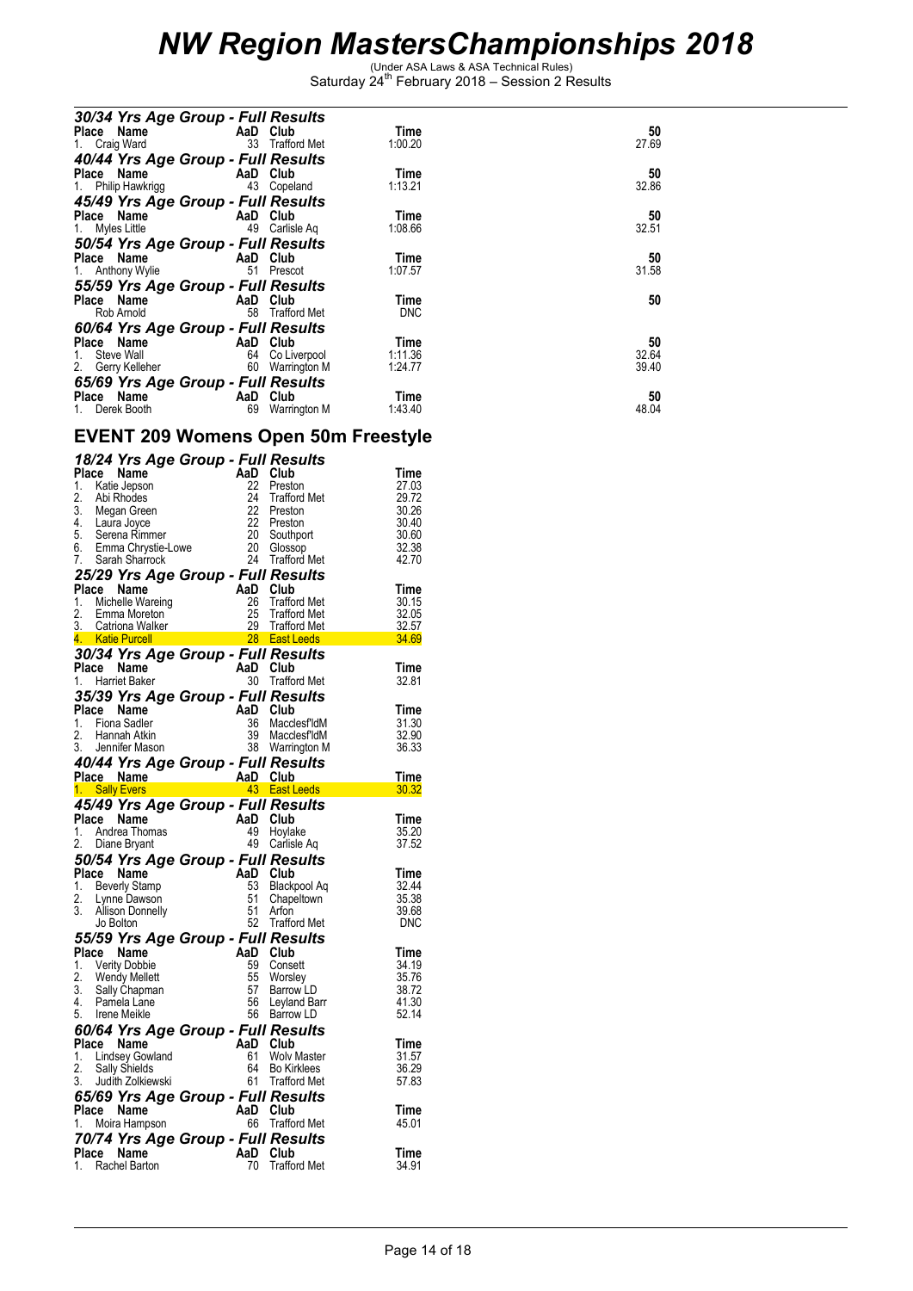| 30/34 Yrs Age Group - Full Results |                 |            |       |
|------------------------------------|-----------------|------------|-------|
| Place Name AaD Club                |                 | Time       | 50    |
| 1. Craig Ward                      | 33 Trafford Met | 1:00.20    | 27.69 |
| 40/44 Yrs Age Group - Full Results |                 |            |       |
| Place Name AaD Club                |                 | Time       | 50    |
| 1. Philip Hawkrigg                 | 43 Copeland     | 1:13.21    | 32.86 |
| 45/49 Yrs Age Group - Full Results |                 |            |       |
| Place Name AaD Club                |                 | Time       | 50    |
| 1. Myles Little 49 Carlisle Ag     |                 | 1:08.66    | 32.51 |
| 50/54 Yrs Age Group - Full Results |                 |            |       |
| Place Name AaD Club                |                 | Time       | 50    |
| 1. Anthony Wylie                   | 51 Prescot      | 1:07.57    | 31.58 |
| 55/59 Yrs Age Group - Full Results |                 |            |       |
| Place Name AaD Club                |                 | Time       | 50    |
| Rob Arnold <b>Rob</b>              | 58 Trafford Met | <b>DNC</b> |       |
| 60/64 Yrs Age Group - Full Results |                 |            |       |
| Place Name AaD Club                |                 | Time       | 50    |
| Steve Wall 64 Co Liverpool<br>1.   |                 | 1:11.36    | 32.64 |
| 2. Gerry Kelleher 60 Warrington M  |                 | 1:24.77    | 39.40 |
| 65/69 Yrs Age Group - Full Results |                 |            |       |
| Place Name AaD Club                |                 | Time       | 50    |
| 1. Derek Booth <b>Example 20</b>   | 69 Warrington M | 1:43.40    | 48.04 |

#### **EVENT 209 Womens Open 50m Freestyle**

| 18/24 Yrs Age Group - Full Results                |          |                     |       |
|---------------------------------------------------|----------|---------------------|-------|
| Place Name                                        | AaD      | Club                | Time  |
| 1.<br>Katie Jepson                                | 22       | Preston             | 27.03 |
| 2.<br>Abi Rhodes                                  | 24       | Trafford Met        | 29.72 |
| 3.<br>Megan Green<br>Laura Joyce<br>Serena Rimmer | 22       | Preston             | 30.26 |
| 4.                                                | 22       | Preston             | 30.40 |
| 5.                                                | 20       | Southport           | 30.60 |
| 6.<br>Emma Chrystie-Lowe                          | 20       | Glossop             | 32.38 |
| 7.<br>Sarah Sharrock                              | 24       | <b>Trafford Met</b> | 42.70 |
| 25/29 Yrs Age Group - Full Results                |          |                     |       |
| Place Name                                        | AaD      | Club                | Time  |
| 1.<br>Michelle Wareing                            | 26       | <b>Trafford Met</b> | 30.15 |
| 2.<br>Emma Moreton                                | 25       | <b>Trafford Met</b> | 32.05 |
| 3.<br>Catriona Walker                             | 29       | <b>Trafford Met</b> | 32.57 |
| <b>Katie Purcell</b><br>4.                        |          | 28 East Leeds       | 34.69 |
| 30/34 Yrs Age Group - Full Results                |          |                     |       |
| Place Name                                        | AaD Club |                     | Time  |
| <b>Harriet Baker</b><br>1.                        | 30       | Trafford Met        | 32.81 |
| 35/39 Yrs Age Group - Full Results                |          |                     |       |
| Name<br>Place                                     | AaD      | Club                | Time  |
| 1.<br>Fiona Sadler                                | 36       | MacclesfldM         | 31.30 |
| 2.<br>Hannah Atkin                                | 39       | <b>MacclesfldM</b>  | 32.90 |
| 3.<br>Jennifer Mason                              |          | 38 Warrington M     | 36.33 |
|                                                   |          |                     |       |
| 40/44 Yrs Age Group - Full Results                |          |                     |       |
| Place Name                                        | AaD      | Club                | Time  |
| 1. Sally Evers                                    |          | 43 East Leeds       | 30.32 |
| 45/49 Yrs Age Group - Full Results                |          |                     |       |
| Place<br>Name                                     | AaD      | Club                | Time  |
| 1.<br>Andrea Thomas                               | 49       | Hoylake             | 35.20 |
| 2.<br>Diane Bryant                                | 49       | Carlisle Ag         | 37.52 |
| 50/54 Yrs Age Group - Full Results                |          |                     |       |
| Place Name                                        | AaD      | Club                | Time  |
| 1.<br>Beverly Stamp                               | 53       | Blackpool Aq        | 32.44 |
| 2.<br>Lynne Dawson                                | 51       | Chapeltown          | 35.38 |
| 3.<br><b>Allison Donnelly</b>                     | 51       | Arfon               | 39.68 |
| Jo Bolton                                         |          | 52 Trafford Met     | DNC   |
| 55/59 Yrs Age Group - Full Results                |          |                     |       |
| Place Name                                        | AaD      | Club                | Time  |
| 1. Verity Dobbie                                  | 59       | Consett             | 34.19 |
| 2.<br>Wendy Mellett                               | 55       | Worsley             | 35.76 |
| 3.<br>Sally Chapman                               | 57       | Barrow LD           | 38.72 |
| 4.<br>Pamela Lane                                 | 56       | Leyland Barr        | 41.30 |
| 5.<br>Irene Meikle                                | 56       | <b>Barrow LD</b>    | 52.14 |
| 60/64 Yrs Age Group - Full Results                |          |                     |       |
| Place<br>Name                                     | AaD Club |                     | Time  |
| 1.<br>Lindsey Gowland                             | 61       | <b>Wolv Master</b>  | 31.57 |
| 2.<br><b>Sally Shields</b>                        | 64       | <b>Bo Kirklees</b>  | 36.29 |
| 3.<br>Judith Zolkiewski                           |          | 61 Trafford Met     | 57.83 |
| 65/69 Yrs Age Group - Full Results                |          |                     |       |
| Name<br>Place                                     | AaD      | Club                | Time  |
| 1.<br>Moira Hampson                               | 66       | <b>Trafford Met</b> | 45.01 |
| 70/74 Yrs Age Group - Full Results                |          |                     |       |
| Place<br>Name                                     | AaD      | Club                | Time  |
| Rachel Barton<br>1.                               | 70       | <b>Trafford Met</b> | 34.91 |
|                                                   |          |                     |       |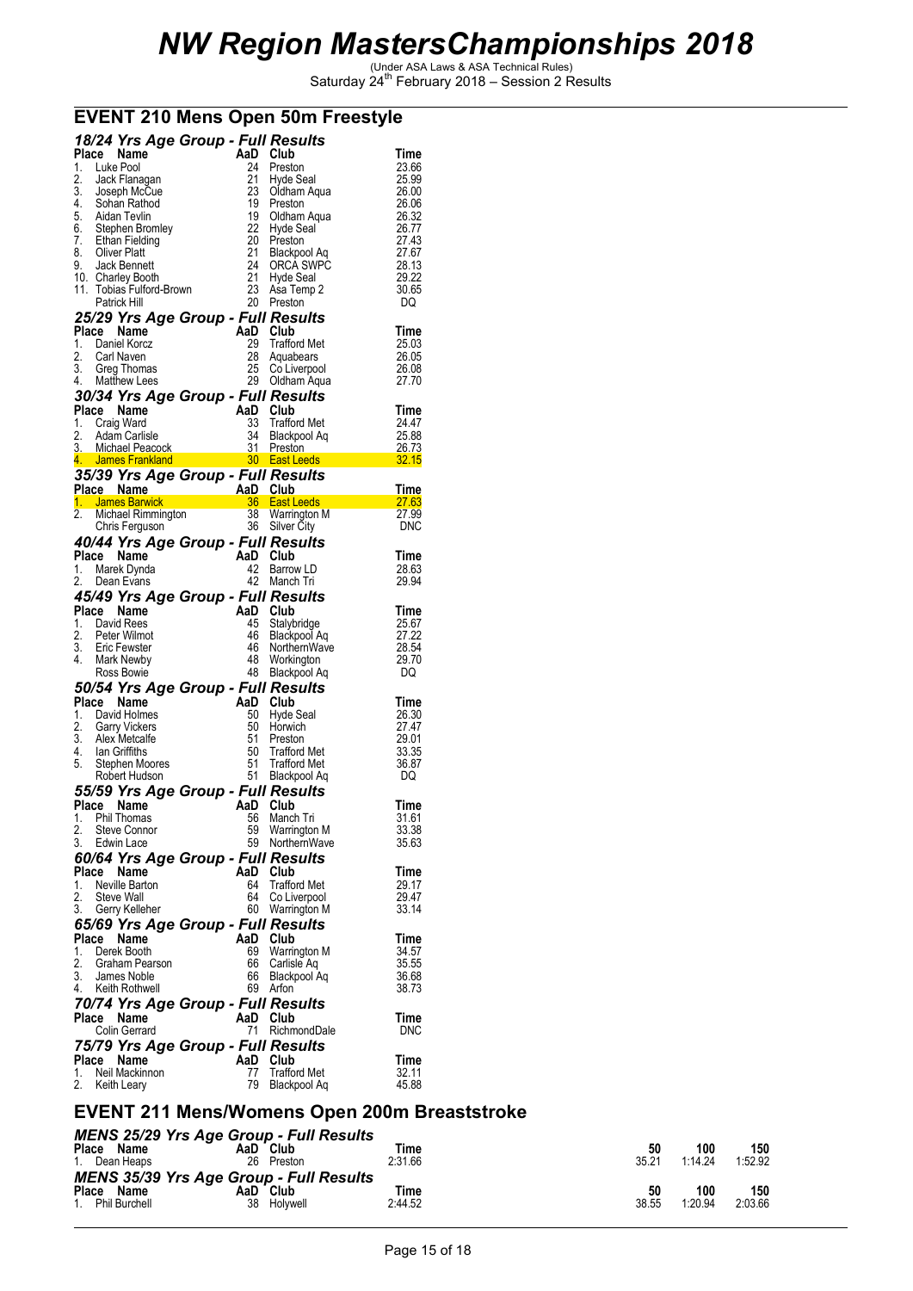|          | Place Name                                                                                                        | 18/24 Yrs Age Group - Full Results<br>AaD | Club                                     | Time           |
|----------|-------------------------------------------------------------------------------------------------------------------|-------------------------------------------|------------------------------------------|----------------|
| 1.       | Luke Pool                                                                                                         | 24                                        | Preston                                  | 23.66          |
| 2.       | Jack Flanagan                                                                                                     | 21                                        | Hyde Seal                                | 25.99          |
| 3.       | Joseph McCue                                                                                                      | 23                                        | Oldham Aqua                              | 26.00          |
| 4.       | Sohan Rathod                                                                                                      | 19                                        | Preston                                  | 26.06          |
| 5.       | Aidan Tevlin                                                                                                      | 19                                        | Oldham Aqua<br>Hydo Sool                 | 26.32          |
| 6.       | Stephen Bromley                                                                                                   | 22                                        | Hyde Seal                                | 26.77          |
| 7.       | Ethan Fielding                                                                                                    | 20                                        | Preston                                  | 27.43          |
| 8.<br>9. | <b>Oliver Platt</b><br>Jack Bennett                                                                               | 21<br>24                                  | Blackpool Aq<br>ORCA SWPC                | 27.67<br>28.13 |
|          | 10. Charley Booth                                                                                                 | 21                                        | Hyde Seal                                | 29.22          |
| 11.      | Tobias Fulford-Brown                                                                                              | 23                                        | Asa Temp 2                               | 30.65          |
|          | Patrick Hill                                                                                                      |                                           | 20 Preston                               | DQ             |
|          |                                                                                                                   | 25/29 Yrs Age Group - Full Results        |                                          |                |
| Place    | Name                                                                                                              |                                           | AaD Club                                 | Time           |
| 1.       | Daniel Korcz                                                                                                      | 29                                        | <b>Trafford Met</b>                      | 25.03          |
| 2.       | Carl Naven                                                                                                        | 28                                        | Aquabears                                | 26.05          |
| 3.       | Greg Thomas                                                                                                       | 25                                        | Co Liverpool                             | 26.08          |
| 4.       | <b>Matthew Lees</b>                                                                                               |                                           | 29 Oldham Aqua                           | 27.70          |
|          |                                                                                                                   | 30/34 Yrs Age Group - Full Results        |                                          |                |
|          | Place Name                                                                                                        |                                           | AaD Club                                 | Time           |
| 1.<br>2. | Craig Ward<br>Adam Carlisle                                                                                       | 33<br>34                                  | <b>Trafford Met</b><br>Blackpool Aq      | 24.47<br>25.88 |
| 3.       | Michael Peacock                                                                                                   | 31                                        | Preston                                  | 26.73          |
| 4.       | James Frankland                                                                                                   |                                           | 30 East Leeds                            | 32.15          |
|          |                                                                                                                   | 35/39 Yrs Age Group - Full Results        |                                          |                |
|          |                                                                                                                   | Place Name <b>AaD</b> Club                |                                          | Time           |
|          | <u>1. James Barwick</u><br><b>Company</b><br><b>James Barwick<br/> Michael Rimmington<br/> Michael Rimmington</b> |                                           | 36 East Leeds                            | <b>27.63</b>   |
| 2.       |                                                                                                                   | 38                                        | Warrington M                             | 27.99          |
|          | Chris Ferguson                                                                                                    | 36                                        | <b>Silver City</b>                       | <b>DNC</b>     |
|          |                                                                                                                   | 40/44 Yrs Age Group - Full Results        |                                          |                |
|          | Place Name                                                                                                        |                                           | AaD Club                                 | Time           |
| 1.       | Marek Dynda                                                                                                       | 42                                        | Barrow LD                                | 28.63          |
| 2.       | Dean Evans                                                                                                        | 42                                        | Manch Tri                                | 29.94          |
|          |                                                                                                                   | 45/49 Yrs Age Group - Full Results        |                                          |                |
|          | Place Name                                                                                                        |                                           |                                          |                |
|          |                                                                                                                   |                                           | AaD Club                                 | Time           |
| 1.       | David Rees                                                                                                        | 45                                        | Stalybridge                              | 25.67          |
| 2.       | Peter Wilmot                                                                                                      | 46                                        | Blackpool Aq                             | 27.22          |
| 3.       | Eric Fewster                                                                                                      | 46                                        |                                          | 28.54          |
| 4.       | Mark Newby                                                                                                        | 48                                        | NorthernWave<br>Workington<br>Workington | 29.70          |
|          | Ross Bowie                                                                                                        | 48                                        | Blackpool Aq                             | DQ             |
|          |                                                                                                                   | 50/54 Yrs Age Group - Full Results        |                                          |                |
| Place    | Name                                                                                                              | AaD                                       | Club                                     | Time           |
| 1.<br>2. | David Holmes                                                                                                      | 50<br>50                                  | Hyde Seal<br>Horwich                     | 26.30<br>27.47 |
| 3.       | <b>Garry Vickers</b><br>Alex Metcalte                                                                             | 51                                        | Preston                                  | 29.01          |
| 4.       | lan Griffiths                                                                                                     | 50                                        | Trafford Met                             | 33.35          |
| 5.       | Stephen Moores                                                                                                    | 51                                        | <b>Trafford Met</b>                      | 36.87          |
|          | Robert Hudson                                                                                                     |                                           | 51 Blackpool Aq                          | DQ             |
|          |                                                                                                                   | 55/59 Yrs Age Group - Full Results        |                                          |                |
| Place    | Name                                                                                                              | AaD                                       | Club                                     | Time           |
| 1.       | Phil Thomas                                                                                                       | 56                                        | Manch Tri                                | 31.61          |
| 2.       | Steve Connor                                                                                                      | 59                                        | Warrington M                             | 33.38          |
| 3.       | Edwin Lace                                                                                                        | 59                                        | NorthernWave                             | 35.63          |
|          |                                                                                                                   | 60/64 Yrs Age Group - Full Results        |                                          |                |
| Place    | Name                                                                                                              | AaD                                       | Club                                     | Time           |
| 1.<br>2. | Neville Barton<br>Steve Wall                                                                                      | 64<br>64                                  | <b>Trafford Met</b>                      | 29.17<br>29.47 |
| 3.       | Gerry Kelleher                                                                                                    |                                           | Co Liverpool<br>60 Warrington M          | 33.14          |
|          |                                                                                                                   |                                           |                                          |                |
| Place    | Name                                                                                                              | 65/69 Yrs Age Group - Full Results<br>AaD | Club                                     | Time           |
| 1.       | Derek Booth                                                                                                       | 69                                        | Warrington M                             | 34.57          |
| 2.       | Graham Pearson                                                                                                    | 66                                        | Carlisle Aq                              | 35.55          |
| 3.       | James Noble                                                                                                       | 66                                        | Blackpool Aq                             | 36.68          |
| 4.       | Keith Rothwell                                                                                                    | 69                                        | Arfon                                    | 38.73          |
|          |                                                                                                                   | 70/74 Yrs Age Group - Full Results        |                                          |                |
|          | Place Name                                                                                                        |                                           | AaD Club                                 | Time           |
|          | Colin Gerrard                                                                                                     | 71                                        | RichmondDale                             | <b>DNC</b>     |
|          |                                                                                                                   | 75/79 Yrs Age Group - Full Results        |                                          |                |
|          | Place Name                                                                                                        | AaD                                       | Club                                     | Time           |
| 1.<br>2. | Neil Mackinnon<br>Keith Leary                                                                                     | 77<br>79                                  | <b>Trafford Met</b><br>Blackpool Aq      | 32.11<br>45.88 |

### **EVENT 210 Mens Open 50m Freestyle**

### **EVENT 211 Mens/Womens Open 200m Breaststroke**

| Place<br>Name<br>1. Dean Heaps    | <b>MENS 25/29 Yrs Age Group - Full Results</b><br>AaD<br>Club<br>26<br>Preston | Time<br>2:31.66 | 50<br>35.21 | 100<br>1.14.24 | 150<br>1:52.92 |
|-----------------------------------|--------------------------------------------------------------------------------|-----------------|-------------|----------------|----------------|
| Place<br>Name<br>1. Phil Burchell | <b>MENS 35/39 Yrs Age Group - Full Results</b><br>AaD<br>Club<br>38 Holvwell   | Time<br>2:44.52 | 50<br>38.55 | 100<br>1:20.94 | 150<br>2:03.66 |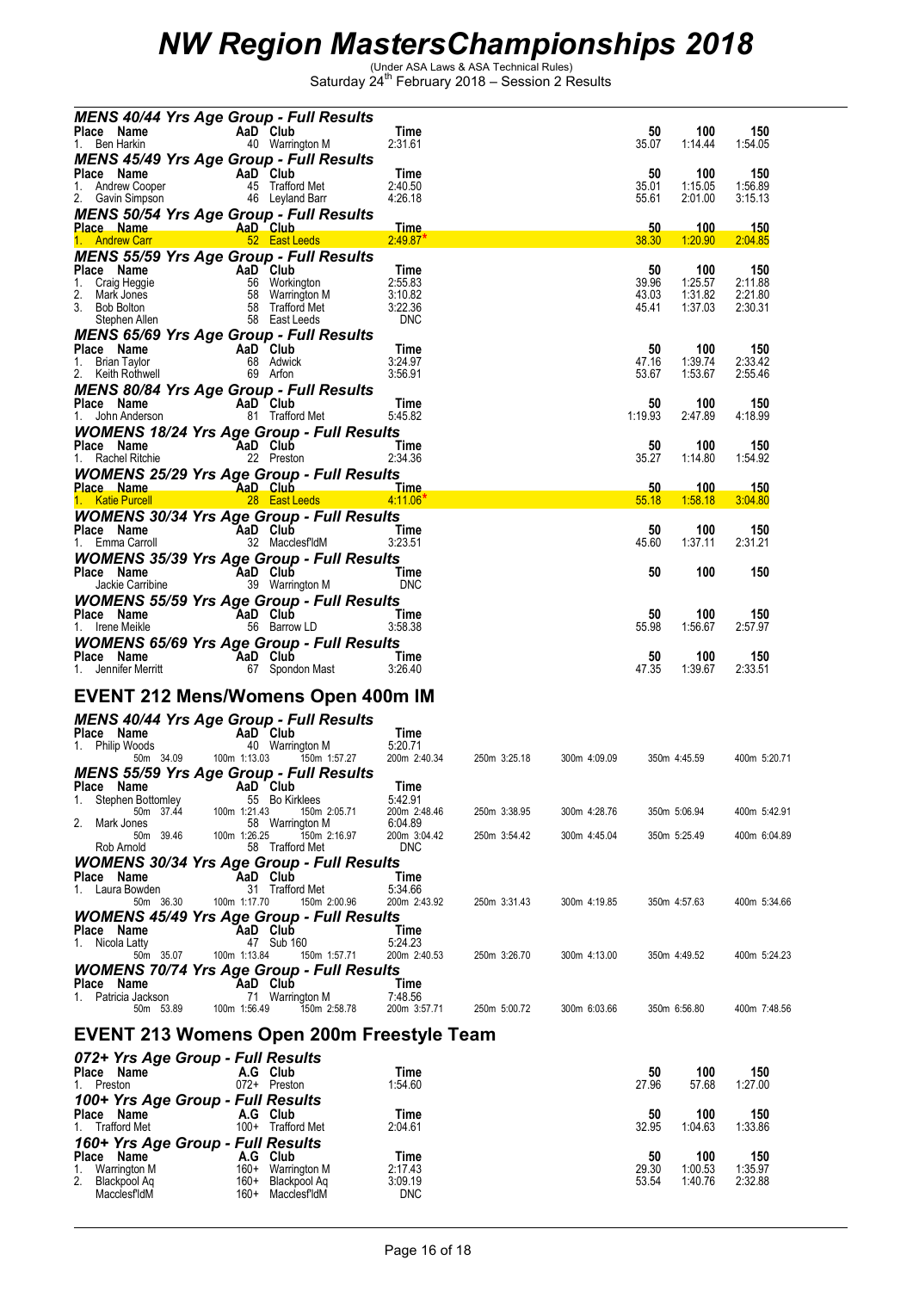| MENS 40/44 Yrs Age Group - Full Results<br>Place Name                                                                                                                                                                                              |              |                                  |                         |              |              |                |                    |                        |
|----------------------------------------------------------------------------------------------------------------------------------------------------------------------------------------------------------------------------------------------------|--------------|----------------------------------|-------------------------|--------------|--------------|----------------|--------------------|------------------------|
| <b>AaD Club</b><br>40 Warrin<br>1. Ben Harkin                                                                                                                                                                                                      |              | 40 Warrington M                  | Time<br>2:31.61         |              |              | 50<br>35.07    | 100<br>1:14:44     | 150<br>1:54.05         |
| <b>MENS 45/49 Yrs Age Group - Full Results</b>                                                                                                                                                                                                     |              |                                  | Time                    |              |              | 50             | 100                | 150                    |
| <b>Place Name</b><br>1. Andrew Cooper<br>2. Gavin Simpson<br>2. Gavin Simpson<br>16 Leyland Barr                                                                                                                                                   |              |                                  | 2:40.50<br>4:26.18      |              |              | 35.01<br>55.61 | 1:15.05<br>2:01.00 | 1:56.89<br>3:15.13     |
| <b>MENS 50/54 Yrs Age Group - Full Results</b>                                                                                                                                                                                                     |              |                                  | <u>Time</u>             |              |              |                | 100                |                        |
|                                                                                                                                                                                                                                                    |              |                                  | 2:49.87"                |              |              | 50<br>38.30    | 1:20.90            | <u> 150</u><br>2:04.85 |
| <b>MENS 55/59 Yrs Age Group - Full Results</b>                                                                                                                                                                                                     |              |                                  | Time                    |              |              | 50             | 100                | 150                    |
|                                                                                                                                                                                                                                                    |              |                                  | 2:55.83<br>3:10.82      |              |              | 39.96<br>43.03 | 1:25.57<br>1:31.82 | 2:11.88<br>2:21.80     |
| Place Name<br>1. Craig Heggie<br>2. Mark Jones<br>3. Bob Bolton<br>Sephen Allen<br>1. Craig Heggie<br>2. Mark Jones<br>58 Warrington M<br>58 Trafford Met<br>58 East Leeds<br>58 East Leeds                                                        |              |                                  | 3:22.36<br><b>DNC</b>   |              |              | 45.41          | 1:37.03            | 2:30.31                |
| <b>MENS 65/69 Yrs Age Group - Full Results</b>                                                                                                                                                                                                     |              |                                  |                         |              |              |                |                    |                        |
| Place Name<br>1. Brian Taylor 68 Adwick<br><b>AaD Club</b><br>59 Arion<br><b>AAD Club</b><br>69 Arion                                                                                                                                              |              |                                  | <b>Time</b><br>3:24.97  |              |              | 50<br>47.16    | 100<br>1:39.74     | 150<br>2:33.42         |
| MENS 80/84 Yrs Age Group - Full Results                                                                                                                                                                                                            |              |                                  | 3:56.91                 |              |              | 53.67          | 1:53.67            | 2:55.46                |
|                                                                                                                                                                                                                                                    |              |                                  | Time<br>5:45.82         |              |              | 50<br>1:19.93  | 100<br>2:47.89     | 150<br>4:18.99         |
| <b>WOMENS 18/24 Yrs Age Group - Full Results</b><br>Place Name                                                                                                                                                                                     |              |                                  |                         |              |              | 50             | 100                | 150                    |
| AaD Club<br>22 Preston<br>1. Rachel Ritchie                                                                                                                                                                                                        |              |                                  | <b>Time</b><br>2:34.36  |              |              | 35.27          | 1:14.80            | 1:54.92                |
| <b>WOMENS 25/29 Yrs Age Group - Full Results</b><br>Place Name <b>AaD Club</b><br>1. KatiePurcell <b>1. AaD Club</b><br>1. KatiePurcell 28 East Leeds 4.11.06                                                                                      |              |                                  |                         |              |              | 50.            | 100                | <u> 150</u>            |
| <b>WOMENS 30/34 Yrs Age Group - Full Results</b>                                                                                                                                                                                                   |              |                                  | 4:11.06"                |              |              | 55.18          | 1:58.18            | 3:04.80                |
| Place Name AaD Club Time<br>1. Emma Carroll 32 MacclesfldM 3:23.51                                                                                                                                                                                 |              |                                  |                         |              |              | 50<br>45.60    | 100<br>1:37.11     | 150<br>2:31.21         |
| <b>WOMENS 35/39 Yrs Age Group - Full Results</b>                                                                                                                                                                                                   |              |                                  |                         |              |              |                |                    |                        |
| Place Name<br><b>COMPANDE COMPANDE COMPANDE CONTRACT CONTRACT CONTRACT CONTRACT AND CONTRACT CONTRACT CONTRACT CONTRACT CONTRACT CONTRACT CONTRACT CONTRACT CONTRACT CONTRACT CONTRACT CONTRACT CONTRACT CONTRACT CONTRACT CONTRACT CONTRACT C</b> |              | <b>Example 19 Time</b>           | <b>DNC</b>              |              |              | 50             | 100                | 150                    |
| <b>WOMENS 55/59 Yrs Age Group - Full Results</b>                                                                                                                                                                                                   |              |                                  | <b>Time</b>             |              |              | 50             | 100                | 150                    |
| <b>Place Name</b><br>1. Irene Meikle<br>1. Irene Meikle<br>56 Barrow                                                                                                                                                                               |              | 56 Barrow LD                     | 3:58.38                 |              |              | 55.98          | 1:56.67            | 2:57.97                |
| <b>WOMENS 65/69 Yrs Age Group - Full Results</b><br>Place Name AaD Club<br>1. Jennifer Merritt 67 Spondon Mast 3:26.40                                                                                                                             |              |                                  |                         |              |              | 50             | 100                | 150                    |
|                                                                                                                                                                                                                                                    |              |                                  |                         |              |              | 47.35          | 1:39.67            | 2:33.51                |
| <b>EVENT 212 Mens/Womens Open 400m IM</b>                                                                                                                                                                                                          |              |                                  |                         |              |              |                |                    |                        |
| MENS 40/44 Yrs Age Group - Full Results                                                                                                                                                                                                            |              |                                  | Time                    |              |              |                |                    |                        |
| <b>Place Name</b><br>1. Philip Woods<br>50m 34.09<br>50m 34.09<br>50m 1:13.03<br>50m 1:13.03                                                                                                                                                       |              | 150m 1:57.27                     | 5:20.71<br>200m 2:40.34 | 250m 3:25.18 | 300m 4:09.09 |                | 350m 4:45.59       | 400m 5:20.71           |
| <b>MENS 55/59 Yrs Age Group - Full Results</b><br><b>Example 2</b> AaD Club<br>Place Name                                                                                                                                                          |              |                                  | Time                    |              |              |                |                    |                        |
| 1.<br>Stephen Bottomley<br>50m 37.44                                                                                                                                                                                                               | 100m 1:21.43 | 55 Bo Kirklees<br>150m 2:05.71   | 5:42.91<br>200m 2:48.46 | 250m 3:38.95 | 300m 4:28.76 |                | 350m 5:06.94       | 400m 5:42.91           |
| 2.<br>Mark Jones<br>50m<br>39.46                                                                                                                                                                                                                   | 100m 1:26.25 | 58 Warrington M<br>150m 2:16.97  | 6:04.89<br>200m 3:04.42 | 250m 3:54.42 | 300m 4:45.04 |                | 350m 5:25.49       | 400m 6:04.89           |
| Rob Arnold                                                                                                                                                                                                                                         |              | 58 Trafford Met                  | <b>DNC</b>              |              |              |                |                    |                        |
| <b>WOMENS 30/34 Yrs Age Group - Full Results</b><br>Place Name                                                                                                                                                                                     |              | AaD Club                         | Time                    |              |              |                |                    |                        |
| Laura Bowden<br>1.<br>50m 36.30                                                                                                                                                                                                                    | 100m 1:17.70 | 31 Trafford Met<br>150m 2:00.96  | 5:34.66<br>200m 2:43.92 | 250m 3:31.43 | 300m 4:19.85 |                | 350m 4:57.63       | 400m 5:34.66           |
| <b>WOMENS 45/49 Yrs Age Group - Full Results</b><br>Place Name                                                                                                                                                                                     |              | AaD Club                         | Time                    |              |              |                |                    |                        |
| Nicola Latty<br>1.<br>50m 35.07                                                                                                                                                                                                                    | 100m 1:13.84 | 47 Sub 160<br>150m 1:57.71       | 5:24.23<br>200m 2:40.53 | 250m 3:26.70 | 300m 4:13.00 |                | 350m 4:49.52       | 400m 5:24.23           |
| <b>WOMENS 70/74 Yrs Age Group - Full Results</b><br>Place Name                                                                                                                                                                                     |              | AaD Club                         | Time                    |              |              |                |                    |                        |
| 1. Patricia Jackson<br>50m 53.89                                                                                                                                                                                                                   | 100m 1:56.49 | 71 Warrington M<br>150m 2:58.78  | 7:48.56<br>200m 3:57.71 | 250m 5:00.72 |              |                | 350m 6:56.80       | 400m 7:48.56           |
|                                                                                                                                                                                                                                                    |              |                                  |                         |              | 300m 6:03.66 |                |                    |                        |
| EVENT 213 Womens Open 200m Freestyle Team                                                                                                                                                                                                          |              |                                  |                         |              |              |                |                    |                        |
| 072+ Yrs Age Group - Full Results<br>Place Name                                                                                                                                                                                                    |              | A.G Club                         | Time                    |              |              | 50             | 100                | 150                    |
| 1. Preston<br>100+ Yrs Age Group - Full Results                                                                                                                                                                                                    |              | 072+ Preston                     | 1:54.60                 |              |              | 27.96          | 57.68              | 1:27.00                |
| Place Name<br><b>Trafford Met</b><br>1.                                                                                                                                                                                                            |              | A.G Club<br>100+ Trafford Met    | Time<br>2:04.61         |              |              | 50<br>32.95    | 100<br>1:04.63     | 150<br>1:33.86         |
| 160+ Yrs Age Group - Full Results                                                                                                                                                                                                                  |              |                                  |                         |              |              |                |                    |                        |
| Place Name<br>Warrington M<br>1.                                                                                                                                                                                                                   | 160+         | A.G Club<br>Warrington M         | Time<br>2:17.43         |              |              | 50<br>29.30    | 100<br>1:00.53     | 150<br>1:35.97         |
| Blackpool Aq<br>MacclesfldM                                                                                                                                                                                                                        | 160+         | Blackpool Aq<br>160+ MacclesfldM | 3:09.19<br><b>DNC</b>   |              |              | 53.54          | 1:40.76            | 2:32.88                |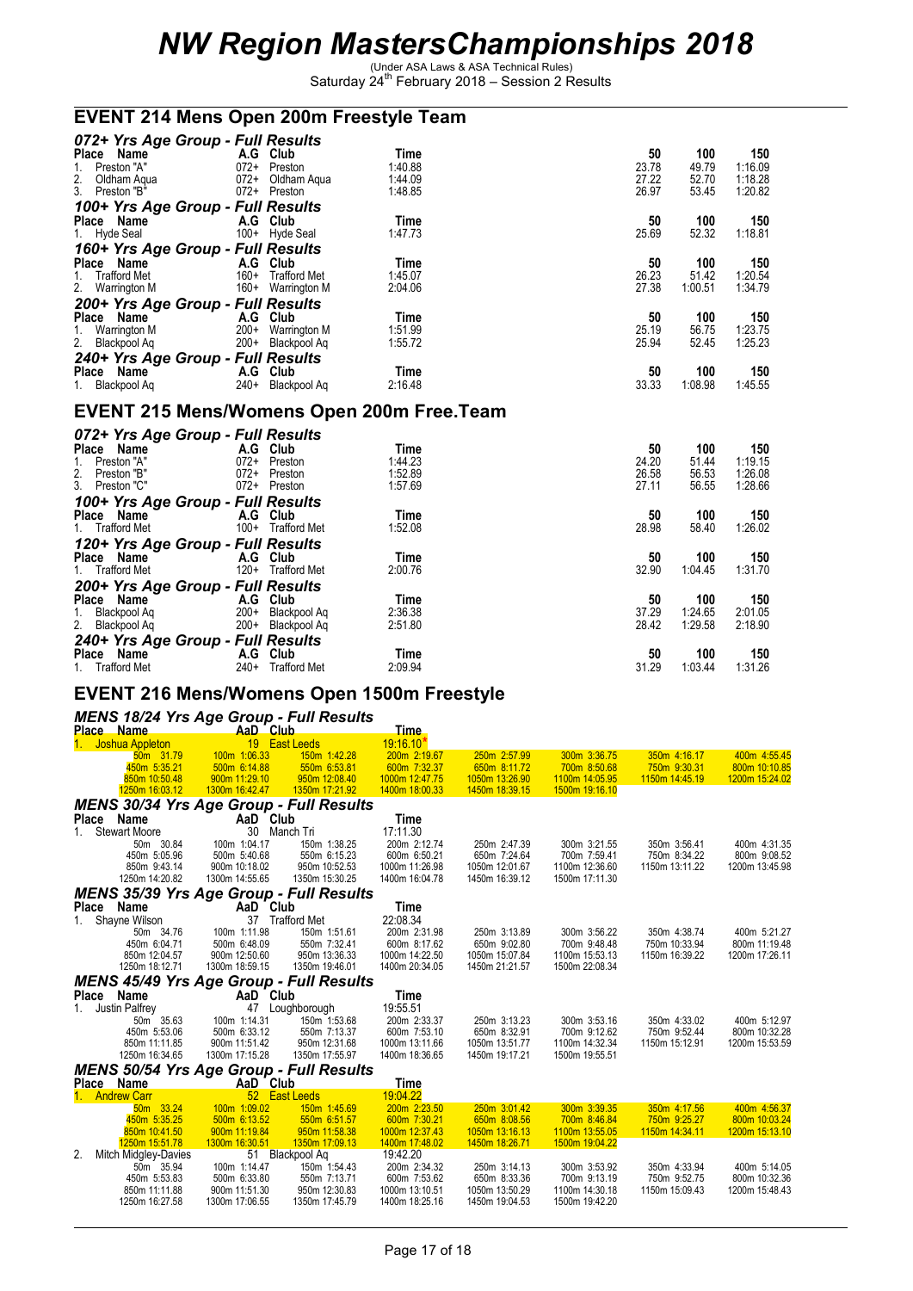### **EVENT 214 Mens Open 200m Freestyle Team**

| 072+ Yrs Age Group - Full Results |                               |         |       |         |         |
|-----------------------------------|-------------------------------|---------|-------|---------|---------|
| Place<br>Name                     | A.G<br>Club                   | Time    | 50    | 100     | 150     |
| Preston "A"<br>1.                 | $072+$<br>Preston             | 1:40.88 | 23.78 | 49.79   | 1:16.09 |
| 2. Oldham Aqua<br>3. Preston "B"  | $072+$<br>Oldham Agua         | 1:44.09 | 27.22 | 52.70   | 1:18.28 |
|                                   | 072+ Preston                  | 1:48.85 | 26.97 | 53.45   | 1:20.82 |
| 100+ Yrs Age Group - Full Results |                               |         |       |         |         |
| Place Name                        | A.G Club                      | Time    | 50    | 100     | 150     |
| 1. Hyde Seal                      | 100+ Hyde Seal                | 1:47.73 | 25.69 | 52.32   | 1:18.81 |
| 160+ Yrs Age Group - Full Results |                               |         |       |         |         |
| Place Name                        | A.G Club                      | Time    | 50    | 100     | 150     |
| 1. Trafford Met                   | $160+$<br><b>Trafford Met</b> | 1:45.07 | 26.23 | 51.42   | 1:20.54 |
| 2. Warrington M                   | 160+<br>Warrington M          | 2:04.06 | 27.38 | 1:00.51 | 1:34.79 |
| 200+ Yrs Age Group - Full Results |                               |         |       |         |         |
| Place Name                        | A.G<br>Club                   | Time    | 50    | 100     | 150     |
| 1. Warrington M                   | $200+$<br>Warrington M        | 1:51.99 | 25.19 | 56.75   | 1:23.75 |
| 2. Blackpool Aq                   | 200+ Blackpool Aq             | 1:55.72 | 25.94 | 52.45   | 1:25.23 |
| 240+ Yrs Age Group - Full Results |                               |         |       |         |         |
| Place<br>Name                     | A.G<br>Club                   | Time    | 50    | 100     | 150     |
| 1. Blackpool Ag                   | 240+ Blackpool Aq             | 2:16.48 | 33.33 | 1:08.98 | 1:45.55 |

#### **EVENT 215 Mens/Womens Open 200m Free.Team**

| 072+ Yrs Age Group - Full Results |          |                     |         |       |         |         |
|-----------------------------------|----------|---------------------|---------|-------|---------|---------|
| Place Name                        | A.G Club |                     | Time    | 50    | 100     | 150     |
| Preston "A"<br>1.                 | $072+$   | Preston             | 1:44.23 | 24.20 | 51.44   | 1:19.15 |
| 2. Preston "B"<br>3. Preston "C"  | $072+$   | Preston             | 1:52.89 | 26.58 | 56.53   | 1:26.08 |
|                                   | $072+$   | Preston             | 1:57.69 | 27.11 | 56.55   | 1:28.66 |
| 100+ Yrs Age Group - Full Results |          |                     |         |       |         |         |
| Place Name                        | A.G      | Club                | Time    | 50    | 100     | 150     |
| 1. Trafford Met                   | $100+$   | Trafford Met        | 1:52.08 | 28.98 | 58.40   | 1:26.02 |
| 120+ Yrs Age Group - Full Results |          |                     |         |       |         |         |
| Place Name                        | A.G Club |                     | Time    | 50    | 100     | 150     |
| 1. Trafford Met                   |          | 120+ Trafford Met   | 2:00.76 | 32.90 | 1:04.45 | 1:31.70 |
| 200+ Yrs Age Group - Full Results |          |                     |         |       |         |         |
| Place Name                        | A.G      | Club                | Time    | 50    | 100     | 150     |
| Blackpool Ag<br>1.                | $200+$   | Blackpool Ag        | 2:36.38 | 37.29 | 1:24.65 | 2:01.05 |
| 2. Blackpool Aq                   | $200+$   | Blackpool Aq        | 2:51.80 | 28.42 | 1:29.58 | 2:18.90 |
| 240+ Yrs Age Group - Full Results |          |                     |         |       |         |         |
| Name<br>Place                     | A.G      | Club                | Time    | 50    | 100     | 150     |
| <b>Trafford Met</b><br>1.         | $240+$   | <b>Trafford Met</b> | 2:09.94 | 31.29 | 1:03.44 | 1:31.26 |

#### **EVENT 216 Mens/Womens Open 1500m Freestyle**

#### *MENS 18/24 Yrs Age Group - Full Results*

|             | Place Name                                     | AaD Club        |                 | <u>Time.</u>   |                |                |                |                |
|-------------|------------------------------------------------|-----------------|-----------------|----------------|----------------|----------------|----------------|----------------|
|             | 1. Joshua Appleton                             |                 | 19 East Leeds   | $19:16.10*$    |                |                |                |                |
|             | 50m 31.79                                      | 100m 1:06.33    | 150m 1:42.28    | 200m 2:19.67   | 250m 2:57.99   | 300m 3:36.75   | 350m 4:16.17   | 400m 4:55.45   |
|             | 450m 5:35.21                                   | 500m 6:14.88    | 550m 6:53.81    | 600m 7:32.37   | 650m 8:11.72   | 700m 8:50.68   | 750m 9:30.31   | 800m 10:10.85  |
|             | 850m 10:50.48                                  | 900m 11:29.10   | 950m 12:08.40   | 1000m 12:47.75 | 1050m 13:26.90 | 1100m 14:05.95 | 1150m 14:45.19 | 1200m 15:24.02 |
|             | 1250m 16:03.12                                 | 1300m 16:42.47  | 1350m 17:21.92  | 1400m 18:00.33 | 1450m 18:39.15 | 1500m 19:16.10 |                |                |
|             | <b>MENS 30/34 Yrs Age Group - Full Results</b> |                 |                 |                |                |                |                |                |
|             | Place Name                                     | AaD Club        |                 | Time           |                |                |                |                |
| $1_{\cdot}$ | <b>Stewart Moore</b>                           |                 | 30 Manch Tri    | 17:11.30       |                |                |                |                |
|             | 50m 30.84                                      | 100m 1:04.17    | 150m 1:38.25    | 200m 2:12.74   | 250m 2:47.39   | 300m 3:21.55   | 350m 3:56.41   | 400m 4:31.35   |
|             | 450m 5:05.96                                   | 500m 5:40.68    | 550m 6:15.23    | 600m 6:50.21   | 650m 7:24.64   | 700m 7:59.41   | 750m 8:34.22   | 800m 9:08.52   |
|             | 850m 9:43.14                                   | 900m 10:18.02   | 950m 10:52.53   | 1000m 11:26.98 | 1050m 12:01.67 | 1100m 12:36.60 | 1150m 13:11.22 | 1200m 13:45.98 |
|             | 1250m 14:20.82                                 | 1300m 14:55.65  | 1350m 15:30.25  | 1400m 16:04.78 | 1450m 16:39.12 | 1500m 17:11.30 |                |                |
|             | <b>MENS 35/39 Yrs Age Group - Full Results</b> |                 |                 |                |                |                |                |                |
|             | Place Name                                     | <b>AaD</b> Club |                 | Time           |                |                |                |                |
|             | 1. Shayne Wilson                               |                 | 37 Trafford Met | 22:08.34       |                |                |                |                |
|             | 50m 34.76                                      | 100m 1:11.98    | 150m 1:51.61    | 200m 2:31.98   | 250m 3:13.89   | 300m 3:56.22   | 350m 4:38.74   | 400m 5:21.27   |
|             | 450m 6:04.71                                   | 500m 6:48.09    | 550m 7:32.41    | 600m 8:17.62   | 650m 9:02.80   | 700m 9:48.48   | 750m 10:33.94  | 800m 11:19.48  |
|             | 850m 12:04.57                                  | 900m 12:50.60   | 950m 13:36.33   | 1000m 14:22.50 | 1050m 15:07.84 | 1100m 15:53.13 | 1150m 16:39.22 | 1200m 17:26.11 |
|             | 1250m 18:12.71                                 | 1300m 18:59.15  | 1350m 19:46.01  | 1400m 20:34.05 | 1450m 21:21.57 | 1500m 22:08.34 |                |                |
|             | <b>MENS 45/49 Yrs Age Group - Full Results</b> |                 |                 |                |                |                |                |                |
|             | Place Name                                     | AaD Club        |                 | Time           |                |                |                |                |
| 1.          | Justin Palfrey                                 |                 | 47 Loughborough | 19:55.51       |                |                |                |                |
|             | 50m 35.63                                      | 100m 1:14.31    | 150m 1:53.68    | 200m 2:33.37   | 250m 3:13.23   | 300m 3:53.16   | 350m 4:33.02   | 400m 5:12.97   |
|             | 450m 5:53.06                                   | 500m 6:33.12    | 550m 7:13.37    | 600m 7:53.10   | 650m 8:32.91   | 700m 9:12.62   | 750m 9:52.44   | 800m 10:32.28  |
|             | 850m 11:11.85                                  | 900m 11:51.42   | 950m 12:31.68   | 1000m 13:11.66 | 1050m 13:51.77 | 1100m 14:32.34 | 1150m 15:12.91 | 1200m 15:53.59 |
|             | 1250m 16:34.65                                 | 1300m 17:15.28  | 1350m 17:55.97  | 1400m 18:36.65 | 1450m 19:17.21 | 1500m 19:55.51 |                |                |
|             | MENS 50/54 Yrs Age Group - Full Results        |                 |                 |                |                |                |                |                |
|             | Place Name                                     | AaD Club        |                 | Time           |                |                |                |                |
|             | 1. Andrew Carr                                 |                 | 52 East Leeds   | 19:04.22       |                |                |                |                |
|             | 50m 33.24                                      | 100m 1:09.02    | 150m 1:45.69    | 200m 2:23.50   | 250m 3:01.42   | 300m 3:39.35   | 350m 4:17.56   | 400m 4:56.37   |
|             | 450m 5:35.25                                   | 500m 6:13.52    | 550m 6:51.57    | 600m 7:30.21   | 650m 8:08.56   | 700m 8:46.84   | 750m 9:25.27   | 800m 10:03.24  |
|             | 850m 10:41.50                                  | 900m 11:19.84   | 950m 11:58.38   | 1000m 12:37.43 | 1050m 13:16.13 | 1100m 13:55.05 | 1150m 14:34.11 | 1200m 15:13.10 |
|             | 1250m 15:51.78                                 | 1300m 16:30.51  | 1350m 17:09.13  | 1400m 17:48.02 | 1450m 18:26.71 | 1500m 19:04.22 |                |                |
| 2.          | Mitch Midgley-Davies                           |                 | 51 Blackpool Aq | 19:42.20       |                |                |                |                |
|             | 50m 35.94                                      | 100m 1:14.47    | 150m 1:54.43    | 200m 2:34.32   | 250m 3:14.13   | 300m 3:53.92   | 350m 4:33.94   | 400m 5:14.05   |
|             | 450m 5:53.83                                   | 500m 6:33.80    | 550m 7:13.71    | 600m 7:53.62   | 650m 8:33.36   | 700m 9:13.19   | 750m 9:52.75   | 800m 10:32.36  |
|             | 850m 11:11.88                                  | 900m 11:51.30   | 950m 12:30.83   | 1000m 13:10.51 | 1050m 13:50.29 | 1100m 14:30.18 | 1150m 15:09.43 | 1200m 15:48.43 |
|             | 1250m 16:27.58                                 | 1300m 17:06.55  | 1350m 17:45.79  | 1400m 18:25.16 | 1450m 19:04.53 | 1500m 19:42.20 |                |                |